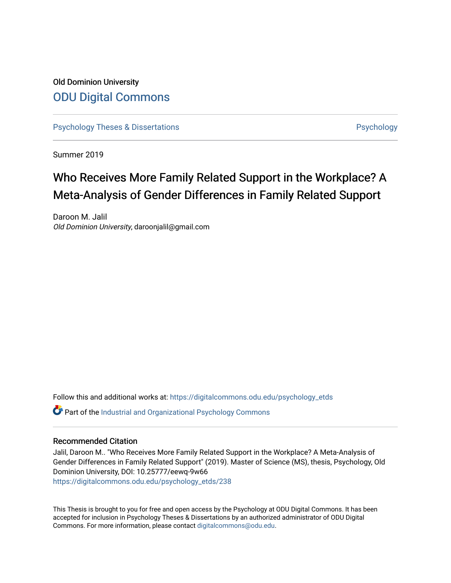# Old Dominion University [ODU Digital Commons](https://digitalcommons.odu.edu/)

[Psychology Theses & Dissertations](https://digitalcommons.odu.edu/psychology_etds) **Psychology** Psychology

Summer 2019

# Who Receives More Family Related Support in the Workplace? A Meta-Analysis of Gender Differences in Family Related Support

Daroon M. Jalil Old Dominion University, daroonjalil@gmail.com

Follow this and additional works at: [https://digitalcommons.odu.edu/psychology\\_etds](https://digitalcommons.odu.edu/psychology_etds?utm_source=digitalcommons.odu.edu%2Fpsychology_etds%2F238&utm_medium=PDF&utm_campaign=PDFCoverPages)

Part of the [Industrial and Organizational Psychology Commons](http://network.bepress.com/hgg/discipline/412?utm_source=digitalcommons.odu.edu%2Fpsychology_etds%2F238&utm_medium=PDF&utm_campaign=PDFCoverPages) 

## Recommended Citation

Jalil, Daroon M.. "Who Receives More Family Related Support in the Workplace? A Meta-Analysis of Gender Differences in Family Related Support" (2019). Master of Science (MS), thesis, Psychology, Old Dominion University, DOI: 10.25777/eewq-9w66 [https://digitalcommons.odu.edu/psychology\\_etds/238](https://digitalcommons.odu.edu/psychology_etds/238?utm_source=digitalcommons.odu.edu%2Fpsychology_etds%2F238&utm_medium=PDF&utm_campaign=PDFCoverPages)

This Thesis is brought to you for free and open access by the Psychology at ODU Digital Commons. It has been accepted for inclusion in Psychology Theses & Dissertations by an authorized administrator of ODU Digital Commons. For more information, please contact [digitalcommons@odu.edu](mailto:digitalcommons@odu.edu).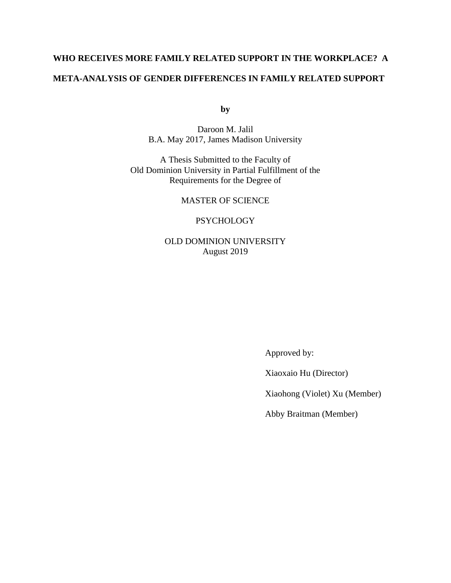# **WHO RECEIVES MORE FAMILY RELATED SUPPORT IN THE WORKPLACE? A META-ANALYSIS OF GENDER DIFFERENCES IN FAMILY RELATED SUPPORT**

**by**

Daroon M. Jalil B.A. May 2017, James Madison University

A Thesis Submitted to the Faculty of Old Dominion University in Partial Fulfillment of the Requirements for the Degree of

MASTER OF SCIENCE

**PSYCHOLOGY** 

OLD DOMINION UNIVERSITY August 2019

Approved by:

Xiaoxaio Hu (Director)

Xiaohong (Violet) Xu (Member)

Abby Braitman (Member)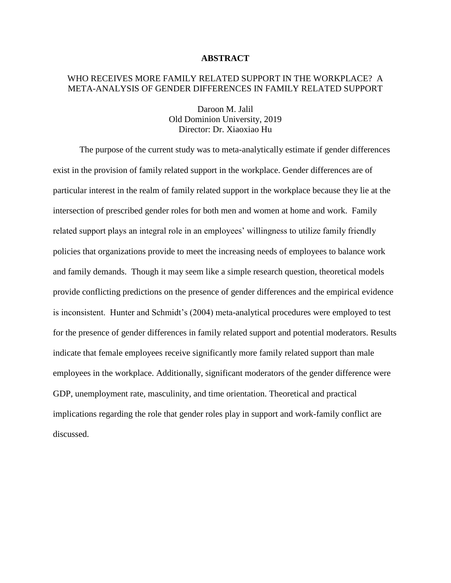#### **ABSTRACT**

# WHO RECEIVES MORE FAMILY RELATED SUPPORT IN THE WORKPLACE? A META-ANALYSIS OF GENDER DIFFERENCES IN FAMILY RELATED SUPPORT

Daroon M. Jalil Old Dominion University, 2019 Director: Dr. Xiaoxiao Hu

The purpose of the current study was to meta-analytically estimate if gender differences exist in the provision of family related support in the workplace. Gender differences are of particular interest in the realm of family related support in the workplace because they lie at the intersection of prescribed gender roles for both men and women at home and work. Family related support plays an integral role in an employees' willingness to utilize family friendly policies that organizations provide to meet the increasing needs of employees to balance work and family demands. Though it may seem like a simple research question, theoretical models provide conflicting predictions on the presence of gender differences and the empirical evidence is inconsistent. Hunter and Schmidt's (2004) meta-analytical procedures were employed to test for the presence of gender differences in family related support and potential moderators. Results indicate that female employees receive significantly more family related support than male employees in the workplace. Additionally, significant moderators of the gender difference were GDP, unemployment rate, masculinity, and time orientation. Theoretical and practical implications regarding the role that gender roles play in support and work-family conflict are discussed.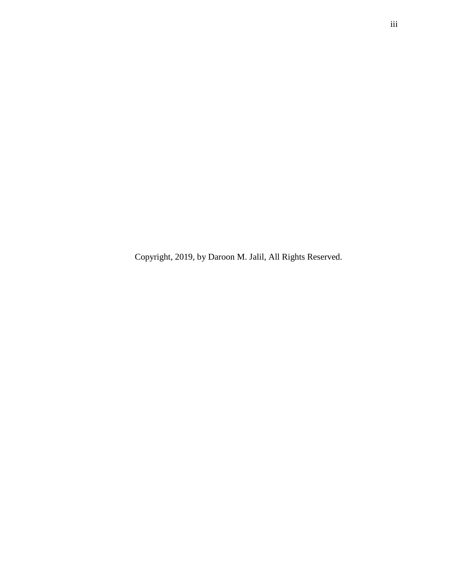Copyright, 2019, by Daroon M. Jalil, All Rights Reserved.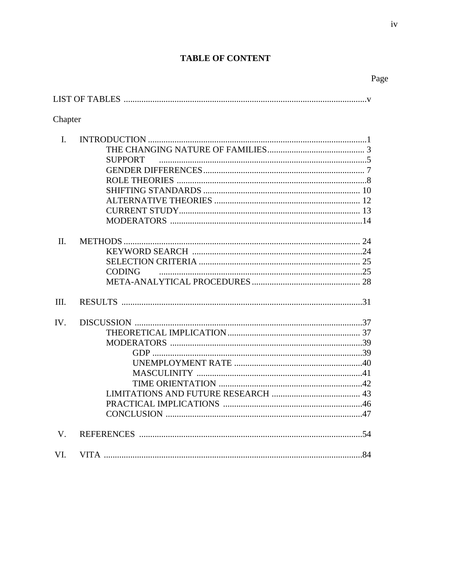# **TABLE OF**

| <b>TABLE OF CONTENT</b> |                   |      |  |
|-------------------------|-------------------|------|--|
|                         |                   | Page |  |
|                         |                   |      |  |
| Chapter                 |                   |      |  |
|                         |                   |      |  |
|                         |                   |      |  |
|                         | <b>SUPPORT</b>    |      |  |
|                         |                   |      |  |
|                         |                   |      |  |
|                         |                   |      |  |
|                         |                   |      |  |
|                         |                   |      |  |
|                         | <b>MODERATORS</b> |      |  |

| $\Pi$ . |               |  |
|---------|---------------|--|
|         |               |  |
|         |               |  |
|         | <b>CODING</b> |  |
|         |               |  |
| III.    |               |  |
| IV.     |               |  |
|         |               |  |
|         |               |  |
|         |               |  |
|         |               |  |
|         |               |  |
|         |               |  |
|         |               |  |
|         |               |  |
|         |               |  |
| V.      |               |  |
| VI.     |               |  |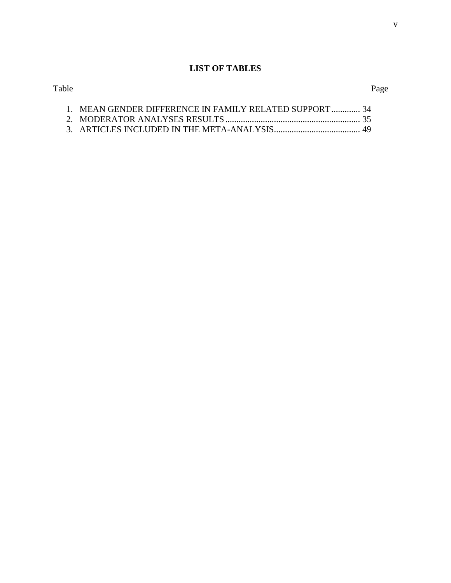# **LIST OF TABLES**

| 1. MEAN GENDER DIFFERENCE IN FAMILY RELATED SUPPORT  34 |  |
|---------------------------------------------------------|--|
|                                                         |  |

3. ARTICLES INCLUDED IN THE META-ANALYSIS....................................... 49

# Table Page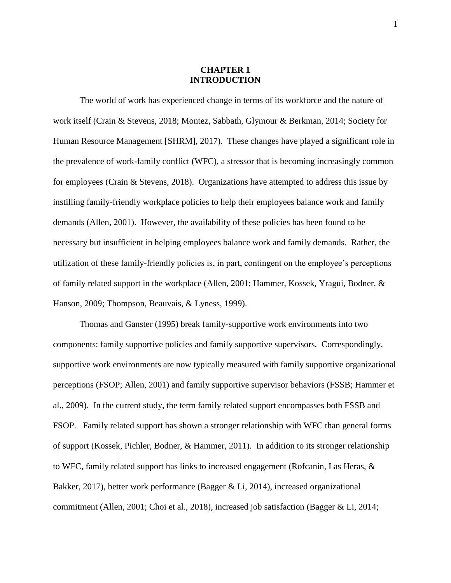# **CHAPTER 1 INTRODUCTION**

The world of work has experienced change in terms of its workforce and the nature of work itself (Crain & Stevens, 2018; Montez, Sabbath, Glymour & Berkman, 2014; Society for Human Resource Management [SHRM], 2017). These changes have played a significant role in the prevalence of work-family conflict (WFC), a stressor that is becoming increasingly common for employees (Crain & Stevens, 2018). Organizations have attempted to address this issue by instilling family-friendly workplace policies to help their employees balance work and family demands (Allen, 2001). However, the availability of these policies has been found to be necessary but insufficient in helping employees balance work and family demands. Rather, the utilization of these family-friendly policies is, in part, contingent on the employee's perceptions of family related support in the workplace (Allen, 2001; Hammer, Kossek, Yragui, Bodner, & Hanson, 2009; Thompson, Beauvais, & Lyness, 1999).

Thomas and Ganster (1995) break family-supportive work environments into two components: family supportive policies and family supportive supervisors. Correspondingly, supportive work environments are now typically measured with family supportive organizational perceptions (FSOP; Allen, 2001) and family supportive supervisor behaviors (FSSB; Hammer et al., 2009). In the current study, the term family related support encompasses both FSSB and FSOP. Family related support has shown a stronger relationship with WFC than general forms of support (Kossek, Pichler, Bodner, & Hammer, 2011). In addition to its stronger relationship to WFC, family related support has links to increased engagement (Rofcanin, Las Heras, & Bakker, 2017), better work performance (Bagger & Li, 2014), increased organizational commitment (Allen, 2001; Choi et al., 2018), increased job satisfaction (Bagger & Li, 2014;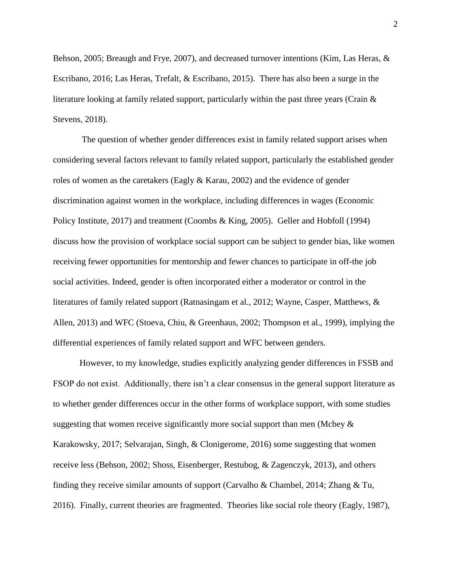Behson, 2005; Breaugh and Frye, 2007), and decreased turnover intentions (Kim, Las Heras, & Escribano, 2016; Las Heras, Trefalt, & Escribano, 2015). There has also been a surge in the literature looking at family related support, particularly within the past three years (Crain  $\&$ Stevens, 2018).

The question of whether gender differences exist in family related support arises when considering several factors relevant to family related support, particularly the established gender roles of women as the caretakers (Eagly  $&$  Karau, 2002) and the evidence of gender discrimination against women in the workplace, including differences in wages (Economic Policy Institute, 2017) and treatment (Coombs & King, 2005). Geller and Hobfoll (1994) discuss how the provision of workplace social support can be subject to gender bias, like women receiving fewer opportunities for mentorship and fewer chances to participate in off-the job social activities. Indeed, gender is often incorporated either a moderator or control in the literatures of family related support (Ratnasingam et al., 2012; Wayne, Casper, Matthews, & Allen, 2013) and WFC (Stoeva, Chiu, & Greenhaus, 2002; Thompson et al., 1999), implying the differential experiences of family related support and WFC between genders.

However, to my knowledge, studies explicitly analyzing gender differences in FSSB and FSOP do not exist. Additionally, there isn't a clear consensus in the general support literature as to whether gender differences occur in the other forms of workplace support, with some studies suggesting that women receive significantly more social support than men (Mcbey  $\&$ Karakowsky, 2017; Selvarajan, Singh, & Clonigerome, 2016) some suggesting that women receive less (Behson, 2002; Shoss, Eisenberger, Restubog, & Zagenczyk, 2013), and others finding they receive similar amounts of support (Carvalho & Chambel, 2014; Zhang & Tu, 2016). Finally, current theories are fragmented. Theories like social role theory (Eagly, 1987),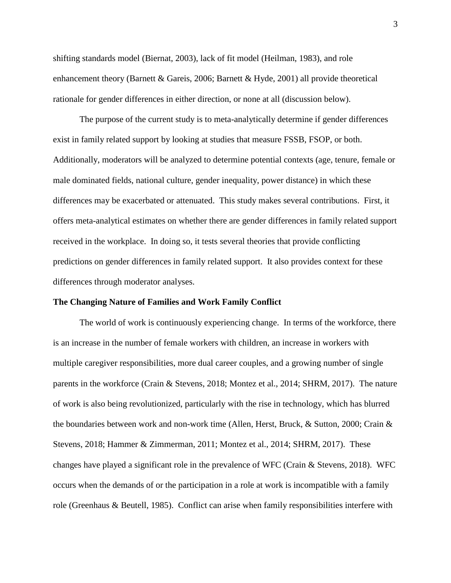shifting standards model (Biernat, 2003), lack of fit model (Heilman, 1983), and role enhancement theory (Barnett & Gareis, 2006; Barnett & Hyde, 2001) all provide theoretical rationale for gender differences in either direction, or none at all (discussion below).

The purpose of the current study is to meta-analytically determine if gender differences exist in family related support by looking at studies that measure FSSB, FSOP, or both. Additionally, moderators will be analyzed to determine potential contexts (age, tenure, female or male dominated fields, national culture, gender inequality, power distance) in which these differences may be exacerbated or attenuated. This study makes several contributions. First, it offers meta-analytical estimates on whether there are gender differences in family related support received in the workplace. In doing so, it tests several theories that provide conflicting predictions on gender differences in family related support. It also provides context for these differences through moderator analyses.

#### **The Changing Nature of Families and Work Family Conflict**

The world of work is continuously experiencing change. In terms of the workforce, there is an increase in the number of female workers with children, an increase in workers with multiple caregiver responsibilities, more dual career couples, and a growing number of single parents in the workforce (Crain & Stevens, 2018; Montez et al., 2014; SHRM, 2017). The nature of work is also being revolutionized, particularly with the rise in technology, which has blurred the boundaries between work and non-work time (Allen, Herst, Bruck, & Sutton, 2000; Crain & Stevens, 2018; Hammer & Zimmerman, 2011; Montez et al., 2014; SHRM, 2017). These changes have played a significant role in the prevalence of WFC (Crain & Stevens, 2018). WFC occurs when the demands of or the participation in a role at work is incompatible with a family role (Greenhaus & Beutell, 1985). Conflict can arise when family responsibilities interfere with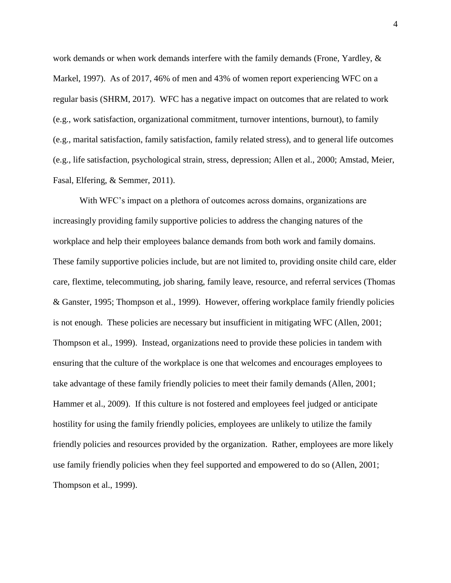work demands or when work demands interfere with the family demands (Frone, Yardley, & Markel, 1997). As of 2017, 46% of men and 43% of women report experiencing WFC on a regular basis (SHRM, 2017). WFC has a negative impact on outcomes that are related to work (e.g., work satisfaction, organizational commitment, turnover intentions, burnout), to family (e.g., marital satisfaction, family satisfaction, family related stress), and to general life outcomes (e.g., life satisfaction, psychological strain, stress, depression; Allen et al., 2000; Amstad, Meier, Fasal, Elfering, & Semmer, 2011).

With WFC's impact on a plethora of outcomes across domains, organizations are increasingly providing family supportive policies to address the changing natures of the workplace and help their employees balance demands from both work and family domains. These family supportive policies include, but are not limited to, providing onsite child care, elder care, flextime, telecommuting, job sharing, family leave, resource, and referral services (Thomas & Ganster, 1995; Thompson et al., 1999). However, offering workplace family friendly policies is not enough. These policies are necessary but insufficient in mitigating WFC (Allen, 2001; Thompson et al., 1999). Instead, organizations need to provide these policies in tandem with ensuring that the culture of the workplace is one that welcomes and encourages employees to take advantage of these family friendly policies to meet their family demands (Allen, 2001; Hammer et al., 2009). If this culture is not fostered and employees feel judged or anticipate hostility for using the family friendly policies, employees are unlikely to utilize the family friendly policies and resources provided by the organization. Rather, employees are more likely use family friendly policies when they feel supported and empowered to do so (Allen, 2001; Thompson et al., 1999).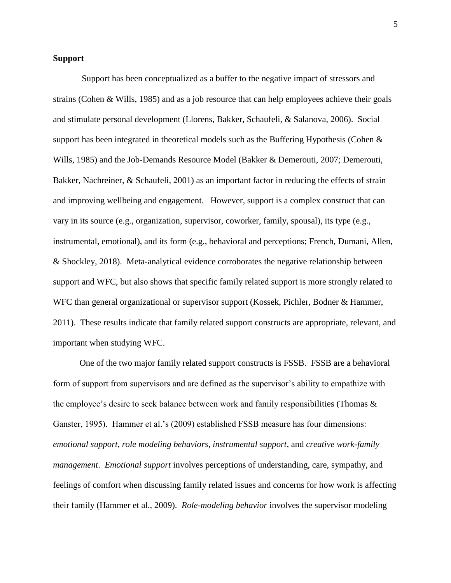## **Support**

Support has been conceptualized as a buffer to the negative impact of stressors and strains (Cohen & Wills, 1985) and as a job resource that can help employees achieve their goals and stimulate personal development (Llorens, Bakker, Schaufeli, & Salanova, 2006). Social support has been integrated in theoretical models such as the Buffering Hypothesis (Cohen & Wills, 1985) and the Job-Demands Resource Model (Bakker & Demerouti, 2007; Demerouti, Bakker, Nachreiner, & Schaufeli, 2001) as an important factor in reducing the effects of strain and improving wellbeing and engagement. However, support is a complex construct that can vary in its source (e.g., organization, supervisor, coworker, family, spousal), its type (e.g., instrumental, emotional), and its form (e.g., behavioral and perceptions; French, Dumani, Allen, & Shockley, 2018). Meta-analytical evidence corroborates the negative relationship between support and WFC, but also shows that specific family related support is more strongly related to WFC than general organizational or supervisor support (Kossek, Pichler, Bodner & Hammer, 2011). These results indicate that family related support constructs are appropriate, relevant, and important when studying WFC.

One of the two major family related support constructs is FSSB. FSSB are a behavioral form of support from supervisors and are defined as the supervisor's ability to empathize with the employee's desire to seek balance between work and family responsibilities (Thomas & Ganster, 1995). Hammer et al.'s (2009) established FSSB measure has four dimensions: *emotional support, role modeling behaviors, instrumental support*, and *creative work-family management*. *Emotional support* involves perceptions of understanding, care, sympathy, and feelings of comfort when discussing family related issues and concerns for how work is affecting their family (Hammer et al., 2009). *Role-modeling behavior* involves the supervisor modeling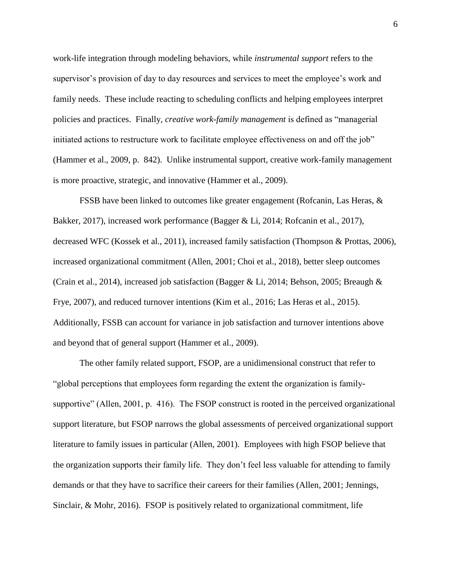work-life integration through modeling behaviors, while *instrumental support* refers to the supervisor's provision of day to day resources and services to meet the employee's work and family needs. These include reacting to scheduling conflicts and helping employees interpret policies and practices. Finally, *creative work-family management* is defined as "managerial initiated actions to restructure work to facilitate employee effectiveness on and off the job" (Hammer et al., 2009, p. 842). Unlike instrumental support, creative work-family management is more proactive, strategic, and innovative (Hammer et al., 2009).

FSSB have been linked to outcomes like greater engagement (Rofcanin, Las Heras, & Bakker, 2017), increased work performance (Bagger & Li, 2014; Rofcanin et al., 2017), decreased WFC (Kossek et al., 2011), increased family satisfaction (Thompson & Prottas, 2006), increased organizational commitment (Allen, 2001; Choi et al., 2018), better sleep outcomes (Crain et al., 2014), increased job satisfaction (Bagger & Li, 2014; Behson, 2005; Breaugh & Frye, 2007), and reduced turnover intentions (Kim et al., 2016; Las Heras et al., 2015). Additionally, FSSB can account for variance in job satisfaction and turnover intentions above and beyond that of general support (Hammer et al., 2009).

The other family related support, FSOP, are a unidimensional construct that refer to "global perceptions that employees form regarding the extent the organization is familysupportive" (Allen, 2001, p. 416). The FSOP construct is rooted in the perceived organizational support literature, but FSOP narrows the global assessments of perceived organizational support literature to family issues in particular (Allen, 2001). Employees with high FSOP believe that the organization supports their family life. They don't feel less valuable for attending to family demands or that they have to sacrifice their careers for their families (Allen, 2001; Jennings, Sinclair, & Mohr, 2016). FSOP is positively related to organizational commitment, life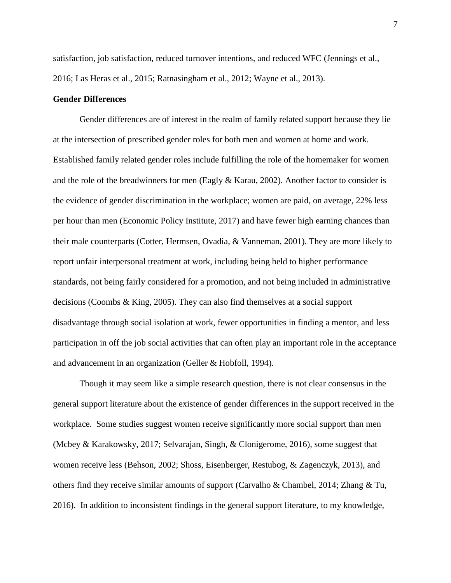satisfaction, job satisfaction, reduced turnover intentions, and reduced WFC (Jennings et al., 2016; Las Heras et al., 2015; Ratnasingham et al., 2012; Wayne et al., 2013).

#### **Gender Differences**

Gender differences are of interest in the realm of family related support because they lie at the intersection of prescribed gender roles for both men and women at home and work. Established family related gender roles include fulfilling the role of the homemaker for women and the role of the breadwinners for men (Eagly  $&$  Karau, 2002). Another factor to consider is the evidence of gender discrimination in the workplace; women are paid, on average, 22% less per hour than men (Economic Policy Institute, 2017) and have fewer high earning chances than their male counterparts (Cotter, Hermsen, Ovadia, & Vanneman, 2001). They are more likely to report unfair interpersonal treatment at work, including being held to higher performance standards, not being fairly considered for a promotion, and not being included in administrative decisions (Coombs & King, 2005). They can also find themselves at a social support disadvantage through social isolation at work, fewer opportunities in finding a mentor, and less participation in off the job social activities that can often play an important role in the acceptance and advancement in an organization (Geller & Hobfoll, 1994).

Though it may seem like a simple research question, there is not clear consensus in the general support literature about the existence of gender differences in the support received in the workplace. Some studies suggest women receive significantly more social support than men (Mcbey & Karakowsky, 2017; Selvarajan, Singh, & Clonigerome, 2016), some suggest that women receive less (Behson, 2002; Shoss, Eisenberger, Restubog, & Zagenczyk, 2013), and others find they receive similar amounts of support (Carvalho & Chambel, 2014; Zhang & Tu, 2016). In addition to inconsistent findings in the general support literature, to my knowledge,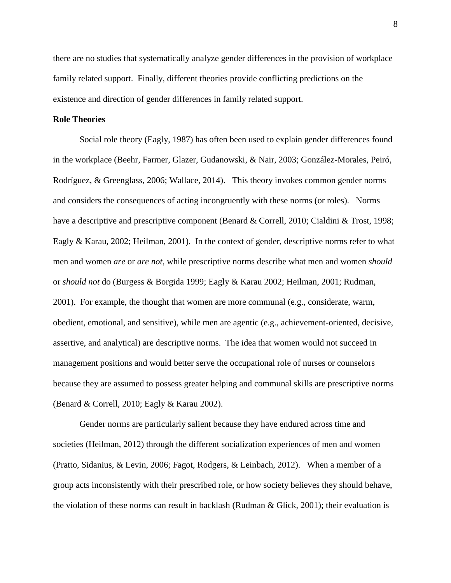there are no studies that systematically analyze gender differences in the provision of workplace family related support. Finally, different theories provide conflicting predictions on the existence and direction of gender differences in family related support.

#### **Role Theories**

Social role theory (Eagly, 1987) has often been used to explain gender differences found in the workplace (Beehr, Farmer, Glazer, Gudanowski, & Nair, 2003; González-Morales, Peiró, Rodríguez, & Greenglass, 2006; Wallace, 2014). This theory invokes common gender norms and considers the consequences of acting incongruently with these norms (or roles). Norms have a descriptive and prescriptive component (Benard & Correll, 2010; Cialdini & Trost, 1998; Eagly & Karau, 2002; Heilman, 2001). In the context of gender, descriptive norms refer to what men and women *are* or *are not*, while prescriptive norms describe what men and women *should* or *should not* do (Burgess & Borgida 1999; Eagly & Karau 2002; Heilman, 2001; Rudman, 2001). For example, the thought that women are more communal (e.g., considerate, warm, obedient, emotional, and sensitive), while men are agentic (e.g., achievement-oriented, decisive, assertive, and analytical) are descriptive norms. The idea that women would not succeed in management positions and would better serve the occupational role of nurses or counselors because they are assumed to possess greater helping and communal skills are prescriptive norms (Benard & Correll, 2010; Eagly & Karau 2002).

Gender norms are particularly salient because they have endured across time and societies (Heilman, 2012) through the different socialization experiences of men and women (Pratto, Sidanius, & Levin, 2006; Fagot, Rodgers, & Leinbach, 2012). When a member of a group acts inconsistently with their prescribed role, or how society believes they should behave, the violation of these norms can result in backlash (Rudman & Glick, 2001); their evaluation is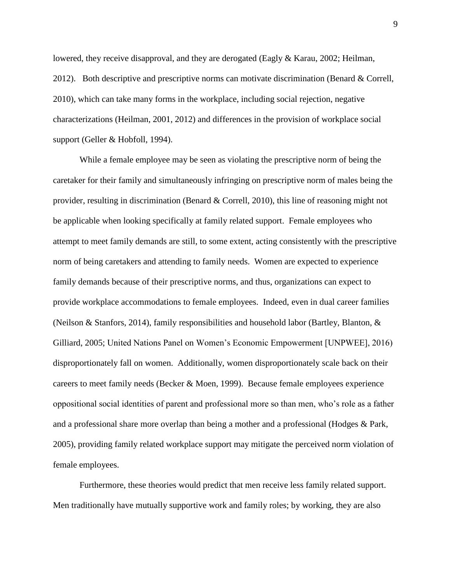lowered, they receive disapproval, and they are derogated (Eagly & Karau, 2002; Heilman, 2012). Both descriptive and prescriptive norms can motivate discrimination (Benard & Correll, 2010), which can take many forms in the workplace, including social rejection, negative characterizations (Heilman, 2001, 2012) and differences in the provision of workplace social support (Geller & Hobfoll, 1994).

While a female employee may be seen as violating the prescriptive norm of being the caretaker for their family and simultaneously infringing on prescriptive norm of males being the provider, resulting in discrimination (Benard & Correll, 2010), this line of reasoning might not be applicable when looking specifically at family related support. Female employees who attempt to meet family demands are still, to some extent, acting consistently with the prescriptive norm of being caretakers and attending to family needs. Women are expected to experience family demands because of their prescriptive norms, and thus, organizations can expect to provide workplace accommodations to female employees. Indeed, even in dual career families (Neilson & Stanfors, 2014), family responsibilities and household labor (Bartley, Blanton, & Gilliard, 2005; United Nations Panel on Women's Economic Empowerment [UNPWEE], 2016) disproportionately fall on women. Additionally, women disproportionately scale back on their careers to meet family needs (Becker & Moen, 1999). Because female employees experience oppositional social identities of parent and professional more so than men, who's role as a father and a professional share more overlap than being a mother and a professional (Hodges & Park, 2005), providing family related workplace support may mitigate the perceived norm violation of female employees.

Furthermore, these theories would predict that men receive less family related support. Men traditionally have mutually supportive work and family roles; by working, they are also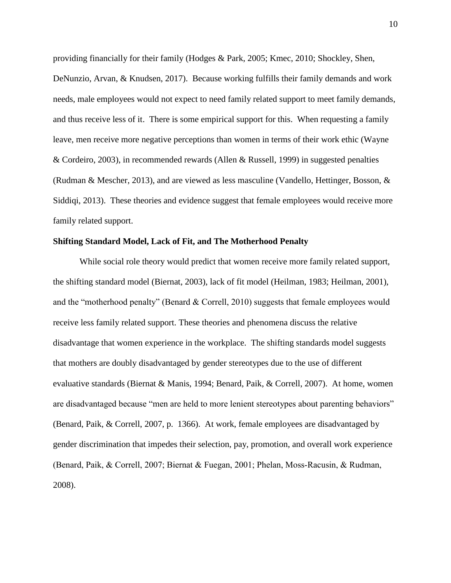providing financially for their family (Hodges & Park, 2005; Kmec, 2010; Shockley, Shen, DeNunzio, Arvan, & Knudsen, 2017). Because working fulfills their family demands and work needs, male employees would not expect to need family related support to meet family demands, and thus receive less of it. There is some empirical support for this. When requesting a family leave, men receive more negative perceptions than women in terms of their work ethic (Wayne & Cordeiro, 2003), in recommended rewards (Allen & Russell, 1999) in suggested penalties (Rudman & Mescher, 2013), and are viewed as less masculine (Vandello, Hettinger, Bosson, & Siddiqi, 2013). These theories and evidence suggest that female employees would receive more family related support.

#### **Shifting Standard Model, Lack of Fit, and The Motherhood Penalty**

While social role theory would predict that women receive more family related support, the shifting standard model (Biernat, 2003), lack of fit model (Heilman, 1983; Heilman, 2001), and the "motherhood penalty" (Benard & Correll, 2010) suggests that female employees would receive less family related support. These theories and phenomena discuss the relative disadvantage that women experience in the workplace. The shifting standards model suggests that mothers are doubly disadvantaged by gender stereotypes due to the use of different evaluative standards (Biernat & Manis, 1994; Benard, Paik, & Correll, 2007). At home, women are disadvantaged because "men are held to more lenient stereotypes about parenting behaviors" (Benard, Paik, & Correll, 2007, p. 1366). At work, female employees are disadvantaged by gender discrimination that impedes their selection, pay, promotion, and overall work experience (Benard, Paik, & Correll, 2007; Biernat & Fuegan, 2001; Phelan, Moss‐Racusin, & Rudman, 2008).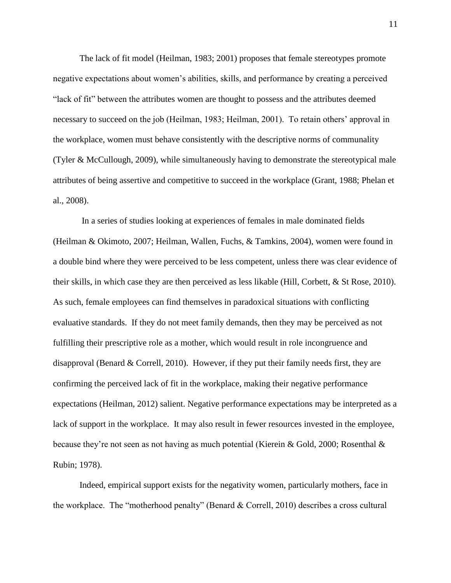The lack of fit model (Heilman, 1983; 2001) proposes that female stereotypes promote negative expectations about women's abilities, skills, and performance by creating a perceived "lack of fit" between the attributes women are thought to possess and the attributes deemed necessary to succeed on the job (Heilman, 1983; Heilman, 2001). To retain others' approval in the workplace, women must behave consistently with the descriptive norms of communality (Tyler & McCullough, 2009), while simultaneously having to demonstrate the stereotypical male attributes of being assertive and competitive to succeed in the workplace (Grant, 1988; Phelan et al., 2008).

In a series of studies looking at experiences of females in male dominated fields (Heilman & Okimoto, 2007; Heilman, Wallen, Fuchs, & Tamkins, 2004), women were found in a double bind where they were perceived to be less competent, unless there was clear evidence of their skills, in which case they are then perceived as less likable (Hill, Corbett, & St Rose, 2010). As such, female employees can find themselves in paradoxical situations with conflicting evaluative standards. If they do not meet family demands, then they may be perceived as not fulfilling their prescriptive role as a mother, which would result in role incongruence and disapproval (Benard & Correll, 2010). However, if they put their family needs first, they are confirming the perceived lack of fit in the workplace, making their negative performance expectations (Heilman, 2012) salient. Negative performance expectations may be interpreted as a lack of support in the workplace. It may also result in fewer resources invested in the employee, because they're not seen as not having as much potential (Kierein & Gold, 2000; Rosenthal & Rubin; 1978).

Indeed, empirical support exists for the negativity women, particularly mothers, face in the workplace. The "motherhood penalty" (Benard & Correll, 2010) describes a cross cultural

11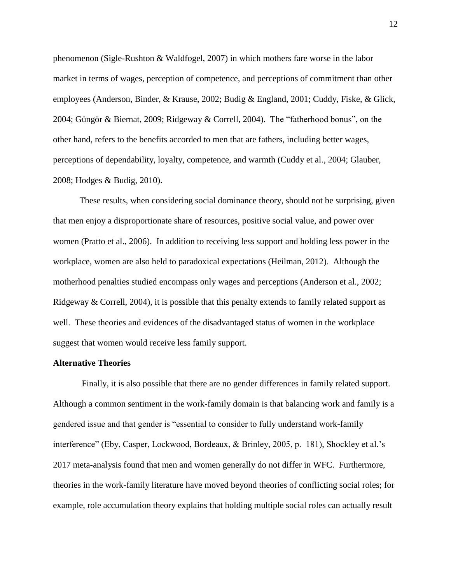phenomenon (Sigle-Rushton & Waldfogel, 2007) in which mothers fare worse in the labor market in terms of wages, perception of competence, and perceptions of commitment than other employees (Anderson, Binder, & Krause, 2002; Budig & England, 2001; Cuddy, Fiske, & Glick, 2004; Güngör & Biernat, 2009; Ridgeway & Correll, 2004). The "fatherhood bonus", on the other hand, refers to the benefits accorded to men that are fathers, including better wages, perceptions of dependability, loyalty, competence, and warmth (Cuddy et al., 2004; Glauber, 2008; Hodges & Budig, 2010).

These results, when considering social dominance theory, should not be surprising, given that men enjoy a disproportionate share of resources, positive social value, and power over women (Pratto et al., 2006). In addition to receiving less support and holding less power in the workplace, women are also held to paradoxical expectations (Heilman, 2012). Although the motherhood penalties studied encompass only wages and perceptions (Anderson et al., 2002; Ridgeway & Correll, 2004), it is possible that this penalty extends to family related support as well. These theories and evidences of the disadvantaged status of women in the workplace suggest that women would receive less family support.

# **Alternative Theories**

Finally, it is also possible that there are no gender differences in family related support. Although a common sentiment in the work-family domain is that balancing work and family is a gendered issue and that gender is "essential to consider to fully understand work-family interference" (Eby, Casper, Lockwood, Bordeaux, & Brinley, 2005, p. 181), Shockley et al.'s 2017 meta-analysis found that men and women generally do not differ in WFC. Furthermore, theories in the work-family literature have moved beyond theories of conflicting social roles; for example, role accumulation theory explains that holding multiple social roles can actually result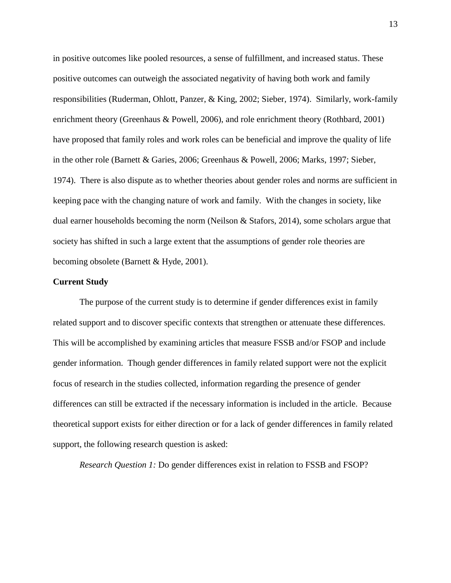in positive outcomes like pooled resources, a sense of fulfillment, and increased status. These positive outcomes can outweigh the associated negativity of having both work and family responsibilities (Ruderman, Ohlott, Panzer, & King, 2002; Sieber, 1974). Similarly, work-family enrichment theory (Greenhaus & Powell, 2006), and role enrichment theory (Rothbard, 2001) have proposed that family roles and work roles can be beneficial and improve the quality of life in the other role (Barnett & Garies, 2006; Greenhaus & Powell, 2006; Marks, 1997; Sieber, 1974). There is also dispute as to whether theories about gender roles and norms are sufficient in keeping pace with the changing nature of work and family. With the changes in society, like dual earner households becoming the norm (Neilson & Stafors, 2014), some scholars argue that society has shifted in such a large extent that the assumptions of gender role theories are becoming obsolete (Barnett & Hyde, 2001).

#### **Current Study**

The purpose of the current study is to determine if gender differences exist in family related support and to discover specific contexts that strengthen or attenuate these differences. This will be accomplished by examining articles that measure FSSB and/or FSOP and include gender information. Though gender differences in family related support were not the explicit focus of research in the studies collected, information regarding the presence of gender differences can still be extracted if the necessary information is included in the article. Because theoretical support exists for either direction or for a lack of gender differences in family related support, the following research question is asked:

*Research Question 1:* Do gender differences exist in relation to FSSB and FSOP?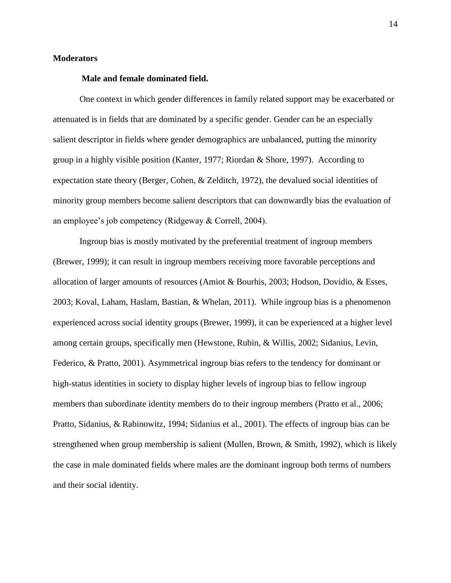# **Moderators**

#### **Male and female dominated field.**

One context in which gender differences in family related support may be exacerbated or attenuated is in fields that are dominated by a specific gender. Gender can be an especially salient descriptor in fields where gender demographics are unbalanced, putting the minority group in a highly visible position (Kanter, 1977; Riordan & Shore, 1997). According to expectation state theory (Berger, Cohen, & Zelditch, 1972), the devalued social identities of minority group members become salient descriptors that can downwardly bias the evaluation of an employee's job competency (Ridgeway & Correll, 2004).

Ingroup bias is mostly motivated by the preferential treatment of ingroup members (Brewer, 1999); it can result in ingroup members receiving more favorable perceptions and allocation of larger amounts of resources (Amiot & Bourhis, 2003; Hodson, Dovidio, & Esses, 2003; Koval, Laham, Haslam, Bastian, & Whelan, 2011). While ingroup bias is a phenomenon experienced across social identity groups (Brewer, 1999), it can be experienced at a higher level among certain groups, specifically men (Hewstone, Rubin, & Willis, 2002; Sidanius, Levin, Federico, & Pratto, 2001). Asymmetrical ingroup bias refers to the tendency for dominant or high-status identities in society to display higher levels of ingroup bias to fellow ingroup members than subordinate identity members do to their ingroup members (Pratto et al., 2006; Pratto, Sidanius, & Rabinowitz, 1994; Sidanius et al., 2001). The effects of ingroup bias can be strengthened when group membership is salient (Mullen, Brown, & Smith, 1992), which is likely the case in male dominated fields where males are the dominant ingroup both terms of numbers and their social identity.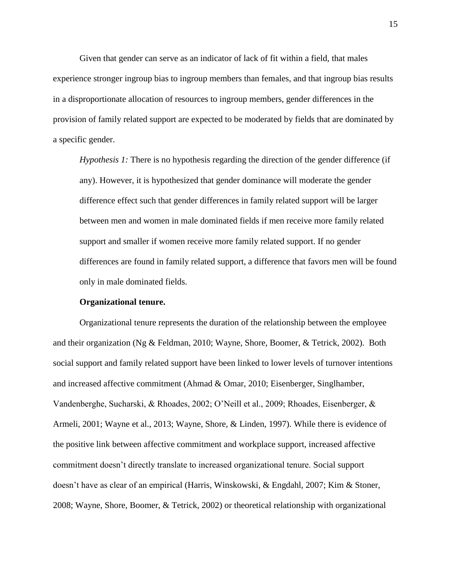Given that gender can serve as an indicator of lack of fit within a field, that males experience stronger ingroup bias to ingroup members than females, and that ingroup bias results in a disproportionate allocation of resources to ingroup members, gender differences in the provision of family related support are expected to be moderated by fields that are dominated by a specific gender.

*Hypothesis 1:* There is no hypothesis regarding the direction of the gender difference (if any). However, it is hypothesized that gender dominance will moderate the gender difference effect such that gender differences in family related support will be larger between men and women in male dominated fields if men receive more family related support and smaller if women receive more family related support. If no gender differences are found in family related support, a difference that favors men will be found only in male dominated fields.

#### **Organizational tenure.**

Organizational tenure represents the duration of the relationship between the employee and their organization (Ng & Feldman, 2010; Wayne, Shore, Boomer, & Tetrick, 2002). Both social support and family related support have been linked to lower levels of turnover intentions and increased affective commitment (Ahmad & Omar, 2010; Eisenberger, Singlhamber, Vandenberghe, Sucharski, & Rhoades, 2002; O'Neill et al., 2009; Rhoades, Eisenberger, & Armeli, 2001; Wayne et al., 2013; Wayne, Shore, & Linden, 1997). While there is evidence of the positive link between affective commitment and workplace support, increased affective commitment doesn't directly translate to increased organizational tenure. Social support doesn't have as clear of an empirical (Harris, Winskowski, & Engdahl, 2007; Kim & Stoner, 2008; Wayne, Shore, Boomer, & Tetrick, 2002) or theoretical relationship with organizational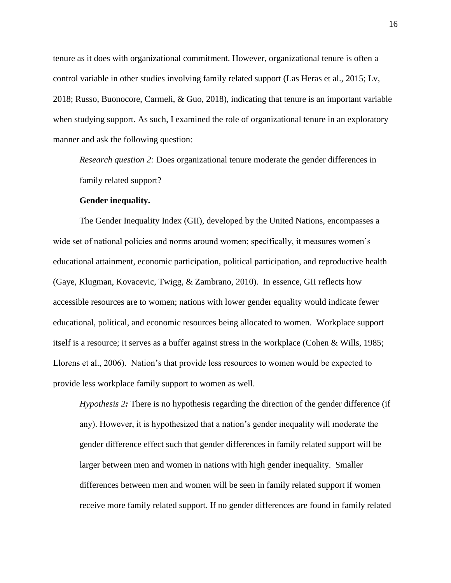tenure as it does with organizational commitment. However, organizational tenure is often a control variable in other studies involving family related support (Las Heras et al., 2015; Lv, 2018; Russo, Buonocore, Carmeli, & Guo, 2018), indicating that tenure is an important variable when studying support. As such, I examined the role of organizational tenure in an exploratory manner and ask the following question:

*Research question 2:* Does organizational tenure moderate the gender differences in family related support?

#### **Gender inequality.**

The Gender Inequality Index (GII), developed by the United Nations, encompasses a wide set of national policies and norms around women; specifically, it measures women's educational attainment, economic participation, political participation, and reproductive health (Gaye, Klugman, Kovacevic, Twigg, & Zambrano, 2010). In essence, GII reflects how accessible resources are to women; nations with lower gender equality would indicate fewer educational, political, and economic resources being allocated to women. Workplace support itself is a resource; it serves as a buffer against stress in the workplace (Cohen & Wills, 1985; Llorens et al., 2006). Nation's that provide less resources to women would be expected to provide less workplace family support to women as well.

*Hypothesis 2:* There is no hypothesis regarding the direction of the gender difference (if any). However, it is hypothesized that a nation's gender inequality will moderate the gender difference effect such that gender differences in family related support will be larger between men and women in nations with high gender inequality. Smaller differences between men and women will be seen in family related support if women receive more family related support. If no gender differences are found in family related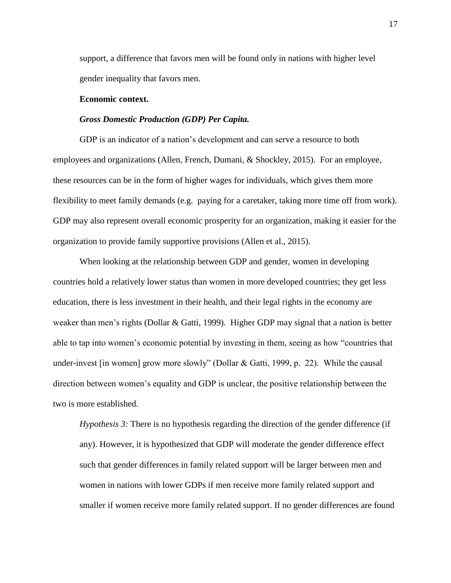support, a difference that favors men will be found only in nations with higher level gender inequality that favors men.

#### **Economic context.**

#### *Gross Domestic Production (GDP) Per Capita.*

GDP is an indicator of a nation's development and can serve a resource to both employees and organizations (Allen, French, Dumani, & Shockley, 2015). For an employee, these resources can be in the form of higher wages for individuals, which gives them more flexibility to meet family demands (e.g. paying for a caretaker, taking more time off from work). GDP may also represent overall economic prosperity for an organization, making it easier for the organization to provide family supportive provisions (Allen et al., 2015).

When looking at the relationship between GDP and gender, women in developing countries hold a relatively lower status than women in more developed countries; they get less education, there is less investment in their health, and their legal rights in the economy are weaker than men's rights (Dollar & Gatti, 1999). Higher GDP may signal that a nation is better able to tap into women's economic potential by investing in them, seeing as how "countries that under-invest [in women] grow more slowly" (Dollar & Gatti, 1999, p. 22). While the causal direction between women's equality and GDP is unclear, the positive relationship between the two is more established.

*Hypothesis 3:* There is no hypothesis regarding the direction of the gender difference (if any). However, it is hypothesized that GDP will moderate the gender difference effect such that gender differences in family related support will be larger between men and women in nations with lower GDPs if men receive more family related support and smaller if women receive more family related support. If no gender differences are found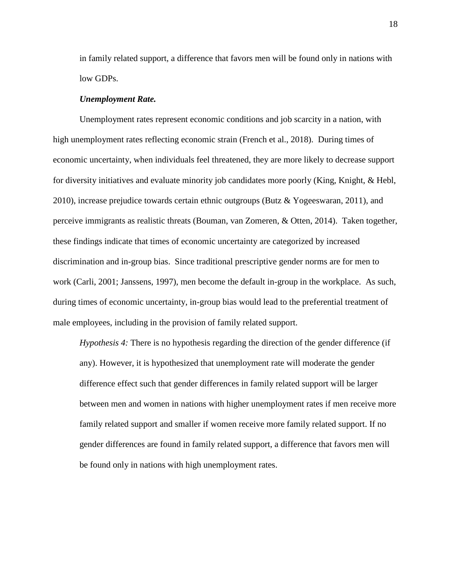in family related support, a difference that favors men will be found only in nations with low GDPs.

#### *Unemployment Rate.*

Unemployment rates represent economic conditions and job scarcity in a nation, with high unemployment rates reflecting economic strain (French et al., 2018). During times of economic uncertainty, when individuals feel threatened, they are more likely to decrease support for diversity initiatives and evaluate minority job candidates more poorly (King, Knight, & Hebl, 2010), increase prejudice towards certain ethnic outgroups (Butz & Yogeeswaran, 2011), and perceive immigrants as realistic threats (Bouman, van Zomeren, & Otten, 2014). Taken together, these findings indicate that times of economic uncertainty are categorized by increased discrimination and in-group bias. Since traditional prescriptive gender norms are for men to work (Carli, 2001; Janssens, 1997), men become the default in-group in the workplace. As such, during times of economic uncertainty, in-group bias would lead to the preferential treatment of male employees, including in the provision of family related support.

*Hypothesis 4:* There is no hypothesis regarding the direction of the gender difference (if any). However, it is hypothesized that unemployment rate will moderate the gender difference effect such that gender differences in family related support will be larger between men and women in nations with higher unemployment rates if men receive more family related support and smaller if women receive more family related support. If no gender differences are found in family related support, a difference that favors men will be found only in nations with high unemployment rates.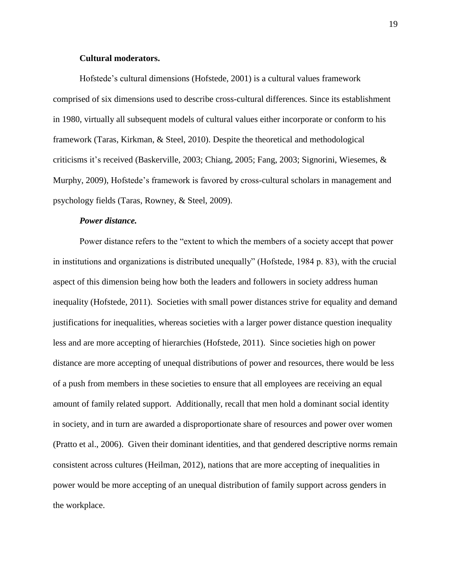#### **Cultural moderators.**

Hofstede's cultural dimensions (Hofstede, 2001) is a cultural values framework comprised of six dimensions used to describe cross-cultural differences. Since its establishment in 1980, virtually all subsequent models of cultural values either incorporate or conform to his framework (Taras, Kirkman, & Steel, 2010). Despite the theoretical and methodological criticisms it's received (Baskerville, 2003; Chiang, 2005; Fang, 2003; Signorini, Wiesemes, & Murphy, 2009), Hofstede's framework is favored by cross-cultural scholars in management and psychology fields (Taras, Rowney, & Steel, 2009).

#### *Power distance.*

Power distance refers to the "extent to which the members of a society accept that power in institutions and organizations is distributed unequally" (Hofstede, 1984 p. 83), with the crucial aspect of this dimension being how both the leaders and followers in society address human inequality (Hofstede, 2011). Societies with small power distances strive for equality and demand justifications for inequalities, whereas societies with a larger power distance question inequality less and are more accepting of hierarchies (Hofstede, 2011). Since societies high on power distance are more accepting of unequal distributions of power and resources, there would be less of a push from members in these societies to ensure that all employees are receiving an equal amount of family related support. Additionally, recall that men hold a dominant social identity in society, and in turn are awarded a disproportionate share of resources and power over women (Pratto et al., 2006). Given their dominant identities, and that gendered descriptive norms remain consistent across cultures (Heilman, 2012), nations that are more accepting of inequalities in power would be more accepting of an unequal distribution of family support across genders in the workplace.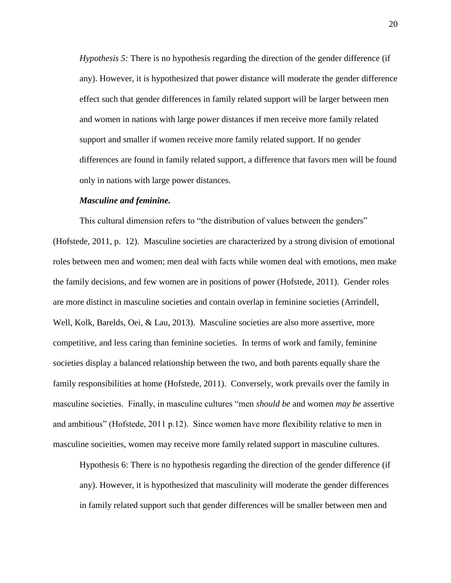*Hypothesis 5:* There is no hypothesis regarding the direction of the gender difference (if any). However, it is hypothesized that power distance will moderate the gender difference effect such that gender differences in family related support will be larger between men and women in nations with large power distances if men receive more family related support and smaller if women receive more family related support. If no gender differences are found in family related support, a difference that favors men will be found only in nations with large power distances.

#### *Masculine and feminine.*

This cultural dimension refers to "the distribution of values between the genders" (Hofstede, 2011, p. 12). Masculine societies are characterized by a strong division of emotional roles between men and women; men deal with facts while women deal with emotions, men make the family decisions, and few women are in positions of power (Hofstede, 2011). Gender roles are more distinct in masculine societies and contain overlap in feminine societies (Arrindell, Well, Kolk, Barelds, Oei, & Lau, 2013). Masculine societies are also more assertive, more competitive, and less caring than feminine societies. In terms of work and family, feminine societies display a balanced relationship between the two, and both parents equally share the family responsibilities at home (Hofstede, 2011). Conversely, work prevails over the family in masculine societies. Finally, in masculine cultures "men *should be* and women *may be* assertive and ambitious" (Hofstede, 2011 p.12). Since women have more flexibility relative to men in masculine socieities, women may receive more family related support in masculine cultures.

Hypothesis 6: There is no hypothesis regarding the direction of the gender difference (if any). However, it is hypothesized that masculinity will moderate the gender differences in family related support such that gender differences will be smaller between men and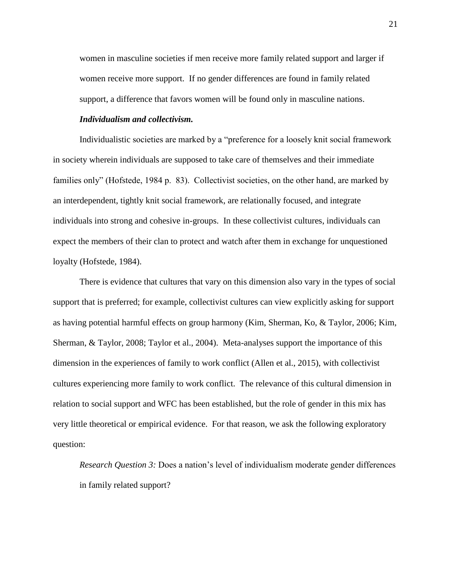women in masculine societies if men receive more family related support and larger if women receive more support. If no gender differences are found in family related support, a difference that favors women will be found only in masculine nations.

## *Individualism and collectivism.*

Individualistic societies are marked by a "preference for a loosely knit social framework in society wherein individuals are supposed to take care of themselves and their immediate families only" (Hofstede, 1984 p. 83). Collectivist societies, on the other hand, are marked by an interdependent, tightly knit social framework, are relationally focused, and integrate individuals into strong and cohesive in-groups. In these collectivist cultures, individuals can expect the members of their clan to protect and watch after them in exchange for unquestioned loyalty (Hofstede, 1984).

There is evidence that cultures that vary on this dimension also vary in the types of social support that is preferred; for example, collectivist cultures can view explicitly asking for support as having potential harmful effects on group harmony (Kim, Sherman, Ko, & Taylor, 2006; Kim, Sherman, & Taylor, 2008; Taylor et al., 2004). Meta-analyses support the importance of this dimension in the experiences of family to work conflict (Allen et al., 2015), with collectivist cultures experiencing more family to work conflict. The relevance of this cultural dimension in relation to social support and WFC has been established, but the role of gender in this mix has very little theoretical or empirical evidence. For that reason, we ask the following exploratory question:

*Research Question 3:* Does a nation's level of individualism moderate gender differences in family related support?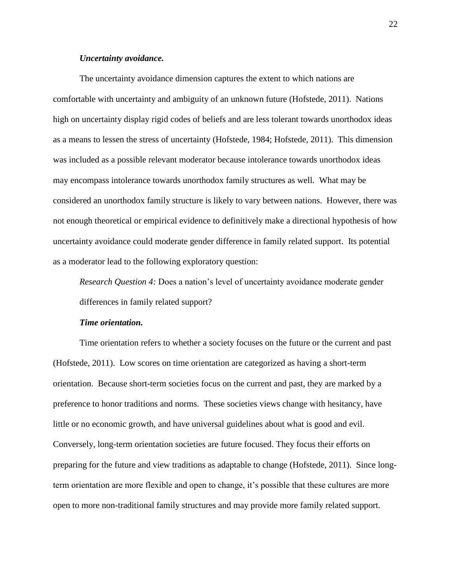#### *Uncertainty avoidance.*

The uncertainty avoidance dimension captures the extent to which nations are comfortable with uncertainty and ambiguity of an unknown future (Hofstede, 2011). Nations high on uncertainty display rigid codes of beliefs and are less tolerant towards unorthodox ideas as a means to lessen the stress of uncertainty (Hofstede, 1984; Hofstede, 2011). This dimension was included as a possible relevant moderator because intolerance towards unorthodox ideas may encompass intolerance towards unorthodox family structures as well. What may be considered an unorthodox family structure is likely to vary between nations. However, there was not enough theoretical or empirical evidence to definitively make a directional hypothesis of how uncertainty avoidance could moderate gender difference in family related support. Its potential as a moderator lead to the following exploratory question:

*Research Question 4:* Does a nation's level of uncertainty avoidance moderate gender differences in family related support?

#### *Time orientation.*

Time orientation refers to whether a society focuses on the future or the current and past (Hofstede, 2011). Low scores on time orientation are categorized as having a short-term orientation. Because short-term societies focus on the current and past, they are marked by a preference to honor traditions and norms. These societies views change with hesitancy, have little or no economic growth, and have universal guidelines about what is good and evil. Conversely, long-term orientation societies are future focused. They focus their efforts on preparing for the future and view traditions as adaptable to change (Hofstede, 2011). Since longterm orientation are more flexible and open to change, it's possible that these cultures are more open to more non-traditional family structures and may provide more family related support.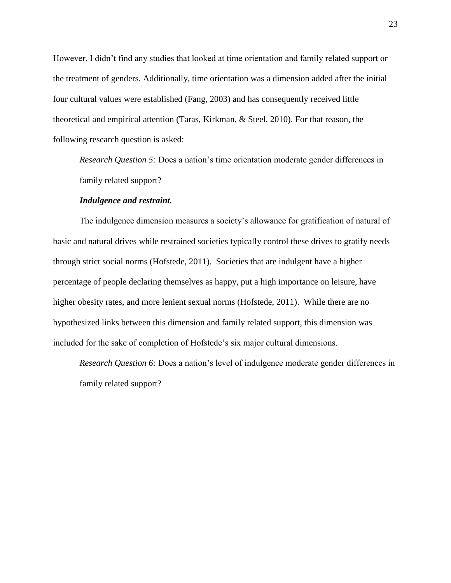However, I didn't find any studies that looked at time orientation and family related support or the treatment of genders. Additionally, time orientation was a dimension added after the initial four cultural values were established (Fang, 2003) and has consequently received little theoretical and empirical attention (Taras, Kirkman, & Steel, 2010). For that reason, the following research question is asked:

*Research Question 5:* Does a nation's time orientation moderate gender differences in family related support?

#### *Indulgence and restraint.*

The indulgence dimension measures a society's allowance for gratification of natural of basic and natural drives while restrained societies typically control these drives to gratify needs through strict social norms (Hofstede, 2011). Societies that are indulgent have a higher percentage of people declaring themselves as happy, put a high importance on leisure, have higher obesity rates, and more lenient sexual norms (Hofstede, 2011). While there are no hypothesized links between this dimension and family related support, this dimension was included for the sake of completion of Hofstede's six major cultural dimensions.

*Research Question 6:* Does a nation's level of indulgence moderate gender differences in family related support?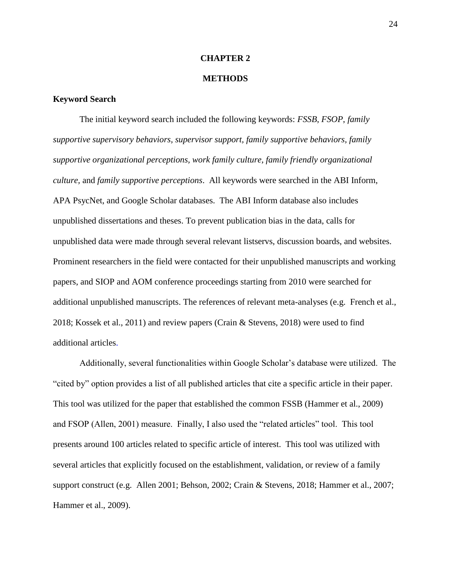#### **CHAPTER 2**

#### **METHODS**

#### **Keyword Search**

The initial keyword search included the following keywords: *FSSB*, *FSOP*, *family supportive supervisory behaviors, supervisor support, family supportive behaviors, family supportive organizational perceptions, work family culture, family friendly organizational culture,* and *family supportive perceptions*. All keywords were searched in the ABI Inform, APA PsycNet, and Google Scholar databases. The ABI Inform database also includes unpublished dissertations and theses. To prevent publication bias in the data, calls for unpublished data were made through several relevant listservs, discussion boards, and websites. Prominent researchers in the field were contacted for their unpublished manuscripts and working papers, and SIOP and AOM conference proceedings starting from 2010 were searched for additional unpublished manuscripts. The references of relevant meta-analyses (e.g. French et al., 2018; Kossek et al., 2011) and review papers (Crain & Stevens, 2018) were used to find additional articles.

Additionally, several functionalities within Google Scholar's database were utilized. The "cited by" option provides a list of all published articles that cite a specific article in their paper. This tool was utilized for the paper that established the common FSSB (Hammer et al., 2009) and FSOP (Allen, 2001) measure. Finally, I also used the "related articles" tool. This tool presents around 100 articles related to specific article of interest. This tool was utilized with several articles that explicitly focused on the establishment, validation, or review of a family support construct (e.g. Allen 2001; Behson, 2002; Crain & Stevens, 2018; Hammer et al., 2007; Hammer et al., 2009).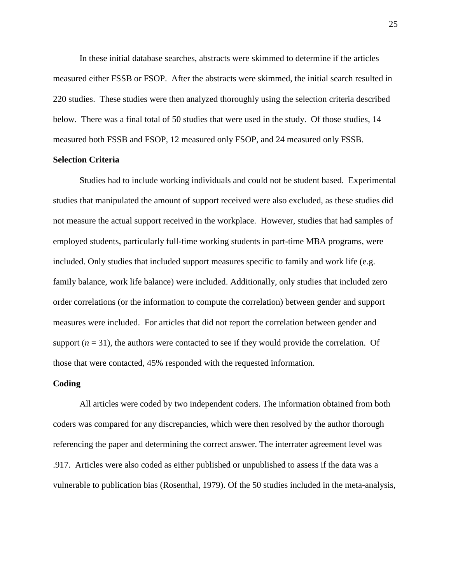In these initial database searches, abstracts were skimmed to determine if the articles measured either FSSB or FSOP. After the abstracts were skimmed, the initial search resulted in 220 studies. These studies were then analyzed thoroughly using the selection criteria described below. There was a final total of 50 studies that were used in the study. Of those studies, 14 measured both FSSB and FSOP, 12 measured only FSOP, and 24 measured only FSSB.

# **Selection Criteria**

Studies had to include working individuals and could not be student based. Experimental studies that manipulated the amount of support received were also excluded, as these studies did not measure the actual support received in the workplace. However, studies that had samples of employed students, particularly full-time working students in part-time MBA programs, were included. Only studies that included support measures specific to family and work life (e.g. family balance, work life balance) were included. Additionally, only studies that included zero order correlations (or the information to compute the correlation) between gender and support measures were included. For articles that did not report the correlation between gender and support  $(n = 31)$ , the authors were contacted to see if they would provide the correlation. Of those that were contacted, 45% responded with the requested information.

#### **Coding**

All articles were coded by two independent coders. The information obtained from both coders was compared for any discrepancies, which were then resolved by the author thorough referencing the paper and determining the correct answer. The interrater agreement level was .917. Articles were also coded as either published or unpublished to assess if the data was a vulnerable to publication bias (Rosenthal, 1979). Of the 50 studies included in the meta-analysis,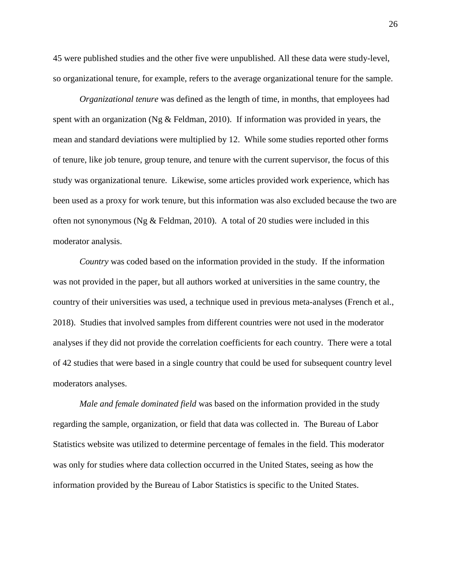45 were published studies and the other five were unpublished. All these data were study-level, so organizational tenure, for example, refers to the average organizational tenure for the sample.

*Organizational tenure* was defined as the length of time, in months, that employees had spent with an organization (Ng & Feldman, 2010). If information was provided in years, the mean and standard deviations were multiplied by 12. While some studies reported other forms of tenure, like job tenure, group tenure, and tenure with the current supervisor, the focus of this study was organizational tenure. Likewise, some articles provided work experience, which has been used as a proxy for work tenure, but this information was also excluded because the two are often not synonymous (Ng  $&$  Feldman, 2010). A total of 20 studies were included in this moderator analysis.

*Country* was coded based on the information provided in the study. If the information was not provided in the paper, but all authors worked at universities in the same country, the country of their universities was used, a technique used in previous meta-analyses (French et al., 2018). Studies that involved samples from different countries were not used in the moderator analyses if they did not provide the correlation coefficients for each country. There were a total of 42 studies that were based in a single country that could be used for subsequent country level moderators analyses.

*Male and female dominated field* was based on the information provided in the study regarding the sample, organization, or field that data was collected in. The Bureau of Labor Statistics website was utilized to determine percentage of females in the field. This moderator was only for studies where data collection occurred in the United States, seeing as how the information provided by the Bureau of Labor Statistics is specific to the United States.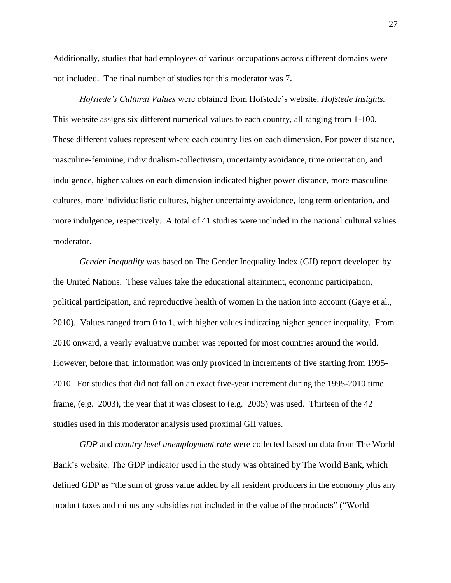Additionally, studies that had employees of various occupations across different domains were not included. The final number of studies for this moderator was 7.

*Hofstede's Cultural Values* were obtained from Hofstede's website, *Hofstede Insights.*  This website assigns six different numerical values to each country, all ranging from 1-100. These different values represent where each country lies on each dimension. For power distance, masculine-feminine, individualism-collectivism, uncertainty avoidance, time orientation, and indulgence, higher values on each dimension indicated higher power distance, more masculine cultures, more individualistic cultures, higher uncertainty avoidance, long term orientation, and more indulgence, respectively. A total of 41 studies were included in the national cultural values moderator.

*Gender Inequality* was based on The Gender Inequality Index (GII) report developed by the United Nations. These values take the educational attainment, economic participation, political participation, and reproductive health of women in the nation into account (Gaye et al., 2010). Values ranged from 0 to 1, with higher values indicating higher gender inequality. From 2010 onward, a yearly evaluative number was reported for most countries around the world. However, before that, information was only provided in increments of five starting from 1995- 2010. For studies that did not fall on an exact five-year increment during the 1995-2010 time frame, (e.g. 2003), the year that it was closest to (e.g. 2005) was used. Thirteen of the 42 studies used in this moderator analysis used proximal GII values.

*GDP* and *country level unemployment rate* were collected based on data from The World Bank's website. The GDP indicator used in the study was obtained by The World Bank, which defined GDP as "the sum of gross value added by all resident producers in the economy plus any product taxes and minus any subsidies not included in the value of the products" ("World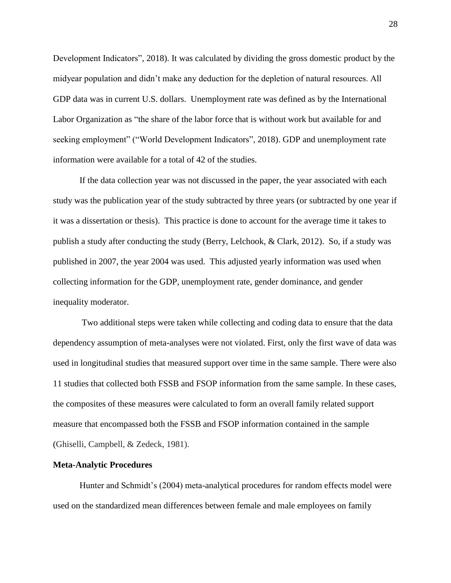Development Indicators", 2018). It was calculated by dividing the gross domestic product by the midyear population and didn't make any deduction for the depletion of natural resources. All GDP data was in current U.S. dollars. Unemployment rate was defined as by the International Labor Organization as "the share of the labor force that is without work but available for and seeking employment" ("World Development Indicators", 2018). GDP and unemployment rate information were available for a total of 42 of the studies.

If the data collection year was not discussed in the paper, the year associated with each study was the publication year of the study subtracted by three years (or subtracted by one year if it was a dissertation or thesis). This practice is done to account for the average time it takes to publish a study after conducting the study (Berry, Lelchook, & Clark, 2012). So, if a study was published in 2007, the year 2004 was used. This adjusted yearly information was used when collecting information for the GDP, unemployment rate, gender dominance, and gender inequality moderator.

Two additional steps were taken while collecting and coding data to ensure that the data dependency assumption of meta-analyses were not violated. First, only the first wave of data was used in longitudinal studies that measured support over time in the same sample. There were also 11 studies that collected both FSSB and FSOP information from the same sample. In these cases, the composites of these measures were calculated to form an overall family related support measure that encompassed both the FSSB and FSOP information contained in the sample (Ghiselli, Campbell, & Zedeck, 1981).

#### **Meta-Analytic Procedures**

Hunter and Schmidt's (2004) meta-analytical procedures for random effects model were used on the standardized mean differences between female and male employees on family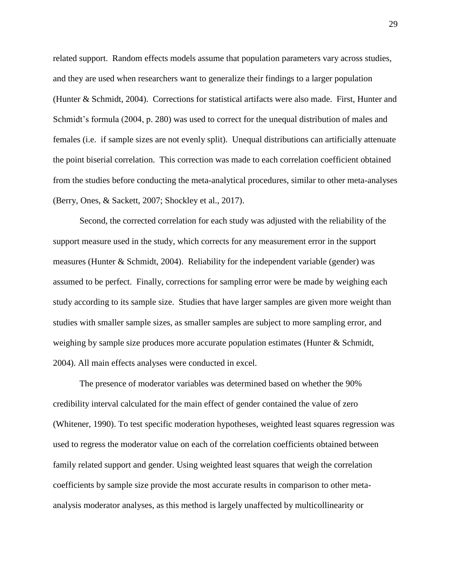related support. Random effects models assume that population parameters vary across studies, and they are used when researchers want to generalize their findings to a larger population (Hunter & Schmidt, 2004). Corrections for statistical artifacts were also made. First, Hunter and Schmidt's formula (2004, p. 280) was used to correct for the unequal distribution of males and females (i.e. if sample sizes are not evenly split). Unequal distributions can artificially attenuate the point biserial correlation. This correction was made to each correlation coefficient obtained from the studies before conducting the meta-analytical procedures, similar to other meta-analyses (Berry, Ones, & Sackett, 2007; Shockley et al., 2017).

Second, the corrected correlation for each study was adjusted with the reliability of the support measure used in the study, which corrects for any measurement error in the support measures (Hunter & Schmidt, 2004). Reliability for the independent variable (gender) was assumed to be perfect. Finally, corrections for sampling error were be made by weighing each study according to its sample size. Studies that have larger samples are given more weight than studies with smaller sample sizes, as smaller samples are subject to more sampling error, and weighing by sample size produces more accurate population estimates (Hunter & Schmidt, 2004). All main effects analyses were conducted in excel.

The presence of moderator variables was determined based on whether the 90% credibility interval calculated for the main effect of gender contained the value of zero (Whitener, 1990). To test specific moderation hypotheses, weighted least squares regression was used to regress the moderator value on each of the correlation coefficients obtained between family related support and gender. Using weighted least squares that weigh the correlation coefficients by sample size provide the most accurate results in comparison to other metaanalysis moderator analyses, as this method is largely unaffected by multicollinearity or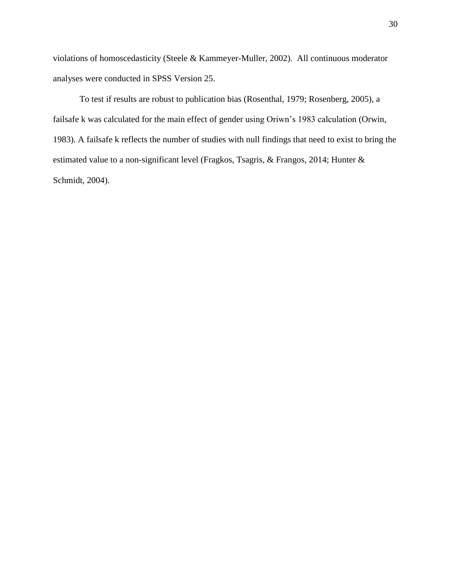violations of homoscedasticity (Steele & Kammeyer-Muller, 2002). All continuous moderator analyses were conducted in SPSS Version 25.

To test if results are robust to publication bias (Rosenthal, 1979; Rosenberg, 2005), a failsafe k was calculated for the main effect of gender using Oriwn's 1983 calculation (Orwin, 1983). A failsafe k reflects the number of studies with null findings that need to exist to bring the estimated value to a non-significant level (Fragkos, Tsagris, & Frangos, 2014; Hunter & Schmidt, 2004).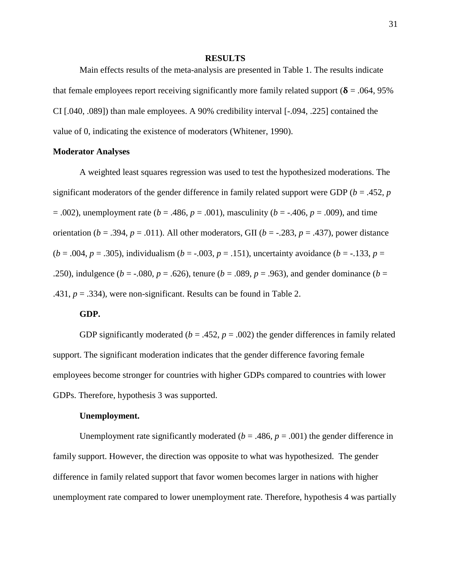#### **RESULTS**

Main effects results of the meta-analysis are presented in Table 1. The results indicate that female employees report receiving significantly more family related support ( $\delta$  = .064, 95%) CI [.040, .089]) than male employees. A 90% credibility interval [-.094, .225] contained the value of 0, indicating the existence of moderators (Whitener, 1990).

## **Moderator Analyses**

A weighted least squares regression was used to test the hypothesized moderations. The significant moderators of the gender difference in family related support were GDP (*b* = .452, *p*  $= .002$ ), unemployment rate ( $b = .486$ ,  $p = .001$ ), masculinity ( $b = .406$ ,  $p = .009$ ), and time orientation ( $b = .394$ ,  $p = .011$ ). All other moderators, GII ( $b = -.283$ ,  $p = .437$ ), power distance (*b* = .004, *p* = .305), individualism (*b* = -.003, *p* = .151), uncertainty avoidance (*b* = -.133, *p* = .250), indulgence ( $b = -0.080$ ,  $p = 0.626$ ), tenure ( $b = 0.089$ ,  $p = 0.963$ ), and gender dominance ( $b = 0.089$ ,  $p = 0.089$ ,  $p = 0.089$ ,  $p = 0.089$ ,  $p = 0.089$ ,  $p = 0.089$ ,  $p = 0.089$ ,  $p = 0.089$ ,  $p = 0.089$ ,  $p = 0.089$ ,  $p$ .431,  $p = .334$ ), were non-significant. Results can be found in Table 2.

#### **GDP.**

GDP significantly moderated ( $b = .452$ ,  $p = .002$ ) the gender differences in family related support. The significant moderation indicates that the gender difference favoring female employees become stronger for countries with higher GDPs compared to countries with lower GDPs. Therefore, hypothesis 3 was supported.

#### **Unemployment.**

Unemployment rate significantly moderated ( $b = .486$ ,  $p = .001$ ) the gender difference in family support. However, the direction was opposite to what was hypothesized. The gender difference in family related support that favor women becomes larger in nations with higher unemployment rate compared to lower unemployment rate. Therefore, hypothesis 4 was partially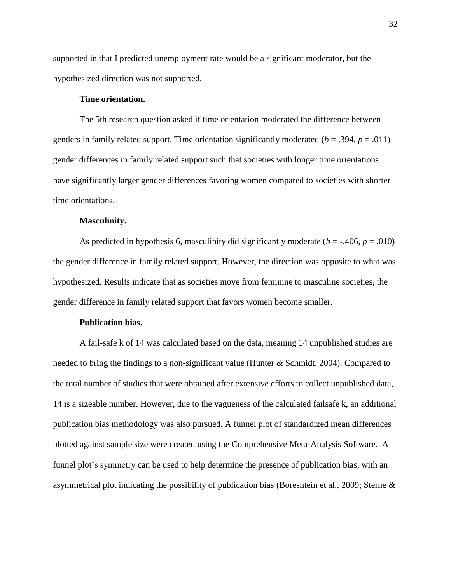supported in that I predicted unemployment rate would be a significant moderator, but the hypothesized direction was not supported.

# **Time orientation.**

The 5th research question asked if time orientation moderated the difference between genders in family related support. Time orientation significantly moderated ( $b = .394$ ,  $p = .011$ ) gender differences in family related support such that societies with longer time orientations have significantly larger gender differences favoring women compared to societies with shorter time orientations.

## **Masculinity.**

As predicted in hypothesis 6, masculinity did significantly moderate  $(b = -0.406, p = 0.010)$ the gender difference in family related support. However, the direction was opposite to what was hypothesized. Results indicate that as societies move from feminine to masculine societies, the gender difference in family related support that favors women become smaller.

## **Publication bias.**

A fail-safe k of 14 was calculated based on the data, meaning 14 unpublished studies are needed to bring the findings to a non-significant value (Hunter & Schmidt, 2004). Compared to the total number of studies that were obtained after extensive efforts to collect unpublished data, 14 is a sizeable number. However, due to the vagueness of the calculated failsafe k, an additional publication bias methodology was also pursued. A funnel plot of standardized mean differences plotted against sample size were created using the Comprehensive Meta-Analysis Software. A funnel plot's symmetry can be used to help determine the presence of publication bias, with an asymmetrical plot indicating the possibility of publication bias (Boresntein et al., 2009; Sterne &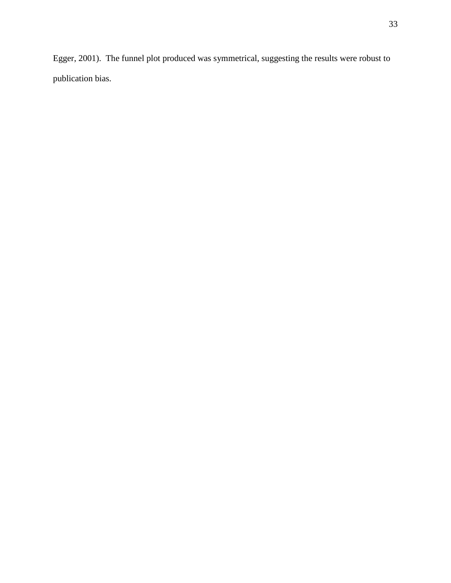Egger, 2001). The funnel plot produced was symmetrical, suggesting the results were robust to publication bias.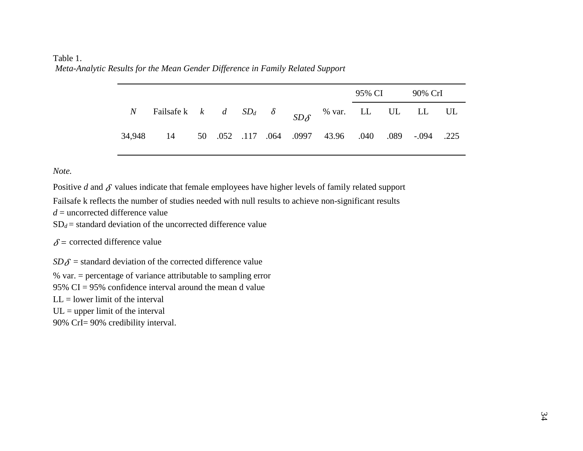# Table 1. *Meta-Analytic Results for the Mean Gender Difference in Family Related Support*

|                                                                                  |  |  |  | 95% CI | 90% CrI |  |
|----------------------------------------------------------------------------------|--|--|--|--------|---------|--|
| <i>N</i> Failsafe k <i>k d</i> $SD_d$ <i>δ SD<sub>6</sub></i> % var. LL UL LL UL |  |  |  |        |         |  |
| 34,948 14 50 052 117 064 0997 43.96 040 089 -094 225                             |  |  |  |        |         |  |

*Note.*

Positive  $d$  and  $\delta$  values indicate that female employees have higher levels of family related support

Failsafe k reflects the number of studies needed with null results to achieve non-significant results

 $d =$  uncorrected difference value

 $SD_d$  = standard deviation of the uncorrected difference value

 $\delta$  = corrected difference value

 $SD\delta$  = standard deviation of the corrected difference value

% var. = percentage of variance attributable to sampling error

95% CI = 95% confidence interval around the mean d value

 $LL =$  lower limit of the interval

 $UL = upper$  limit of the interval

90% CrI= 90% credibility interval.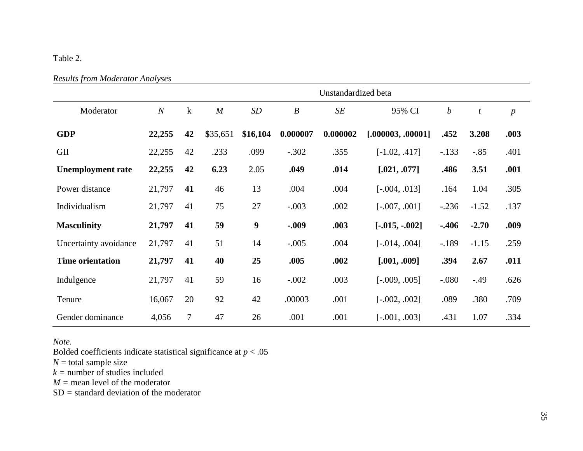# Table 2.

|  |  | <b>Results from Moderator Analyses</b> |  |
|--|--|----------------------------------------|--|
|--|--|----------------------------------------|--|

|                          |                |         | Unstandardized beta |          |                  |          |                   |                  |         |                  |  |  |  |  |  |  |
|--------------------------|----------------|---------|---------------------|----------|------------------|----------|-------------------|------------------|---------|------------------|--|--|--|--|--|--|
| Moderator                | $\overline{N}$ | $\bf k$ | $\overline{M}$      | SD       | $\boldsymbol{B}$ | SE       | 95% CI            | $\boldsymbol{b}$ | t       | $\boldsymbol{p}$ |  |  |  |  |  |  |
| <b>GDP</b>               | 22,255         | 42      | \$35,651            | \$16,104 | 0.000007         | 0.000002 | [.000003, .00001] | .452             | 3.208   | .003             |  |  |  |  |  |  |
| <b>GII</b>               | 22,255         | 42      | .233                | .099     | $-.302$          | .355     | $[-1.02, .417]$   | $-.133$          | $-.85$  | .401             |  |  |  |  |  |  |
| <b>Unemployment rate</b> | 22,255         | 42      | 6.23                | 2.05     | .049             | .014     | [.021, .077]      | .486             | 3.51    | .001             |  |  |  |  |  |  |
| Power distance           | 21,797         | 41      | 46                  | 13       | .004             | .004     | $[-.004, .013]$   | .164             | 1.04    | .305             |  |  |  |  |  |  |
| Individualism            | 21,797         | 41      | 75                  | 27       | $-.003$          | .002     | $[-.007, .001]$   | $-.236$          | $-1.52$ | .137             |  |  |  |  |  |  |
| <b>Masculinity</b>       | 21,797         | 41      | 59                  | 9        | $-0.09$          | .003     | $[-.015, -.002]$  | $-.406$          | $-2.70$ | .009             |  |  |  |  |  |  |
| Uncertainty avoidance    | 21,797         | 41      | 51                  | 14       | $-.005$          | .004     | $[-.014, .004]$   | $-189$           | $-1.15$ | .259             |  |  |  |  |  |  |
| <b>Time orientation</b>  | 21,797         | 41      | 40                  | 25       | .005             | .002     | [.001, .009]      | .394             | 2.67    | .011             |  |  |  |  |  |  |
| Indulgence               | 21,797         | 41      | 59                  | 16       | $-.002$          | .003     | $[-.009, .005]$   | $-0.080$         | $-.49$  | .626             |  |  |  |  |  |  |
| Tenure                   | 16,067         | 20      | 92                  | 42       | .00003           | .001     | $[-.002, .002]$   | .089             | .380    | .709             |  |  |  |  |  |  |
| Gender dominance         | 4,056          | 7       | 47                  | 26       | .001             | .001     | $[-.001, .003]$   | .431             | 1.07    | .334             |  |  |  |  |  |  |

*Note.* 

Bolded coefficients indicate statistical significance at *p* < .05

 $N =$  total sample size

 $k =$  number of studies included

*M =* mean level of the moderator

SD *=* standard deviation of the moderator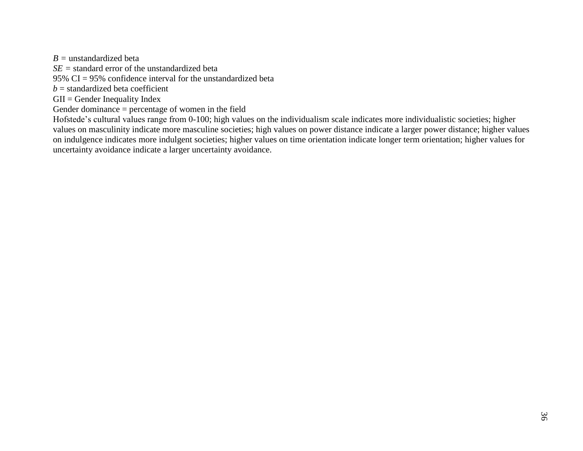*B =* unstandardized beta

*SE =* standard error of the unstandardized beta

95% CI = 95% confidence interval for the unstandardized beta

 $b =$ standardized beta coefficient

 $GII = \text{Gender Inequality Index}$ 

Gender dominance = percentage of women in the field

Hofstede's cultural values range from 0-100; high values on the individualism scale indicates more individualistic societies; higher values on masculinity indicate more masculine societies; high values on power distance indicate a larger power distance; higher values on indulgence indicates more indulgent societies; higher values on time orientation indicate longer term orientation; higher values for uncertainty avoidance indicate a larger uncertainty avoidance.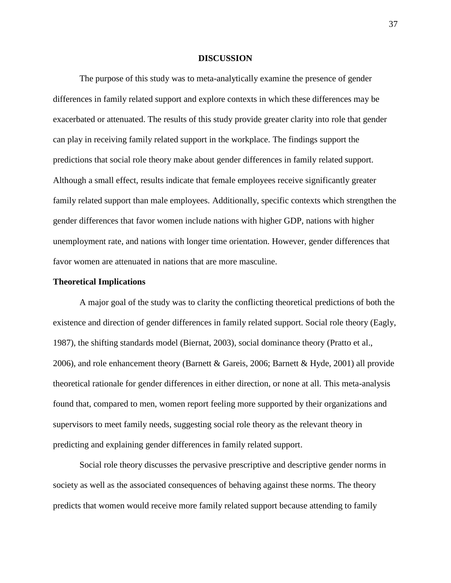#### **DISCUSSION**

The purpose of this study was to meta-analytically examine the presence of gender differences in family related support and explore contexts in which these differences may be exacerbated or attenuated. The results of this study provide greater clarity into role that gender can play in receiving family related support in the workplace. The findings support the predictions that social role theory make about gender differences in family related support. Although a small effect, results indicate that female employees receive significantly greater family related support than male employees. Additionally, specific contexts which strengthen the gender differences that favor women include nations with higher GDP, nations with higher unemployment rate, and nations with longer time orientation. However, gender differences that favor women are attenuated in nations that are more masculine.

## **Theoretical Implications**

A major goal of the study was to clarity the conflicting theoretical predictions of both the existence and direction of gender differences in family related support. Social role theory (Eagly, 1987), the shifting standards model (Biernat, 2003), social dominance theory (Pratto et al., 2006), and role enhancement theory (Barnett & Gareis, 2006; Barnett & Hyde, 2001) all provide theoretical rationale for gender differences in either direction, or none at all. This meta-analysis found that, compared to men, women report feeling more supported by their organizations and supervisors to meet family needs, suggesting social role theory as the relevant theory in predicting and explaining gender differences in family related support.

Social role theory discusses the pervasive prescriptive and descriptive gender norms in society as well as the associated consequences of behaving against these norms. The theory predicts that women would receive more family related support because attending to family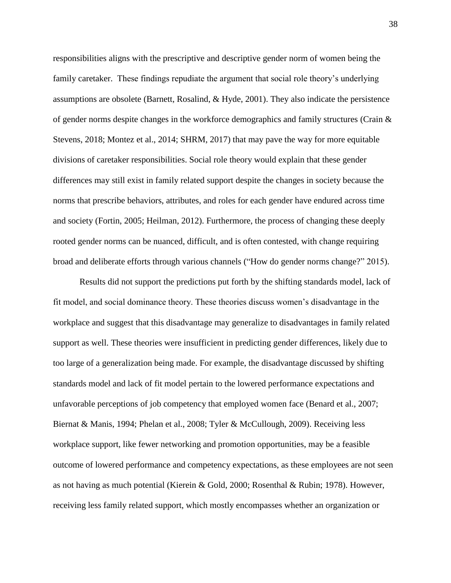responsibilities aligns with the prescriptive and descriptive gender norm of women being the family caretaker. These findings repudiate the argument that social role theory's underlying assumptions are obsolete (Barnett, Rosalind, & Hyde, 2001). They also indicate the persistence of gender norms despite changes in the workforce demographics and family structures (Crain & Stevens, 2018; Montez et al., 2014; SHRM, 2017) that may pave the way for more equitable divisions of caretaker responsibilities. Social role theory would explain that these gender differences may still exist in family related support despite the changes in society because the norms that prescribe behaviors, attributes, and roles for each gender have endured across time and society (Fortin, 2005; Heilman, 2012). Furthermore, the process of changing these deeply rooted gender norms can be nuanced, difficult, and is often contested, with change requiring broad and deliberate efforts through various channels ("How do gender norms change?" 2015).

Results did not support the predictions put forth by the shifting standards model, lack of fit model, and social dominance theory. These theories discuss women's disadvantage in the workplace and suggest that this disadvantage may generalize to disadvantages in family related support as well. These theories were insufficient in predicting gender differences, likely due to too large of a generalization being made. For example, the disadvantage discussed by shifting standards model and lack of fit model pertain to the lowered performance expectations and unfavorable perceptions of job competency that employed women face (Benard et al., 2007; Biernat & Manis, 1994; Phelan et al., 2008; Tyler & McCullough, 2009). Receiving less workplace support, like fewer networking and promotion opportunities, may be a feasible outcome of lowered performance and competency expectations, as these employees are not seen as not having as much potential (Kierein & Gold, 2000; Rosenthal & Rubin; 1978). However, receiving less family related support, which mostly encompasses whether an organization or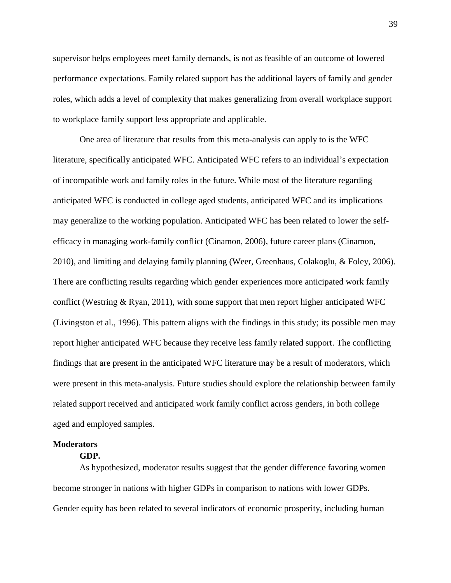supervisor helps employees meet family demands, is not as feasible of an outcome of lowered performance expectations. Family related support has the additional layers of family and gender roles, which adds a level of complexity that makes generalizing from overall workplace support to workplace family support less appropriate and applicable.

One area of literature that results from this meta-analysis can apply to is the WFC literature, specifically anticipated WFC. Anticipated WFC refers to an individual's expectation of incompatible work and family roles in the future. While most of the literature regarding anticipated WFC is conducted in college aged students, anticipated WFC and its implications may generalize to the working population. Anticipated WFC has been related to lower the selfefficacy in managing work-family conflict (Cinamon, 2006), future career plans (Cinamon, 2010), and limiting and delaying family planning (Weer, Greenhaus, Colakoglu, & Foley, 2006). There are conflicting results regarding which gender experiences more anticipated work family conflict (Westring & Ryan, 2011), with some support that men report higher anticipated WFC (Livingston et al., 1996). This pattern aligns with the findings in this study; its possible men may report higher anticipated WFC because they receive less family related support. The conflicting findings that are present in the anticipated WFC literature may be a result of moderators, which were present in this meta-analysis. Future studies should explore the relationship between family related support received and anticipated work family conflict across genders, in both college aged and employed samples.

### **Moderators**

## **GDP.**

As hypothesized, moderator results suggest that the gender difference favoring women become stronger in nations with higher GDPs in comparison to nations with lower GDPs. Gender equity has been related to several indicators of economic prosperity, including human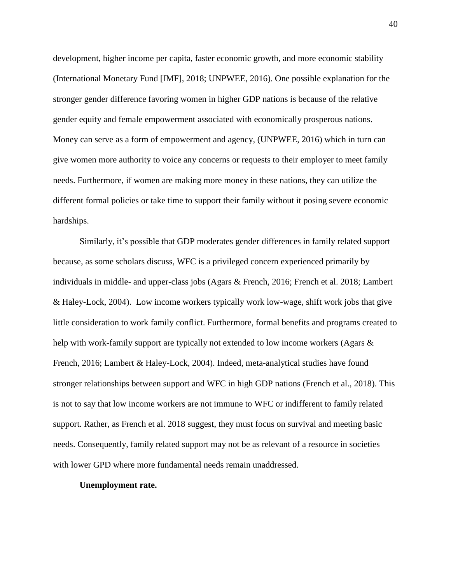development, higher income per capita, faster economic growth, and more economic stability (International Monetary Fund [IMF], 2018; UNPWEE, 2016). One possible explanation for the stronger gender difference favoring women in higher GDP nations is because of the relative gender equity and female empowerment associated with economically prosperous nations. Money can serve as a form of empowerment and agency, (UNPWEE, 2016) which in turn can give women more authority to voice any concerns or requests to their employer to meet family needs. Furthermore, if women are making more money in these nations, they can utilize the different formal policies or take time to support their family without it posing severe economic hardships.

Similarly, it's possible that GDP moderates gender differences in family related support because, as some scholars discuss, WFC is a privileged concern experienced primarily by individuals in middle- and upper-class jobs (Agars & French, 2016; French et al. 2018; Lambert & Haley-Lock, 2004). Low income workers typically work low-wage, shift work jobs that give little consideration to work family conflict. Furthermore, formal benefits and programs created to help with work-family support are typically not extended to low income workers (Agars & French, 2016; Lambert & Haley-Lock, 2004). Indeed, meta-analytical studies have found stronger relationships between support and WFC in high GDP nations (French et al., 2018). This is not to say that low income workers are not immune to WFC or indifferent to family related support. Rather, as French et al. 2018 suggest, they must focus on survival and meeting basic needs. Consequently, family related support may not be as relevant of a resource in societies with lower GPD where more fundamental needs remain unaddressed.

## **Unemployment rate.**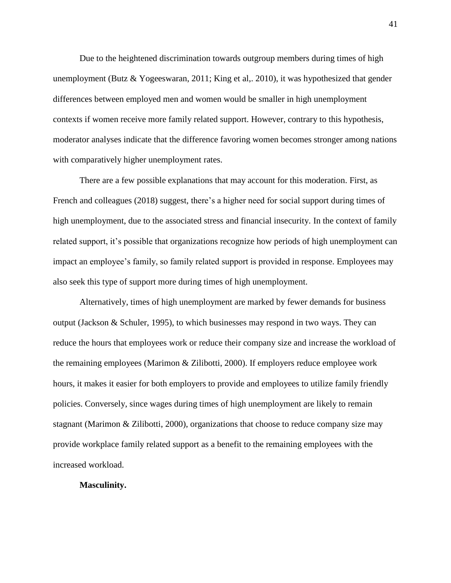Due to the heightened discrimination towards outgroup members during times of high unemployment (Butz  $& Yogeeswaran, 2011$ ; King et al,. 2010), it was hypothesized that gender differences between employed men and women would be smaller in high unemployment contexts if women receive more family related support. However, contrary to this hypothesis, moderator analyses indicate that the difference favoring women becomes stronger among nations with comparatively higher unemployment rates.

There are a few possible explanations that may account for this moderation. First, as French and colleagues (2018) suggest, there's a higher need for social support during times of high unemployment, due to the associated stress and financial insecurity. In the context of family related support, it's possible that organizations recognize how periods of high unemployment can impact an employee's family, so family related support is provided in response. Employees may also seek this type of support more during times of high unemployment.

Alternatively, times of high unemployment are marked by fewer demands for business output (Jackson & Schuler, 1995), to which businesses may respond in two ways. They can reduce the hours that employees work or reduce their company size and increase the workload of the remaining employees (Marimon & Zilibotti, 2000). If employers reduce employee work hours, it makes it easier for both employers to provide and employees to utilize family friendly policies. Conversely, since wages during times of high unemployment are likely to remain stagnant (Marimon & Zilibotti, 2000), organizations that choose to reduce company size may provide workplace family related support as a benefit to the remaining employees with the increased workload.

## **Masculinity.**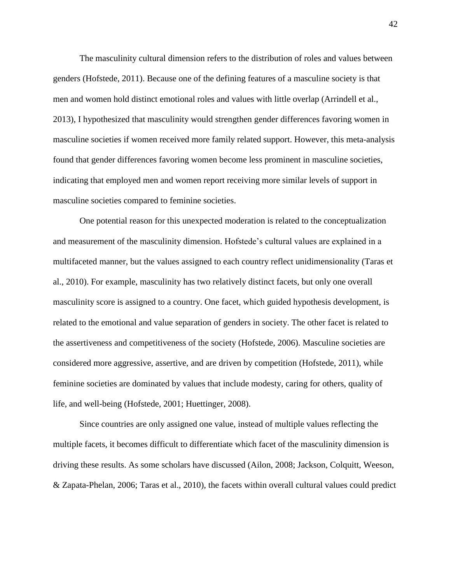The masculinity cultural dimension refers to the distribution of roles and values between genders (Hofstede, 2011). Because one of the defining features of a masculine society is that men and women hold distinct emotional roles and values with little overlap (Arrindell et al., 2013), I hypothesized that masculinity would strengthen gender differences favoring women in masculine societies if women received more family related support. However, this meta-analysis found that gender differences favoring women become less prominent in masculine societies, indicating that employed men and women report receiving more similar levels of support in masculine societies compared to feminine societies.

One potential reason for this unexpected moderation is related to the conceptualization and measurement of the masculinity dimension. Hofstede's cultural values are explained in a multifaceted manner, but the values assigned to each country reflect unidimensionality (Taras et al., 2010). For example, masculinity has two relatively distinct facets, but only one overall masculinity score is assigned to a country. One facet, which guided hypothesis development, is related to the emotional and value separation of genders in society. The other facet is related to the assertiveness and competitiveness of the society (Hofstede, 2006). Masculine societies are considered more aggressive, assertive, and are driven by competition (Hofstede, 2011), while feminine societies are dominated by values that include modesty, caring for others, quality of life, and well-being (Hofstede, 2001; Huettinger, 2008).

Since countries are only assigned one value, instead of multiple values reflecting the multiple facets, it becomes difficult to differentiate which facet of the masculinity dimension is driving these results. As some scholars have discussed (Ailon, 2008; Jackson, Colquitt, Weeson, & Zapata-Phelan, 2006; Taras et al., 2010), the facets within overall cultural values could predict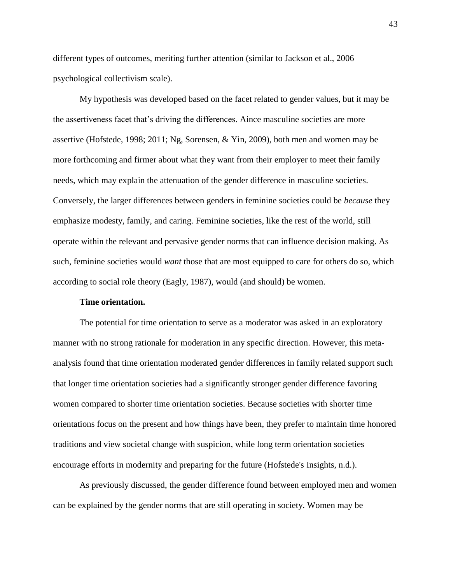different types of outcomes, meriting further attention (similar to Jackson et al., 2006 psychological collectivism scale).

My hypothesis was developed based on the facet related to gender values, but it may be the assertiveness facet that's driving the differences. Aince masculine societies are more assertive (Hofstede, 1998; 2011; Ng, Sorensen, & Yin, 2009), both men and women may be more forthcoming and firmer about what they want from their employer to meet their family needs, which may explain the attenuation of the gender difference in masculine societies. Conversely, the larger differences between genders in feminine societies could be *because* they emphasize modesty, family, and caring. Feminine societies, like the rest of the world, still operate within the relevant and pervasive gender norms that can influence decision making. As such, feminine societies would *want* those that are most equipped to care for others do so, which according to social role theory (Eagly, 1987), would (and should) be women.

#### **Time orientation.**

The potential for time orientation to serve as a moderator was asked in an exploratory manner with no strong rationale for moderation in any specific direction. However, this metaanalysis found that time orientation moderated gender differences in family related support such that longer time orientation societies had a significantly stronger gender difference favoring women compared to shorter time orientation societies. Because societies with shorter time orientations focus on the present and how things have been, they prefer to maintain time honored traditions and view societal change with suspicion, while long term orientation societies encourage efforts in modernity and preparing for the future (Hofstede's Insights, n.d.).

As previously discussed, the gender difference found between employed men and women can be explained by the gender norms that are still operating in society. Women may be

43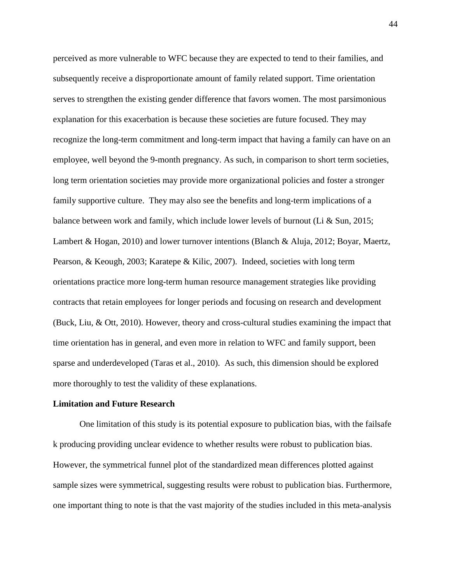perceived as more vulnerable to WFC because they are expected to tend to their families, and subsequently receive a disproportionate amount of family related support. Time orientation serves to strengthen the existing gender difference that favors women. The most parsimonious explanation for this exacerbation is because these societies are future focused. They may recognize the long-term commitment and long-term impact that having a family can have on an employee, well beyond the 9-month pregnancy. As such, in comparison to short term societies, long term orientation societies may provide more organizational policies and foster a stronger family supportive culture. They may also see the benefits and long-term implications of a balance between work and family, which include lower levels of burnout (Li & Sun, 2015; Lambert & Hogan, 2010) and lower turnover intentions (Blanch & Aluja, 2012; Boyar, Maertz, Pearson, & Keough, 2003; Karatepe & Kilic, 2007). Indeed, societies with long term orientations practice more long-term human resource management strategies like providing contracts that retain employees for longer periods and focusing on research and development (Buck, Liu, & Ott, 2010). However, theory and cross-cultural studies examining the impact that time orientation has in general, and even more in relation to WFC and family support, been sparse and underdeveloped (Taras et al., 2010). As such, this dimension should be explored more thoroughly to test the validity of these explanations.

#### **Limitation and Future Research**

One limitation of this study is its potential exposure to publication bias, with the failsafe k producing providing unclear evidence to whether results were robust to publication bias. However, the symmetrical funnel plot of the standardized mean differences plotted against sample sizes were symmetrical, suggesting results were robust to publication bias. Furthermore, one important thing to note is that the vast majority of the studies included in this meta-analysis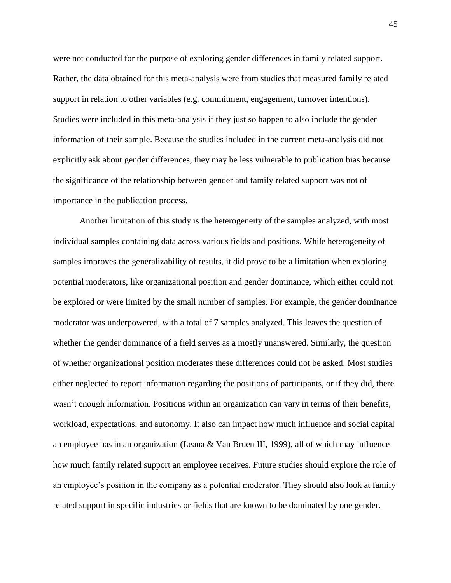were not conducted for the purpose of exploring gender differences in family related support. Rather, the data obtained for this meta-analysis were from studies that measured family related support in relation to other variables (e.g. commitment, engagement, turnover intentions). Studies were included in this meta-analysis if they just so happen to also include the gender information of their sample. Because the studies included in the current meta-analysis did not explicitly ask about gender differences, they may be less vulnerable to publication bias because the significance of the relationship between gender and family related support was not of importance in the publication process.

Another limitation of this study is the heterogeneity of the samples analyzed, with most individual samples containing data across various fields and positions. While heterogeneity of samples improves the generalizability of results, it did prove to be a limitation when exploring potential moderators, like organizational position and gender dominance, which either could not be explored or were limited by the small number of samples. For example, the gender dominance moderator was underpowered, with a total of 7 samples analyzed. This leaves the question of whether the gender dominance of a field serves as a mostly unanswered. Similarly, the question of whether organizational position moderates these differences could not be asked. Most studies either neglected to report information regarding the positions of participants, or if they did, there wasn't enough information. Positions within an organization can vary in terms of their benefits, workload, expectations, and autonomy. It also can impact how much influence and social capital an employee has in an organization (Leana & Van Bruen III, 1999), all of which may influence how much family related support an employee receives. Future studies should explore the role of an employee's position in the company as a potential moderator. They should also look at family related support in specific industries or fields that are known to be dominated by one gender.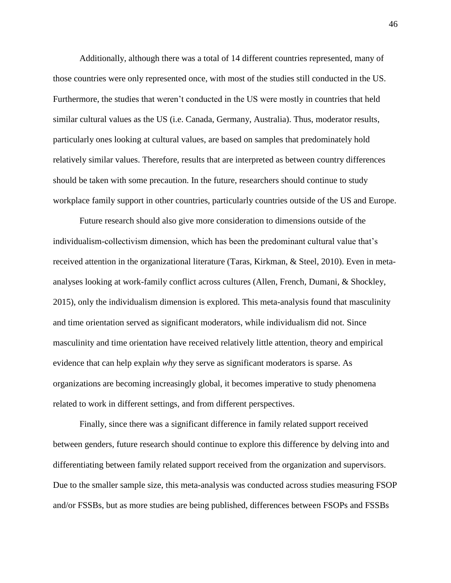Additionally, although there was a total of 14 different countries represented, many of those countries were only represented once, with most of the studies still conducted in the US. Furthermore, the studies that weren't conducted in the US were mostly in countries that held similar cultural values as the US (i.e. Canada, Germany, Australia). Thus, moderator results, particularly ones looking at cultural values, are based on samples that predominately hold relatively similar values. Therefore, results that are interpreted as between country differences should be taken with some precaution. In the future, researchers should continue to study workplace family support in other countries, particularly countries outside of the US and Europe.

Future research should also give more consideration to dimensions outside of the individualism-collectivism dimension, which has been the predominant cultural value that's received attention in the organizational literature (Taras, Kirkman, & Steel, 2010). Even in metaanalyses looking at work-family conflict across cultures (Allen, French, Dumani, & Shockley, 2015), only the individualism dimension is explored. This meta-analysis found that masculinity and time orientation served as significant moderators, while individualism did not. Since masculinity and time orientation have received relatively little attention, theory and empirical evidence that can help explain *why* they serve as significant moderators is sparse. As organizations are becoming increasingly global, it becomes imperative to study phenomena related to work in different settings, and from different perspectives.

Finally, since there was a significant difference in family related support received between genders, future research should continue to explore this difference by delving into and differentiating between family related support received from the organization and supervisors. Due to the smaller sample size, this meta-analysis was conducted across studies measuring FSOP and/or FSSBs, but as more studies are being published, differences between FSOPs and FSSBs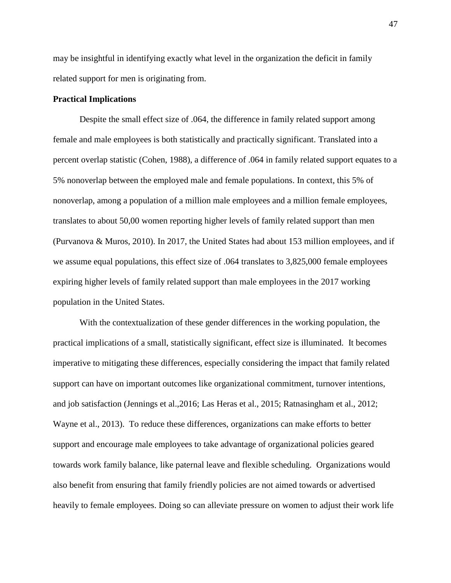may be insightful in identifying exactly what level in the organization the deficit in family related support for men is originating from.

# **Practical Implications**

Despite the small effect size of .064, the difference in family related support among female and male employees is both statistically and practically significant. Translated into a percent overlap statistic (Cohen, 1988), a difference of .064 in family related support equates to a 5% nonoverlap between the employed male and female populations. In context, this 5% of nonoverlap, among a population of a million male employees and a million female employees, translates to about 50,00 women reporting higher levels of family related support than men (Purvanova & Muros, 2010). In 2017, the United States had about 153 million employees, and if we assume equal populations, this effect size of .064 translates to 3,825,000 female employees expiring higher levels of family related support than male employees in the 2017 working population in the United States.

With the contextualization of these gender differences in the working population, the practical implications of a small, statistically significant, effect size is illuminated. It becomes imperative to mitigating these differences, especially considering the impact that family related support can have on important outcomes like organizational commitment, turnover intentions, and job satisfaction (Jennings et al.,2016; Las Heras et al., 2015; Ratnasingham et al., 2012; Wayne et al., 2013). To reduce these differences, organizations can make efforts to better support and encourage male employees to take advantage of organizational policies geared towards work family balance, like paternal leave and flexible scheduling. Organizations would also benefit from ensuring that family friendly policies are not aimed towards or advertised heavily to female employees. Doing so can alleviate pressure on women to adjust their work life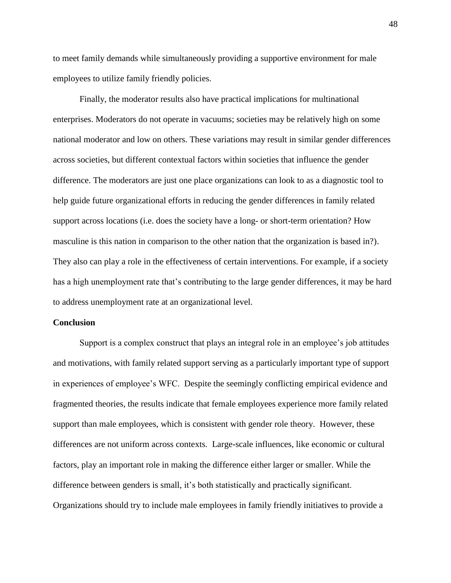to meet family demands while simultaneously providing a supportive environment for male employees to utilize family friendly policies.

Finally, the moderator results also have practical implications for multinational enterprises. Moderators do not operate in vacuums; societies may be relatively high on some national moderator and low on others. These variations may result in similar gender differences across societies, but different contextual factors within societies that influence the gender difference. The moderators are just one place organizations can look to as a diagnostic tool to help guide future organizational efforts in reducing the gender differences in family related support across locations (i.e. does the society have a long- or short-term orientation? How masculine is this nation in comparison to the other nation that the organization is based in?). They also can play a role in the effectiveness of certain interventions. For example, if a society has a high unemployment rate that's contributing to the large gender differences, it may be hard to address unemployment rate at an organizational level.

## **Conclusion**

Support is a complex construct that plays an integral role in an employee's job attitudes and motivations, with family related support serving as a particularly important type of support in experiences of employee's WFC. Despite the seemingly conflicting empirical evidence and fragmented theories, the results indicate that female employees experience more family related support than male employees, which is consistent with gender role theory. However, these differences are not uniform across contexts. Large-scale influences, like economic or cultural factors, play an important role in making the difference either larger or smaller. While the difference between genders is small, it's both statistically and practically significant. Organizations should try to include male employees in family friendly initiatives to provide a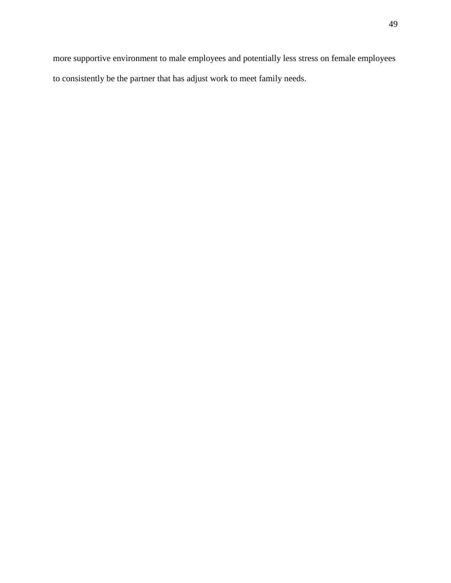more supportive environment to male employees and potentially less stress on female employees to consistently be the partner that has adjust work to meet family needs.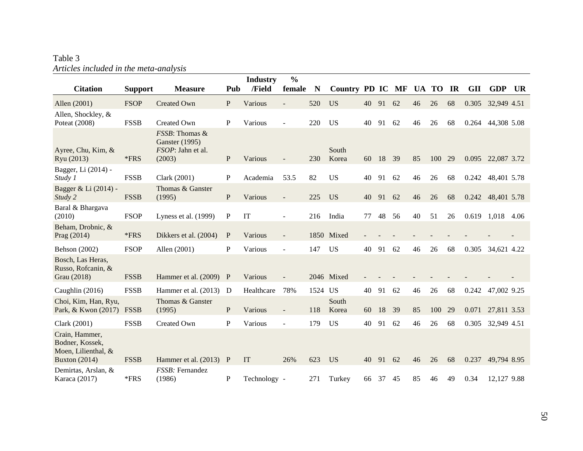# Table 3 *Articles included in the meta-analysis*

| <b>Citation</b>                                                                  | <b>Support</b> | <b>Measure</b>                                                         | Pub          | <b>Industry</b><br>/Field | $\frac{0}{0}$<br>female | N       | Country PD IC MF |    |    |    | <b>UA</b> | <b>TO</b> | IR | <b>GII</b> | <b>GDP</b>  | <b>UR</b> |
|----------------------------------------------------------------------------------|----------------|------------------------------------------------------------------------|--------------|---------------------------|-------------------------|---------|------------------|----|----|----|-----------|-----------|----|------------|-------------|-----------|
| Allen (2001)                                                                     | <b>FSOP</b>    | <b>Created Own</b>                                                     | P            | Various                   |                         | 520     | <b>US</b>        | 40 | 91 | 62 | 46        | 26        | 68 | 0.305      | 32,949 4.51 |           |
| Allen, Shockley, &<br>Poteat (2008)                                              | <b>FSSB</b>    | Created Own                                                            | $\mathbf P$  | Various                   |                         | 220     | <b>US</b>        | 40 | 91 | 62 | 46        | 26        | 68 | 0.264      | 44,308 5.08 |           |
| Ayree, Chu, Kim, &<br>Ryu (2013)                                                 | *FRS           | FSSB: Thomas &<br><b>Ganster</b> (1995)<br>FSOP: Jahn et al.<br>(2003) | $\mathbf{P}$ | Various                   |                         | 230     | South<br>Korea   | 60 | 18 | 39 | 85        | 100       | 29 | 0.095      | 22,087 3.72 |           |
| Bagger, Li (2014) -<br>Study 1                                                   | <b>FSSB</b>    | Clark (2001)                                                           | $\mathbf{P}$ | Academia                  | 53.5                    | 82      | <b>US</b>        | 40 | 91 | 62 | 46        | 26        | 68 | 0.242      | 48,401 5.78 |           |
| Bagger & Li (2014) -<br>Study 2                                                  | <b>FSSB</b>    | Thomas & Ganster<br>(1995)                                             | ${\bf P}$    | Various                   |                         | 225     | <b>US</b>        | 40 | 91 | 62 | 46        | 26        | 68 | 0.242      | 48,401 5.78 |           |
| Baral & Bhargava<br>(2010)                                                       | <b>FSOP</b>    | Lyness et al. (1999)                                                   | $\mathbf{P}$ | IT                        | $\sim$                  | 216     | India            | 77 | 48 | 56 | 40        | 51        | 26 | 0.619      | 1,018       | 4.06      |
| Beham, Drobnic, &<br>Prag (2014)                                                 | *FRS           | Dikkers et al. (2004)                                                  | $\mathbf{P}$ | Various                   |                         |         | 1850 Mixed       |    |    |    |           |           |    |            |             |           |
| <b>Behson</b> (2002)                                                             | <b>FSOP</b>    | Allen (2001)                                                           | P            | Various                   | $\overline{a}$          | 147     | <b>US</b>        | 40 | 91 | 62 | 46        | 26        | 68 | 0.305      | 34,621 4.22 |           |
| Bosch, Las Heras,<br>Russo, Rofcanin, &<br>Grau (2018)                           | <b>FSSB</b>    | Hammer et al. (2009)                                                   | $\mathbf{P}$ | Various                   |                         |         | 2046 Mixed       |    |    |    |           |           |    |            |             |           |
| Caughlin (2016)                                                                  | <b>FSSB</b>    | Hammer et al. (2013)                                                   | D            | Healthcare                | 78%                     | 1524 US |                  | 40 | 91 | 62 | 46        | 26        | 68 | 0.242      | 47,002 9.25 |           |
| Choi, Kim, Han, Ryu,<br>Park, & Kwon (2017)                                      | <b>FSSB</b>    | Thomas & Ganster<br>(1995)                                             | $\mathbf{P}$ | Various                   |                         | 118     | South<br>Korea   | 60 | 18 | 39 | 85        | 100       | 29 | 0.071      | 27,811 3.53 |           |
| Clark (2001)                                                                     | <b>FSSB</b>    | <b>Created Own</b>                                                     | $\mathbf P$  | Various                   | $\blacksquare$          | 179     | <b>US</b>        | 40 | 91 | 62 | 46        | 26        | 68 | 0.305      | 32,949 4.51 |           |
| Crain, Hammer,<br>Bodner, Kossek,<br>Moen, Lilienthal, &<br><b>Buxton</b> (2014) | <b>FSSB</b>    | Hammer et al. (2013)                                                   | $\mathbf{P}$ | IT                        | 26%                     | 623     | <b>US</b>        | 40 | 91 | 62 | 46        | 26        | 68 | 0.237      | 49,794 8.95 |           |
| Demirtas, Arslan, &<br>Karaca (2017)                                             | *FRS           | FSSB: Fernandez<br>(1986)                                              | $\mathbf{P}$ | Technology -              |                         | 271     | Turkey           | 66 | 37 | 45 | 85        | 46        | 49 | 0.34       | 12,127 9.88 |           |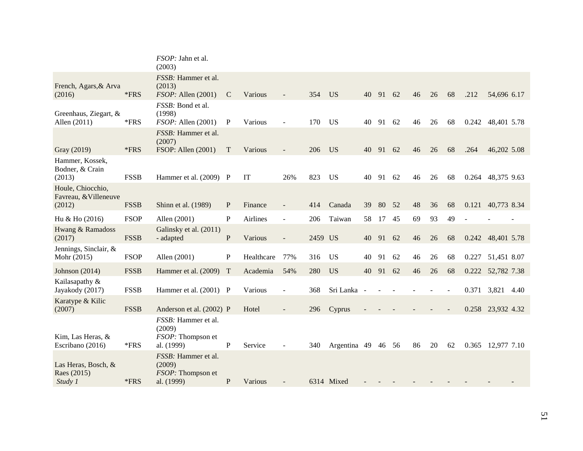|                                                      |             | FSOP: Jahn et al.<br>(2003)                                      |               |            |                |         |                    |       |    |    |    |    |    |       |                   |      |
|------------------------------------------------------|-------------|------------------------------------------------------------------|---------------|------------|----------------|---------|--------------------|-------|----|----|----|----|----|-------|-------------------|------|
| French, Agars, & Arva<br>(2016)                      | *FRS        | FSSB: Hammer et al.<br>(2013)<br>FSOP: Allen (2001)              | $\mathcal{C}$ | Various    |                | 354     | <b>US</b>          | 40    | 91 | 62 | 46 | 26 | 68 | .212  | 54,696 6.17       |      |
| Greenhaus, Ziegart, &<br>Allen (2011)                | *FRS        | FSSB: Bond et al.<br>(1998)<br>FSOP: Allen (2001)                | P             | Various    |                | 170     | <b>US</b>          | 40    | 91 | 62 | 46 | 26 | 68 | 0.242 | 48,401 5.78       |      |
| Gray (2019)                                          | $*FRS$      | FSSB: Hammer et al.<br>(2007)<br>FSOP: Allen (2001)              | T             | Various    |                | 206     | <b>US</b>          | 40 91 |    | 62 | 46 | 26 | 68 | .264  | 46,202 5.08       |      |
| Hammer, Kossek,<br>Bodner, & Crain<br>(2013)         | <b>FSSB</b> | Hammer et al. (2009) P                                           |               | IT         | 26%            | 823     | <b>US</b>          | 40    | 91 | 62 | 46 | 26 | 68 |       | 0.264 48,375 9.63 |      |
| Houle, Chiocchio,<br>Favreau, & Villeneuve<br>(2012) | <b>FSSB</b> | Shinn et al. (1989)                                              | P             | Finance    |                | 414     | Canada             | 39    | 80 | 52 | 48 | 36 | 68 | 0.121 | 40,773 8.34       |      |
| Hu & Ho (2016)                                       | <b>FSOP</b> | Allen (2001)                                                     | $\mathbf{P}$  | Airlines   | $\overline{a}$ | 206     | Taiwan             | 58    | 17 | 45 | 69 | 93 | 49 |       |                   |      |
| Hwang & Ramadoss<br>(2017)                           | <b>FSSB</b> | Galinsky et al. (2011)<br>- adapted                              | P             | Various    | $\blacksquare$ | 2459 US |                    | 40    | 91 | 62 | 46 | 26 | 68 | 0.242 | 48,401 5.78       |      |
| Jennings, Sinclair, &<br>Mohr (2015)                 | <b>FSOP</b> | Allen (2001)                                                     | $\mathbf P$   | Healthcare | 77%            | 316     | <b>US</b>          | 40    | 91 | 62 | 46 | 26 | 68 | 0.227 | 51,451 8.07       |      |
| Johnson $(2014)$                                     | <b>FSSB</b> | Hammer et al. (2009) T                                           |               | Academia   | 54%            | 280     | <b>US</b>          | 40    | 91 | 62 | 46 | 26 | 68 | 0.222 | 52,782 7.38       |      |
| Kailasapathy &<br>Jayakody (2017)                    | <b>FSSB</b> | Hammer et al. (2001) P                                           |               | Various    |                | 368     | Sri Lanka          |       |    |    |    |    |    | 0.371 | 3,821             | 4.40 |
| Karatype & Kilic<br>(2007)                           | <b>FSSB</b> | Anderson et al. (2002) P                                         |               | Hotel      |                | 296     | Cyprus             |       |    |    |    |    |    |       | 0.258 23,932 4.32 |      |
| Kim, Las Heras, &<br>Escribano (2016)                | $*FRS$      | FSSB: Hammer et al.<br>(2009)<br>FSOP: Thompson et<br>al. (1999) | $\mathbf{P}$  | Service    |                | 340     | Argentina 49 46 56 |       |    |    | 86 | 20 | 62 | 0.365 | 12,977 7.10       |      |
| Las Heras, Bosch, &<br>Raes (2015)<br>Study 1        | *FRS        | FSSB: Hammer et al.<br>(2009)<br>FSOP: Thompson et<br>al. (1999) | ${\bf P}$     | Various    |                |         | 6314 Mixed         |       |    |    |    |    |    |       |                   |      |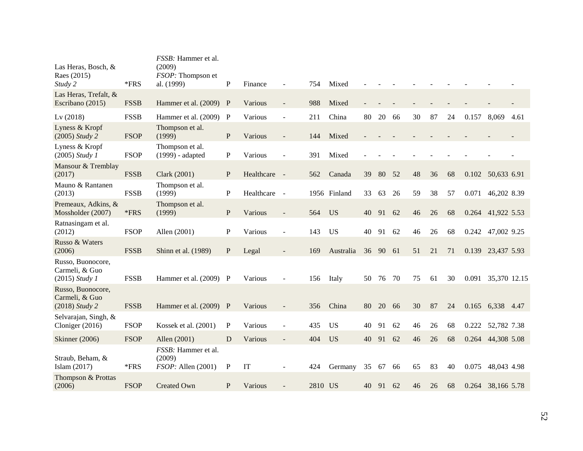| Las Heras, Bosch, &<br>Raes (2015)<br>Study 2           | *FRS        | FSSB: Hammer et al.<br>(2009)<br>FSOP: Thompson et<br>al. (1999) | P            | Finance    | ÷                        | 754     | Mixed        |    |    |     |    |    |    |       |                    |      |
|---------------------------------------------------------|-------------|------------------------------------------------------------------|--------------|------------|--------------------------|---------|--------------|----|----|-----|----|----|----|-------|--------------------|------|
| Las Heras, Trefalt, &<br>Escribano (2015)               | <b>FSSB</b> | Hammer et al. (2009)                                             | P            | Various    | $\overline{a}$           | 988     | Mixed        |    |    |     |    |    |    |       |                    |      |
| Lv(2018)                                                | <b>FSSB</b> | Hammer et al. (2009)                                             | P            | Various    | $\overline{a}$           | 211     | China        | 80 | 20 | 66  | 30 | 87 | 24 | 0.157 | 8,069              | 4.61 |
| Lyness & Kropf<br>$(2005)$ Study 2                      | <b>FSOP</b> | Thompson et al.<br>(1999)                                        | $\mathbf{P}$ | Various    |                          | 144     | Mixed        |    |    |     |    |    |    |       |                    |      |
| Lyness & Kropf<br>$(2005)$ Study 1                      | <b>FSOP</b> | Thompson et al.<br>(1999) - adapted                              | P            | Various    | L,                       | 391     | Mixed        |    |    |     |    |    |    |       |                    |      |
| Mansour & Tremblay<br>(2017)                            | <b>FSSB</b> | Clark (2001)                                                     | $\mathbf{P}$ | Healthcare | $\sim$                   | 562     | Canada       | 39 | 80 | 52  | 48 | 36 | 68 | 0.102 | 50,633 6.91        |      |
| Mauno & Rantanen<br>(2013)                              | <b>FSSB</b> | Thompson et al.<br>(1999)                                        | $\mathbf{P}$ | Healthcare | $\sim$                   |         | 1956 Finland | 33 | 63 | 26  | 59 | 38 | 57 | 0.071 | 46,202 8.39        |      |
| Premeaux, Adkins, &<br>Mossholder (2007)                | $*FRS$      | Thompson et al.<br>(1999)                                        | ${\bf P}$    | Various    |                          | 564     | <b>US</b>    | 40 | 91 | 62  | 46 | 26 | 68 |       | 0.264 41,922 5.53  |      |
| Ratnasingam et al.<br>(2012)                            | <b>FSOP</b> | Allen (2001)                                                     | $\mathbf P$  | Various    | $\overline{a}$           | 143     | <b>US</b>    | 40 | 91 | 62  | 46 | 26 | 68 | 0.242 | 47,002 9.25        |      |
| Russo & Waters<br>(2006)                                | <b>FSSB</b> | Shinn et al. (1989)                                              | P            | Legal      |                          | 169     | Australia    | 36 | 90 | 61  | 51 | 21 | 71 |       | 0.139 23,437 5.93  |      |
| Russo, Buonocore,<br>Carmeli, & Guo<br>$(2015)$ Study 1 | <b>FSSB</b> | Hammer et al. (2009) P                                           |              | Various    |                          | 156     | Italy        | 50 | 76 | 70  | 75 | 61 | 30 |       | 0.091 35,370 12.15 |      |
| Russo, Buonocore,<br>Carmeli, & Guo<br>(2018) Study 2   | <b>FSSB</b> | Hammer et al. (2009) P                                           |              | Various    |                          | 356     | China        | 80 | 20 | 66  | 30 | 87 | 24 |       | 0.165 6,338 4.47   |      |
| Selvarajan, Singh, &<br>Cloniger (2016)                 | <b>FSOP</b> | Kossek et al. (2001)                                             | $\mathbf P$  | Various    | $\overline{a}$           | 435     | <b>US</b>    | 40 | 91 | 62  | 46 | 26 | 68 | 0.222 | 52,782 7.38        |      |
| <b>Skinner</b> (2006)                                   | <b>FSOP</b> | Allen (2001)                                                     | D            | Various    | $\overline{\phantom{a}}$ | 404     | <b>US</b>    | 40 | 91 | 62  | 46 | 26 | 68 |       | 0.264 44,308 5.08  |      |
| Straub, Beham, &<br>Islam $(2017)$                      | *FRS        | FSSB: Hammer et al.<br>(2009)<br>FSOP: Allen (2001)              | $\mathbf P$  | IT         | ä,                       | 424     | Germany      | 35 | 67 | -66 | 65 | 83 | 40 | 0.075 | 48,043 4.98        |      |
| Thompson & Prottas<br>(2006)                            | <b>FSOP</b> | <b>Created Own</b>                                               | P            | Various    |                          | 2810 US |              | 40 | 91 | 62  | 46 | 26 | 68 |       | 0.264 38,166 5.78  |      |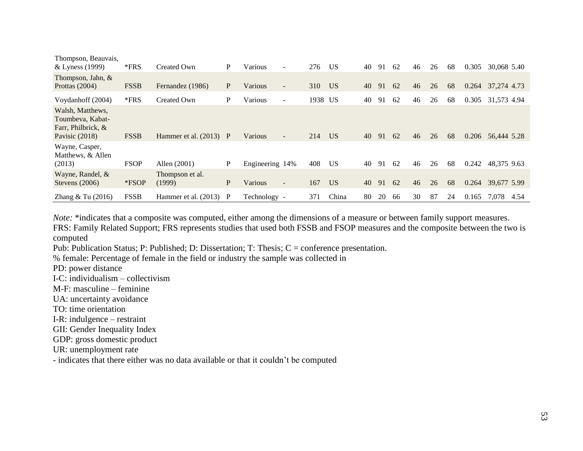| Thompson, Beauvais,<br>& Lyness (1999)                                         | $*FRS$      | Created Own               | P | Various         | ٠                        | 276     | US <sup>-</sup> | 40 | 91 | 62 | 46 | 26 | 68 | 0.305 | 30,068 5.40 |      |
|--------------------------------------------------------------------------------|-------------|---------------------------|---|-----------------|--------------------------|---------|-----------------|----|----|----|----|----|----|-------|-------------|------|
| Thompson, Jahn, &<br>Prottas $(2004)$                                          | <b>FSSB</b> | Fernandez (1986)          | P | Various         | $\overline{\phantom{a}}$ | 310     | US <sub>1</sub> | 40 | 91 | 62 | 46 | 26 | 68 | 0.264 | 37,274 4.73 |      |
| Voydanhoff (2004)                                                              | $*FRS$      | Created Own               | P | Various         | $\blacksquare$           | 1938 US |                 | 40 | 91 | 62 | 46 | 26 | 68 | 0.305 | 31,573 4.94 |      |
| Walsh, Matthews,<br>Toumbeva, Kabat-<br>Farr, Philbrick, &<br>Pavisic $(2018)$ | <b>FSSB</b> | Hammer et al. $(2013)$ P  |   | Various         | $\overline{\phantom{a}}$ | 214     | U <sub>S</sub>  | 40 | 91 | 62 | 46 | 26 | 68 | 0.206 | 56,444 5.28 |      |
| Wayne, Casper,<br>Matthews, & Allen<br>(2013)                                  | <b>FSOP</b> | Allen (2001)              | P | Engineering 14% |                          | 408     | US              | 40 | 91 | 62 | 46 | 26 | 68 | 0.242 | 48,375 9.63 |      |
| Wayne, Randel, &<br>Stevens $(2006)$                                           | *FSOP       | Thompson et al.<br>(1999) | P | Various         | $\overline{\phantom{a}}$ | 167     | <b>US</b>       | 40 | 91 | 62 | 46 | 26 | 68 | 0.264 | 39,677 5.99 |      |
| Zhang $& \text{Tu}(2016)$                                                      | <b>FSSB</b> | Hammer et al. $(2013)$ P  |   | Technology -    |                          | 371     | China           | 80 | 20 | 66 | 30 | 87 | 24 | 0.165 | 7,078       | 4.54 |

*Note:* \*indicates that a composite was computed, either among the dimensions of a measure or between family support measures.

FRS: Family Related Support; FRS represents studies that used both FSSB and FSOP measures and the composite between the two is computed

Pub: Publication Status; P: Published; D: Dissertation; T: Thesis; C = conference presentation.

% female: Percentage of female in the field or industry the sample was collected in

PD: power distance

I-C: individualism – collectivism

M-F: masculine – feminine

UA: uncertainty avoidance

- TO: time orientation
- I-R: indulgence restraint
- GII: Gender Inequality Index

GDP: gross domestic product

UR: unemployment rate

- indicates that there either was no data available or that it couldn't be computed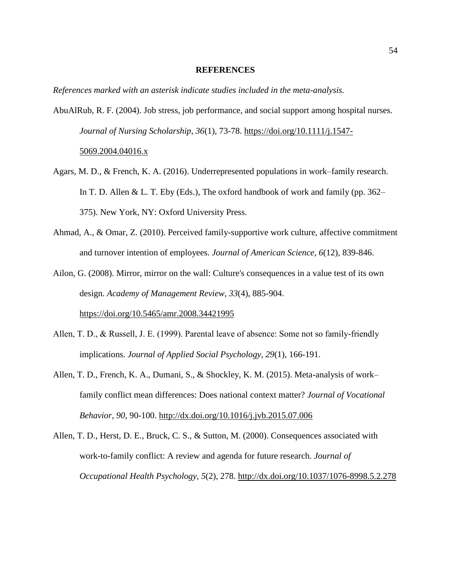#### **REFERENCES**

*References marked with an asterisk indicate studies included in the meta-analysis.* 

AbuAlRub, R. F. (2004). Job stress, job performance, and social support among hospital nurses. *Journal of Nursing Scholarship, 36*(1), 73-78. [https://doi.org/10.1111/j.1547-](https://doi.org/10.1111/j.1547-5069.2004.04016.x)

# [5069.2004.04016.x](https://doi.org/10.1111/j.1547-5069.2004.04016.x)

- Agars, M. D., & French, K. A. (2016). Underrepresented populations in work–family research. In T. D. Allen & L. T. Eby (Eds.), The oxford handbook of work and family (pp.  $362-$ 375). New York, NY: Oxford University Press.
- Ahmad, A., & Omar, Z. (2010). Perceived family-supportive work culture, affective commitment and turnover intention of employees. *Journal of American Science*, *6*(12), 839-846.
- Ailon, G. (2008). Mirror, mirror on the wall: Culture's consequences in a value test of its own design. *Academy of Management Review, 33*(4), 885-904. <https://doi.org/10.5465/amr.2008.34421995>
- Allen, T. D., & Russell, J. E. (1999). Parental leave of absence: Some not so family-friendly implications. *Journal of Applied Social Psychology*, *29*(1), 166-191.
- Allen, T. D., French, K. A., Dumani, S., & Shockley, K. M. (2015). Meta-analysis of work– family conflict mean differences: Does national context matter? *Journal of Vocational Behavior*, *90*, 90-100.<http://dx.doi.org/10.1016/j.jvb.2015.07.006>
- Allen, T. D., Herst, D. E., Bruck, C. S., & Sutton, M. (2000). Consequences associated with work-to-family conflict: A review and agenda for future research. *Journal of Occupational Health Psychology*, *5*(2), 278. [http://dx.doi.org/10.1037/1076-8998.5.2.278](https://psycnet.apa.org/doi/10.1037/1076-8998.5.2.278)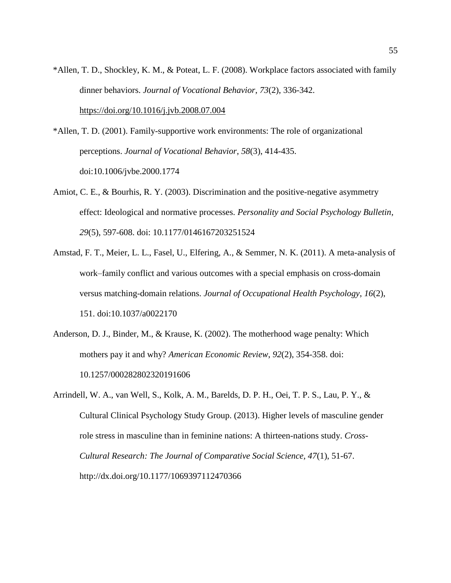\*Allen, T. D., Shockley, K. M., & Poteat, L. F. (2008). Workplace factors associated with family dinner behaviors. *Journal of Vocational Behavior*, *73*(2), 336-342. <https://doi.org/10.1016/j.jvb.2008.07.004>

\*Allen, T. D. (2001). Family-supportive work environments: The role of organizational perceptions. *Journal of Vocational Behavior*, *58*(3), 414-435. doi:10.1006/jvbe.2000.1774

- Amiot, C. E., & Bourhis, R. Y. (2003). Discrimination and the positive-negative asymmetry effect: Ideological and normative processes. *Personality and Social Psychology Bulletin*, *29*(5), 597-608. doi: 10.1177/0146167203251524
- Amstad, F. T., Meier, L. L., Fasel, U., Elfering, A., & Semmer, N. K. (2011). A meta-analysis of work–family conflict and various outcomes with a special emphasis on cross-domain versus matching-domain relations. *Journal of Occupational Health Psychology*, *16*(2), 151. doi:10.1037/a0022170
- Anderson, D. J., Binder, M., & Krause, K. (2002). The motherhood wage penalty: Which mothers pay it and why? *American Economic Review*, *92*(2), 354-358. doi: 10.1257/000282802320191606
- Arrindell, W. A., van Well, S., Kolk, A. M., Barelds, D. P. H., Oei, T. P. S., Lau, P. Y., & Cultural Clinical Psychology Study Group. (2013). Higher levels of masculine gender role stress in masculine than in feminine nations: A thirteen-nations study. *Cross-Cultural Research: The Journal of Comparative Social Science, 47*(1), 51-67. http://dx.doi.org/10.1177/1069397112470366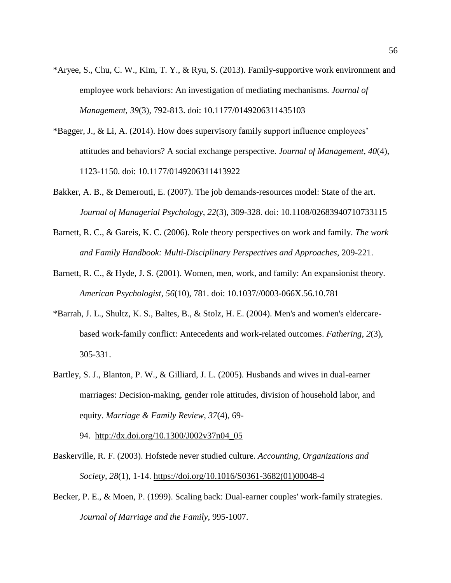- \*Aryee, S., Chu, C. W., Kim, T. Y., & Ryu, S. (2013). Family-supportive work environment and employee work behaviors: An investigation of mediating mechanisms. *Journal of Management*, *39*(3), 792-813. doi: 10.1177/0149206311435103
- \*Bagger, J., & Li, A. (2014). How does supervisory family support influence employees' attitudes and behaviors? A social exchange perspective. *Journal of Management*, *40*(4), 1123-1150. doi: 10.1177/0149206311413922
- Bakker, A. B., & Demerouti, E. (2007). The job demands-resources model: State of the art. *Journal of Managerial Psychology*, *22*(3), 309-328. doi: 10.1108/02683940710733115
- Barnett, R. C., & Gareis, K. C. (2006). Role theory perspectives on work and family. *The work and Family Handbook: Multi-Disciplinary Perspectives and Approaches*, 209-221.
- Barnett, R. C., & Hyde, J. S. (2001). Women, men, work, and family: An expansionist theory. *American Psychologist*, *56*(10), 781. doi: 10.1037//0003-066X.56.10.781
- \*Barrah, J. L., Shultz, K. S., Baltes, B., & Stolz, H. E. (2004). Men's and women's eldercarebased work-family conflict: Antecedents and work-related outcomes. *Fathering*, *2*(3), 305-331.
- Bartley, S. J., Blanton, P. W., & Gilliard, J. L. (2005). Husbands and wives in dual-earner marriages: Decision-making, gender role attitudes, division of household labor, and equity. *Marriage & Family Review*, *37*(4), 69-

94. [http://dx.doi.org/10.1300/J002v37n04\\_05](http://dx.doi.org/10.1300/J002v37n04_05)

- Baskerville, R. F. (2003). Hofstede never studied culture. *Accounting, Organizations and Society, 28*(1), 1-14. [https://doi.org/10.1016/S0361-3682\(01\)00048-4](https://doi.org/10.1016/S0361-3682(01)00048-4)
- Becker, P. E., & Moen, P. (1999). Scaling back: Dual-earner couples' work-family strategies. *Journal of Marriage and the Family*, 995-1007.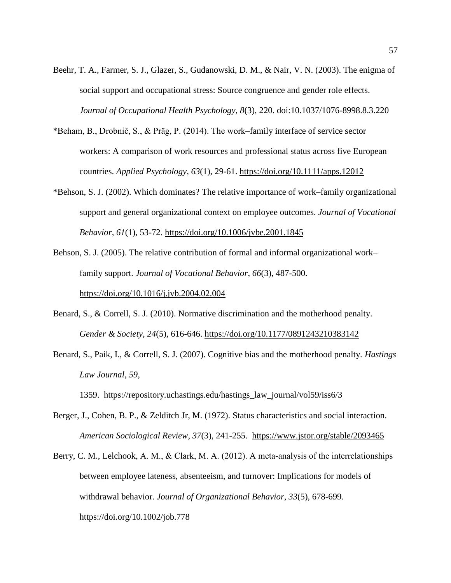- Beehr, T. A., Farmer, S. J., Glazer, S., Gudanowski, D. M., & Nair, V. N. (2003). The enigma of social support and occupational stress: Source congruence and gender role effects. *Journal of Occupational Health Psychology*, *8*(3), 220. doi:10.1037/1076-8998.8.3.220
- \*Beham, B., Drobnič, S., & Präg, P. (2014). The work–family interface of service sector workers: A comparison of work resources and professional status across five European countries. *Applied Psychology*, *63*(1), 29-61.<https://doi.org/10.1111/apps.12012>
- \*Behson, S. J. (2002). Which dominates? The relative importance of work–family organizational support and general organizational context on employee outcomes. *Journal of Vocational Behavior*, *61*(1), 53-72.<https://doi.org/10.1006/jvbe.2001.1845>

Behson, S. J. (2005). The relative contribution of formal and informal organizational work– family support. *Journal of Vocational Behavior*, *66*(3), 487-500. <https://doi.org/10.1016/j.jvb.2004.02.004>

- Benard, S., & Correll, S. J. (2010). Normative discrimination and the motherhood penalty. *Gender & Society*, *24*(5), 616-646. [https://doi.org/10.1177/0891243210383142](https://doi.org/10.1177%2F0891243210383142)
- Benard, S., Paik, I., & Correll, S. J. (2007). Cognitive bias and the motherhood penalty. *Hastings Law Journal*, *59*,

1359. [https://repository.uchastings.edu/hastings\\_law\\_journal/vol59/iss6/3](https://repository.uchastings.edu/hastings_law_journal/vol59/iss6/3)

- Berger, J., Cohen, B. P., & Zelditch Jr, M. (1972). Status characteristics and social interaction. *American Sociological Review*, *37*(3), 241-255. <https://www.jstor.org/stable/2093465>
- Berry, C. M., Lelchook, A. M., & Clark, M. A. (2012). A meta-analysis of the interrelationships between employee lateness, absenteeism, and turnover: Implications for models of withdrawal behavior. *Journal of Organizational Behavior*, *33*(5), 678-699. <https://doi.org/10.1002/job.778>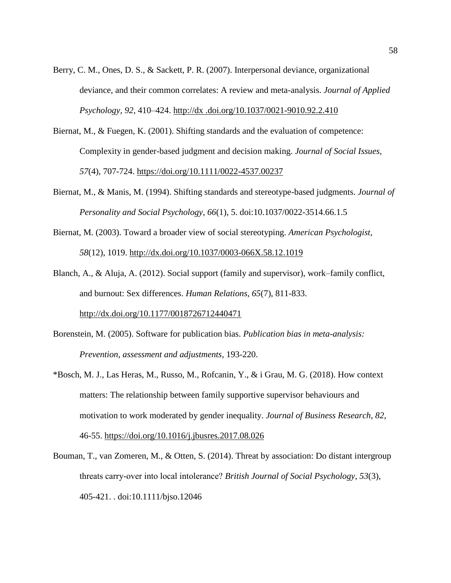- Berry, C. M., Ones, D. S., & Sackett, P. R. (2007). Interpersonal deviance, organizational deviance, and their common correlates: A review and meta-analysis. *Journal of Applied Psychology, 92,* 410–424. [http://dx .doi.org/10.1037/0021-9010.92.2.410](http://dx/)
- Biernat, M., & Fuegen, K. (2001). Shifting standards and the evaluation of competence: Complexity in gender-based judgment and decision making. *Journal of Social Issues, 57*(4), 707-724.<https://doi.org/10.1111/0022-4537.00237>
- Biernat, M., & Manis, M. (1994). Shifting standards and stereotype-based judgments. *Journal of Personality and Social Psychology*, *66*(1), 5. doi:10.1037/0022-3514.66.1.5
- Biernat, M. (2003). Toward a broader view of social stereotyping. *American Psychologist*, *58*(12), 1019. [http://dx.doi.org/10.1037/0003-066X.58.12.1019](https://psycnet.apa.org/doi/10.1037/0003-066X.58.12.1019)
- Blanch, A., & Aluja, A. (2012). Social support (family and supervisor), work–family conflict, and burnout: Sex differences. *Human Relations, 65*(7), 811-833.

<http://dx.doi.org/10.1177/0018726712440471>

- Borenstein, M. (2005). Software for publication bias. *Publication bias in meta-analysis: Prevention, assessment and adjustments*, 193-220.
- \*Bosch, M. J., Las Heras, M., Russo, M., Rofcanin, Y., & i Grau, M. G. (2018). How context matters: The relationship between family supportive supervisor behaviours and motivation to work moderated by gender inequality. *Journal of Business Research*, *82*, 46-55.<https://doi.org/10.1016/j.jbusres.2017.08.026>
- Bouman, T., van Zomeren, M., & Otten, S. (2014). Threat by association: Do distant intergroup threats carry‐over into local intolerance? *British Journal of Social Psychology*, *53*(3), 405-421. . doi:10.1111/bjso.12046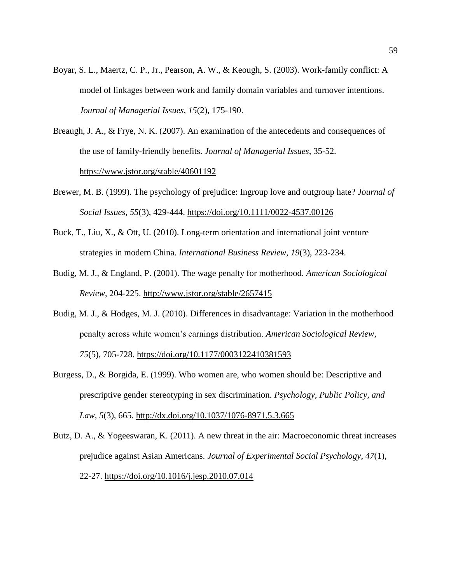- Boyar, S. L., Maertz, C. P., Jr., Pearson, A. W., & Keough, S. (2003). Work-family conflict: A model of linkages between work and family domain variables and turnover intentions. *Journal of Managerial Issues, 15*(2), 175-190.
- Breaugh, J. A., & Frye, N. K. (2007). An examination of the antecedents and consequences of the use of family-friendly benefits. *Journal of Managerial Issues*, 35-52. <https://www.jstor.org/stable/40601192>
- Brewer, M. B. (1999). The psychology of prejudice: Ingroup love and outgroup hate? *Journal of Social Issues*, *55*(3), 429-444.<https://doi.org/10.1111/0022-4537.00126>
- Buck, T., Liu, X., & Ott, U. (2010). Long-term orientation and international joint venture strategies in modern China. *International Business Review, 19*(3), 223-234.
- Budig, M. J., & England, P. (2001). The wage penalty for motherhood. *American Sociological Review*, 204-225.<http://www.jstor.org/stable/2657415>
- Budig, M. J., & Hodges, M. J. (2010). Differences in disadvantage: Variation in the motherhood penalty across white women's earnings distribution. *American Sociological Review*, *75*(5), 705-728.<https://doi.org/10.1177/0003122410381593>
- Burgess, D., & Borgida, E. (1999). Who women are, who women should be: Descriptive and prescriptive gender stereotyping in sex discrimination. *Psychology, Public Policy, and Law*, *5*(3), 665. [http://dx.doi.org/10.1037/1076-8971.5.3.665](https://psycnet.apa.org/doi/10.1037/1076-8971.5.3.665)
- Butz, D. A., & Yogeeswaran, K. (2011). A new threat in the air: Macroeconomic threat increases prejudice against Asian Americans. *Journal of Experimental Social Psychology*, *47*(1), 22-27.<https://doi.org/10.1016/j.jesp.2010.07.014>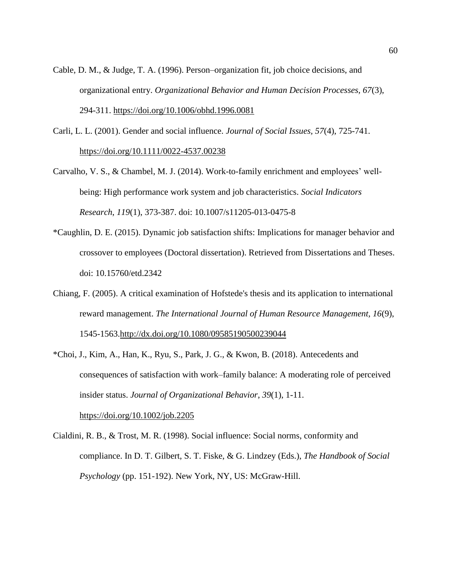- Cable, D. M., & Judge, T. A. (1996). Person–organization fit, job choice decisions, and organizational entry. *Organizational Behavior and Human Decision Processes, 67*(3), 294-311.<https://doi.org/10.1006/obhd.1996.0081>
- Carli, L. L. (2001). Gender and social influence. *Journal of Social Issues, 57*(4), 725-741. <https://doi.org/10.1111/0022-4537.00238>
- Carvalho, V. S., & Chambel, M. J. (2014). Work-to-family enrichment and employees' wellbeing: High performance work system and job characteristics. *Social Indicators Research*, *119*(1), 373-387. doi: 10.1007/s11205-013-0475-8
- \*Caughlin, D. E. (2015). Dynamic job satisfaction shifts: Implications for manager behavior and crossover to employees (Doctoral dissertation). Retrieved from Dissertations and Theses. doi: 10.15760/etd.2342
- Chiang, F. (2005). A critical examination of Hofstede's thesis and its application to international reward management. *The International Journal of Human Resource Management, 16*(9), 1545-1563[.http://dx.doi.org/10.1080/09585190500239044](https://psycnet.apa.org/doi/10.1080/09585190500239044)
- \*Choi, J., Kim, A., Han, K., Ryu, S., Park, J. G., & Kwon, B. (2018). Antecedents and consequences of satisfaction with work–family balance: A moderating role of perceived insider status. *Journal of Organizational Behavior*, *39*(1), 1-11.

<https://doi.org/10.1002/job.2205>

Cialdini, R. B., & Trost, M. R. (1998). Social influence: Social norms, conformity and compliance. In D. T. Gilbert, S. T. Fiske, & G. Lindzey (Eds.), *The Handbook of Social Psychology* (pp. 151-192). New York, NY, US: McGraw-Hill.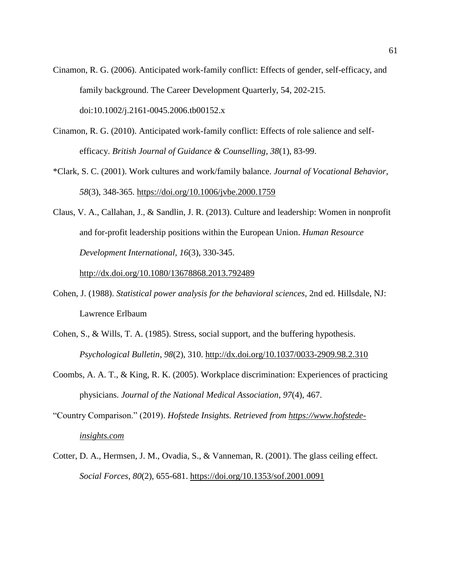- Cinamon, R. G. (2006). Anticipated work-family conflict: Effects of gender, self-efficacy, and family background. The Career Development Quarterly, 54, 202-215. doi:10.1002/j.2161-0045.2006.tb00152.x
- Cinamon, R. G. (2010). Anticipated work-family conflict: Effects of role salience and selfefficacy. *British Journal of Guidance & Counselling*, *38*(1), 83-99.
- \*Clark, S. C. (2001). Work cultures and work/family balance. *Journal of Vocational Behavior*, *58*(3), 348-365.<https://doi.org/10.1006/jvbe.2000.1759>
- Claus, V. A., Callahan, J., & Sandlin, J. R. (2013). Culture and leadership: Women in nonprofit and for-profit leadership positions within the European Union. *Human Resource Development International, 16*(3), 330-345.

[http://dx.doi.org/10.1080/13678868.2013.792489](https://psycnet.apa.org/doi/10.1080/13678868.2013.792489)

- Cohen, J. (1988). *Statistical power analysis for the behavioral sciences*, 2nd ed. Hillsdale, NJ: Lawrence Erlbaum
- Cohen, S., & Wills, T. A. (1985). Stress, social support, and the buffering hypothesis. *Psychological Bulletin*, *98*(2), 310. [http://dx.doi.org/10.1037/0033-2909.98.2.310](https://psycnet.apa.org/doi/10.1037/0033-2909.98.2.310)
- Coombs, A. A. T., & King, R. K. (2005). Workplace discrimination: Experiences of practicing physicians. *Journal of the National Medical Association*, *97*(4), 467.
- "Country Comparison." (2019). *Hofstede Insights. Retrieved from [https://www.hofstede](https://www.hofstede-insights.com/)[insights.com](https://www.hofstede-insights.com/)*
- Cotter, D. A., Hermsen, J. M., Ovadia, S., & Vanneman, R. (2001). The glass ceiling effect. *Social Forces*, *80*(2), 655-681.<https://doi.org/10.1353/sof.2001.0091>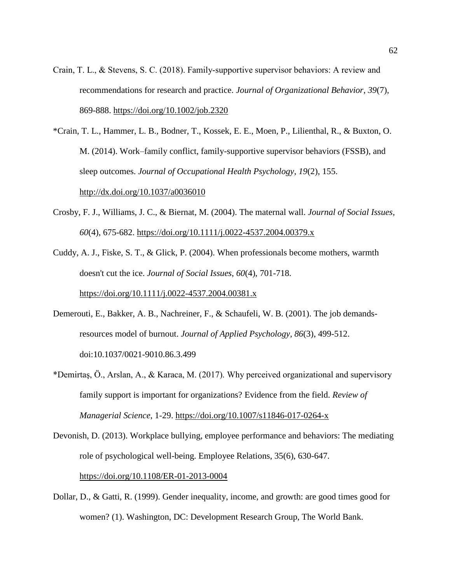- Crain, T. L., & Stevens, S. C. (2018). Family‐supportive supervisor behaviors: A review and recommendations for research and practice. *Journal of Organizational Behavior*, *39*(7), 869-888.<https://doi.org/10.1002/job.2320>
- \*Crain, T. L., Hammer, L. B., Bodner, T., Kossek, E. E., Moen, P., Lilienthal, R., & Buxton, O. M. (2014). Work–family conflict, family-supportive supervisor behaviors (FSSB), and sleep outcomes. *Journal of Occupational Health Psychology*, *19*(2), 155. <http://dx.doi.org/10.1037/a0036010>
- Crosby, F. J., Williams, J. C., & Biernat, M. (2004). The maternal wall. *Journal of Social Issues, 60*(4), 675-682.<https://doi.org/10.1111/j.0022-4537.2004.00379.x>

Cuddy, A. J., Fiske, S. T., & Glick, P. (2004). When professionals become mothers, warmth doesn't cut the ice. *Journal of Social Issues*, *60*(4), 701-718. <https://doi.org/10.1111/j.0022-4537.2004.00381.x>

- Demerouti, E., Bakker, A. B., Nachreiner, F., & Schaufeli, W. B. (2001). The job demandsresources model of burnout. *Journal of Applied Psychology, 86*(3), 499-512. doi:10.1037/0021-9010.86.3.499
- \*Demirtaş, Ö., Arslan, A., & Karaca, M. (2017). Why perceived organizational and supervisory family support is important for organizations? Evidence from the field. *Review of Managerial Science*, 1-29.<https://doi.org/10.1007/s11846-017-0264-x>
- Devonish, D. (2013). Workplace bullying, employee performance and behaviors: The mediating role of psychological well-being. Employee Relations, 35(6), 630-647.

<https://doi.org/10.1108/ER-01-2013-0004>

Dollar, D., & Gatti, R. (1999). Gender inequality, income, and growth: are good times good for women? (1). Washington, DC: Development Research Group, The World Bank.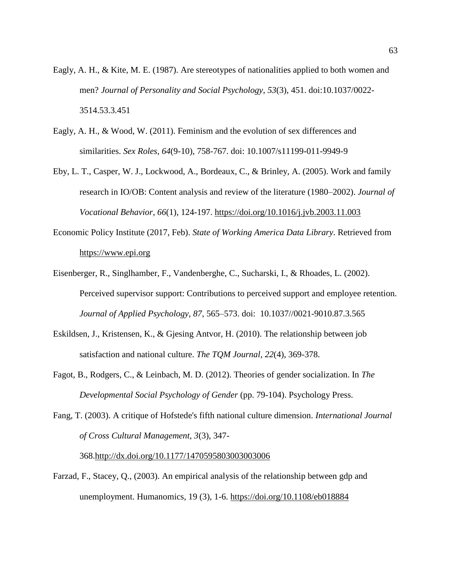- Eagly, A. H., & Kite, M. E. (1987). Are stereotypes of nationalities applied to both women and men? *Journal of Personality and Social Psychology*, *53*(3), 451. doi:10.1037/0022- 3514.53.3.451
- Eagly, A. H., & Wood, W. (2011). Feminism and the evolution of sex differences and similarities. *Sex Roles*, *64*(9-10), 758-767. doi: 10.1007/s11199-011-9949-9
- Eby, L. T., Casper, W. J., Lockwood, A., Bordeaux, C., & Brinley, A. (2005). Work and family research in IO/OB: Content analysis and review of the literature (1980–2002). *Journal of Vocational Behavior*, *66*(1), 124-197.<https://doi.org/10.1016/j.jvb.2003.11.003>
- Economic Policy Institute (2017, Feb). *State of Working America Data Library*. Retrieved from [https://www.epi.org](https://www.epi.org/)
- Eisenberger, R., Singlhamber, F., Vandenberghe, C., Sucharski, I., & Rhoades, L. (2002). Perceived supervisor support: Contributions to perceived support and employee retention. *Journal of Applied Psychology, 87*, 565–573. doi: 10.1037//0021-9010.87.3.565
- Eskildsen, J., Kristensen, K., & Gjesing Antvor, H. (2010). The relationship between job satisfaction and national culture. *The TQM Journal*, *22*(4), 369-378.
- Fagot, B., Rodgers, C., & Leinbach, M. D. (2012). Theories of gender socialization. In *The Developmental Social Psychology of Gender* (pp. 79-104). Psychology Press.
- Fang, T. (2003). A critique of Hofstede's fifth national culture dimension. *International Journal of Cross Cultural Management, 3*(3), 347-

368[.http://dx.doi.org/10.1177/1470595803003003006](https://psycnet.apa.org/doi/10.1177/1470595803003003006)

Farzad, F., Stacey, Q., (2003). An empirical analysis of the relationship between gdp and unemployment. Humanomics, 19 (3), 1-6.<https://doi.org/10.1108/eb018884>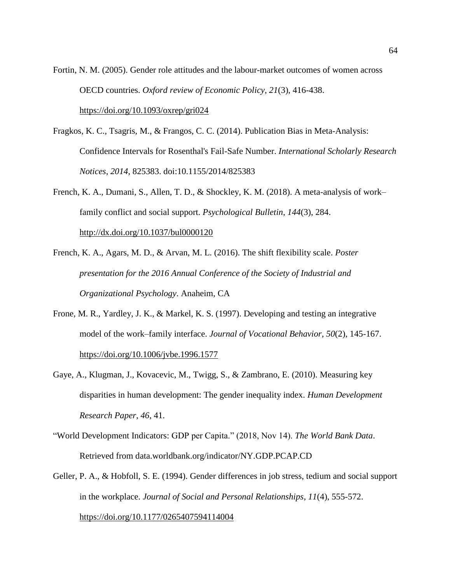Fortin, N. M. (2005). Gender role attitudes and the labour-market outcomes of women across OECD countries. *Oxford review of Economic Policy, 21*(3), 416-438. <https://doi.org/10.1093/oxrep/gri024>

- Fragkos, K. C., Tsagris, M., & Frangos, C. C. (2014). Publication Bias in Meta-Analysis: Confidence Intervals for Rosenthal's Fail-Safe Number. *International Scholarly Research Notices*, *2014*, 825383. doi:10.1155/2014/825383
- French, K. A., Dumani, S., Allen, T. D., & Shockley, K. M. (2018). A meta-analysis of work– family conflict and social support. *Psychological Bulletin*, *144*(3), 284. [http://dx.doi.org/10.1037/bul0000120](https://psycnet.apa.org/doi/10.1037/bul0000120)
- French, K. A., Agars, M. D., & Arvan, M. L. (2016). The shift flexibility scale. *Poster presentation for the 2016 Annual Conference of the Society of Industrial and Organizational Psychology*. Anaheim, CA
- Frone, M. R., Yardley, J. K., & Markel, K. S. (1997). Developing and testing an integrative model of the work–family interface. *Journal of Vocational Behavior*, *50*(2), 145-167. <https://doi.org/10.1006/jvbe.1996.1577>
- Gaye, A., Klugman, J., Kovacevic, M., Twigg, S., & Zambrano, E. (2010). Measuring key disparities in human development: The gender inequality index. *Human Development Research Paper*, *46*, 41.
- "World Development Indicators: GDP per Capita." (2018, Nov 14). *The World Bank Data*. Retrieved from data.worldbank.org/indicator/NY.GDP.PCAP.CD
- Geller, P. A., & Hobfoll, S. E. (1994). Gender differences in job stress, tedium and social support in the workplace. *Journal of Social and Personal Relationships*, *11*(4), 555-572. [https://doi.org/10.1177/0265407594114004](https://doi.org/10.1177%2F0265407594114004)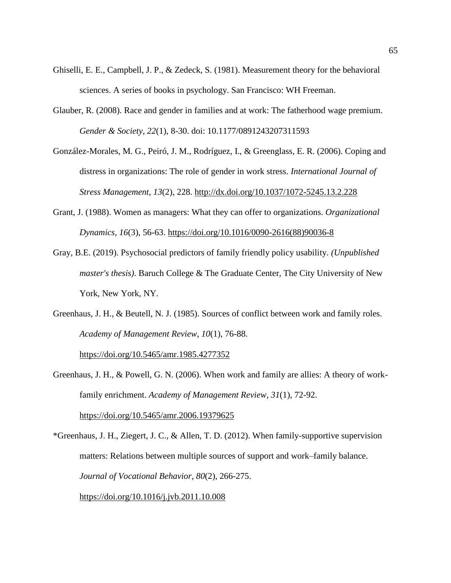- Ghiselli, E. E., Campbell, J. P., & Zedeck, S. (1981). Measurement theory for the behavioral sciences. A series of books in psychology. San Francisco: WH Freeman.
- Glauber, R. (2008). Race and gender in families and at work: The fatherhood wage premium. *Gender & Society*, *22*(1), 8-30. doi: 10.1177/0891243207311593
- González-Morales, M. G., Peiró, J. M., Rodríguez, I., & Greenglass, E. R. (2006). Coping and distress in organizations: The role of gender in work stress. *International Journal of Stress Management*, *13*(2), 228.<http://dx.doi.org/10.1037/1072-5245.13.2.228>
- Grant, J. (1988). Women as managers: What they can offer to organizations. *Organizational Dynamics*, *16*(3), 56-63. [https://doi.org/10.1016/0090-2616\(88\)90036-8](https://doi.org/10.1016/0090-2616(88)90036-8)
- Gray, B.E. (2019). Psychosocial predictors of family friendly policy usability. *(Unpublished master's thesis)*. Baruch College & The Graduate Center, The City University of New York, New York, NY.
- Greenhaus, J. H., & Beutell, N. J. (1985). Sources of conflict between work and family roles. *Academy of Management Review*, *10*(1), 76-88.

<https://doi.org/10.5465/amr.1985.4277352>

Greenhaus, J. H., & Powell, G. N. (2006). When work and family are allies: A theory of workfamily enrichment. *Academy of Management Review*, *31*(1), 72-92. <https://doi.org/10.5465/amr.2006.19379625>

\*Greenhaus, J. H., Ziegert, J. C., & Allen, T. D. (2012). When family-supportive supervision matters: Relations between multiple sources of support and work–family balance. *Journal of Vocational Behavior*, *80*(2), 266-275. <https://doi.org/10.1016/j.jvb.2011.10.008>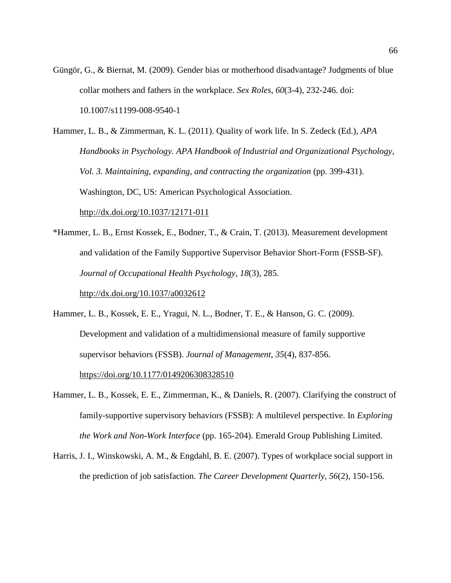- Güngör, G., & Biernat, M. (2009). Gender bias or motherhood disadvantage? Judgments of blue collar mothers and fathers in the workplace. *Sex Roles*, *60*(3-4), 232-246. doi: 10.1007/s11199-008-9540-1
- Hammer, L. B., & Zimmerman, K. L. (2011). Quality of work life. In S. Zedeck (Ed.), *APA Handbooks in Psychology. APA Handbook of Industrial and Organizational Psychology, Vol. 3. Maintaining, expanding, and contracting the organization* (pp. 399-431). Washington, DC, US: American Psychological Association. [http://dx.doi.org/10.1037/12171-011](https://psycnet.apa.org/doi/10.1037/12171-011)
- \*Hammer, L. B., Ernst Kossek, E., Bodner, T., & Crain, T. (2013). Measurement development and validation of the Family Supportive Supervisor Behavior Short-Form (FSSB-SF). *Journal of Occupational Health Psychology*, *18*(3), 285. [http://dx.doi.org/10.1037/a0032612](https://psycnet.apa.org/doi/10.1037/a0032612)
- Hammer, L. B., Kossek, E. E., Yragui, N. L., Bodner, T. E., & Hanson, G. C. (2009). Development and validation of a multidimensional measure of family supportive supervisor behaviors (FSSB). *Journal of Management*, *35*(4), 837-856. [https://doi.org/10.1177/0149206308328510](https://doi.org/10.1177%2F0149206308328510)
- Hammer, L. B., Kossek, E. E., Zimmerman, K., & Daniels, R. (2007). Clarifying the construct of family-supportive supervisory behaviors (FSSB): A multilevel perspective. In *Exploring the Work and Non-Work Interface* (pp. 165-204). Emerald Group Publishing Limited.
- Harris, J. I., Winskowski, A. M., & Engdahl, B. E. (2007). Types of workplace social support in the prediction of job satisfaction. *The Career Development Quarterly, 56*(2), 150-156.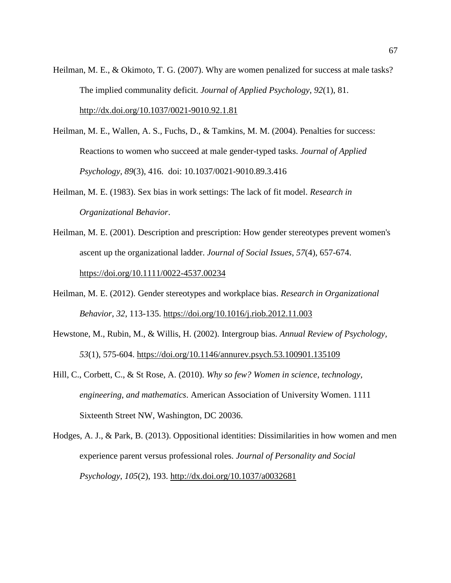- Heilman, M. E., & Okimoto, T. G. (2007). Why are women penalized for success at male tasks? The implied communality deficit. *Journal of Applied Psychology*, *92*(1), 81. [http://dx.doi.org/10.1037/0021-9010.92.1.81](https://psycnet.apa.org/doi/10.1037/0021-9010.92.1.81)
- Heilman, M. E., Wallen, A. S., Fuchs, D., & Tamkins, M. M. (2004). Penalties for success: Reactions to women who succeed at male gender-typed tasks. *Journal of Applied Psychology*, *89*(3), 416. doi: 10.1037/0021-9010.89.3.416
- Heilman, M. E. (1983). Sex bias in work settings: The lack of fit model. *Research in Organizational Behavior*.
- Heilman, M. E. (2001). Description and prescription: How gender stereotypes prevent women's ascent up the organizational ladder. *Journal of Social Issues*, *57*(4), 657-674. <https://doi.org/10.1111/0022-4537.00234>
- Heilman, M. E. (2012). Gender stereotypes and workplace bias. *Research in Organizational Behavior*, *32*, 113-135.<https://doi.org/10.1016/j.riob.2012.11.003>
- Hewstone, M., Rubin, M., & Willis, H. (2002). Intergroup bias. *Annual Review of Psychology, 53*(1), 575-604.<https://doi.org/10.1146/annurev.psych.53.100901.135109>
- Hill, C., Corbett, C., & St Rose, A. (2010). *Why so few? Women in science, technology, engineering, and mathematics*. American Association of University Women. 1111 Sixteenth Street NW, Washington, DC 20036.
- Hodges, A. J., & Park, B. (2013). Oppositional identities: Dissimilarities in how women and men experience parent versus professional roles. *Journal of Personality and Social Psychology*, *105*(2), 193.<http://dx.doi.org/10.1037/a0032681>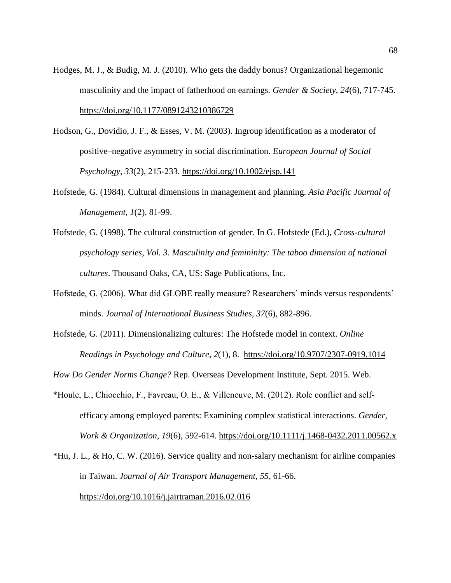- Hodges, M. J., & Budig, M. J. (2010). Who gets the daddy bonus? Organizational hegemonic masculinity and the impact of fatherhood on earnings. *Gender & Society*, *24*(6), 717-745. [https://doi.org/10.1177/0891243210386729](https://doi.org/10.1177%2F0891243210386729)
- Hodson, G., Dovidio, J. F., & Esses, V. M. (2003). Ingroup identification as a moderator of positive–negative asymmetry in social discrimination. *European Journal of Social Psychology*, *33*(2), 215-233.<https://doi.org/10.1002/ejsp.141>
- Hofstede, G. (1984). Cultural dimensions in management and planning. *Asia Pacific Journal of Management*, *1*(2), 81-99.
- Hofstede, G. (1998). The cultural construction of gender. In G. Hofstede (Ed.), *Cross-cultural psychology series, Vol. 3. Masculinity and femininity: The taboo dimension of national cultures*. Thousand Oaks, CA, US: Sage Publications, Inc.
- Hofstede, G. (2006). What did GLOBE really measure? Researchers' minds versus respondents' minds. *Journal of International Business Studies, 37*(6), 882-896.
- Hofstede, G. (2011). Dimensionalizing cultures: The Hofstede model in context. *Online Readings in Psychology and Culture*, *2*(1), 8. <https://doi.org/10.9707/2307-0919.1014>

*How Do Gender Norms Change?* Rep. Overseas Development Institute, Sept. 2015. Web.

- \*Houle, L., Chiocchio, F., Favreau, O. E., & Villeneuve, M. (2012). Role conflict and self‐ efficacy among employed parents: Examining complex statistical interactions. *Gender, Work & Organization*, *19*(6), 592-614.<https://doi.org/10.1111/j.1468-0432.2011.00562.x>
- \*Hu, J. L., & Ho, C. W. (2016). Service quality and non-salary mechanism for airline companies in Taiwan. *Journal of Air Transport Management*, *55*, 61-66. <https://doi.org/10.1016/j.jairtraman.2016.02.016>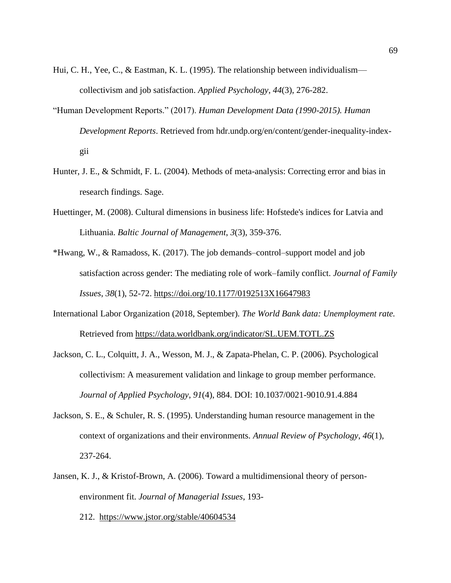- Hui, C. H., Yee, C., & Eastman, K. L. (1995). The relationship between individualism collectivism and job satisfaction. *Applied Psychology*, *44*(3), 276-282.
- "Human Development Reports." (2017). *Human Development Data (1990-2015). Human Development Reports*. Retrieved from hdr.undp.org/en/content/gender-inequality-indexgii
- Hunter, J. E., & Schmidt, F. L. (2004). Methods of meta-analysis: Correcting error and bias in research findings. Sage.
- Huettinger, M. (2008). Cultural dimensions in business life: Hofstede's indices for Latvia and Lithuania. *Baltic Journal of Management*, *3*(3), 359-376.
- \*Hwang, W., & Ramadoss, K. (2017). The job demands–control–support model and job satisfaction across gender: The mediating role of work–family conflict. *Journal of Family Issues*, *38*(1), 52-72. [https://doi.org/10.1177/0192513X16647983](https://doi.org/10.1177%2F0192513X16647983)
- International Labor Organization (2018, September). *The World Bank data: Unemployment rate.*  Retrieved from<https://data.worldbank.org/indicator/SL.UEM.TOTL.ZS>
- Jackson, C. L., Colquitt, J. A., Wesson, M. J., & Zapata-Phelan, C. P. (2006). Psychological collectivism: A measurement validation and linkage to group member performance. *Journal of Applied Psychology*, *91*(4), 884. DOI: 10.1037/0021-9010.91.4.884
- Jackson, S. E., & Schuler, R. S. (1995). Understanding human resource management in the context of organizations and their environments. *Annual Review of Psychology*, *46*(1), 237-264.
- Jansen, K. J., & Kristof-Brown, A. (2006). Toward a multidimensional theory of personenvironment fit. *Journal of Managerial Issues*, 193-
	- 212. <https://www.jstor.org/stable/40604534>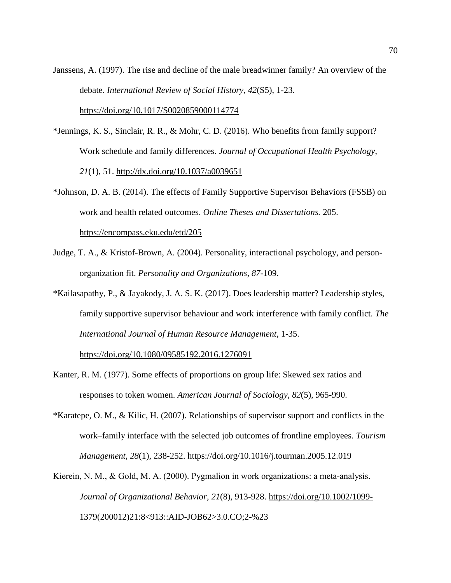Janssens, A. (1997). The rise and decline of the male breadwinner family? An overview of the debate. *International Review of Social History*, *42*(S5), 1-23. <https://doi.org/10.1017/S0020859000114774>

- \*Jennings, K. S., Sinclair, R. R., & Mohr, C. D. (2016). Who benefits from family support? Work schedule and family differences. *Journal of Occupational Health Psychology*, *21*(1), 51.<http://dx.doi.org/10.1037/a0039651>
- \*Johnson, D. A. B. (2014). The effects of Family Supportive Supervisor Behaviors (FSSB) on work and health related outcomes. *Online Theses and Dissertations.* 205. <https://encompass.eku.edu/etd/205>
- Judge, T. A., & Kristof-Brown, A. (2004). Personality, interactional psychology, and personorganization fit. *Personality and Organizations, 87*-109.
- \*Kailasapathy, P., & Jayakody, J. A. S. K. (2017). Does leadership matter? Leadership styles, family supportive supervisor behaviour and work interference with family conflict. *The International Journal of Human Resource Management*, 1-35.

<https://doi.org/10.1080/09585192.2016.1276091>

- Kanter, R. M. (1977). Some effects of proportions on group life: Skewed sex ratios and responses to token women. *American Journal of Sociology*, *82*(5), 965-990.
- \*Karatepe, O. M., & Kilic, H. (2007). Relationships of supervisor support and conflicts in the work–family interface with the selected job outcomes of frontline employees. *Tourism Management*, *28*(1), 238-252.<https://doi.org/10.1016/j.tourman.2005.12.019>

Kierein, N. M., & Gold, M. A. (2000). Pygmalion in work organizations: a meta-analysis. *Journal of Organizational Behavior*, *21*(8), 913-928. [https://doi.org/10.1002/1099-](https://doi.org/10.1002/1099-1379(200012)21:8%3C913::AID-JOB62%3E3.0.CO;2-%23) [1379\(200012\)21:8<913::AID-JOB62>3.0.CO;2-%23](https://doi.org/10.1002/1099-1379(200012)21:8%3C913::AID-JOB62%3E3.0.CO;2-%23)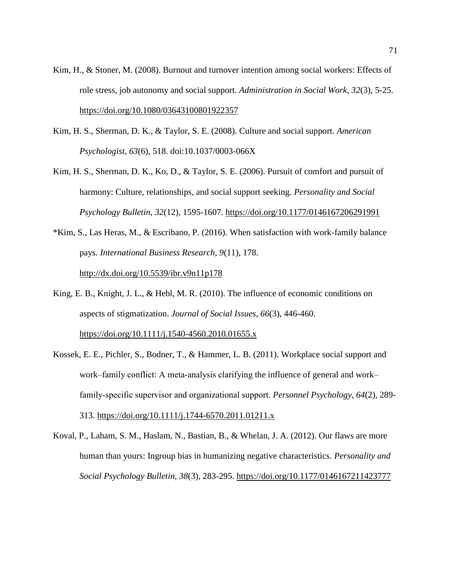- Kim, H., & Stoner, M. (2008). Burnout and turnover intention among social workers: Effects of role stress, job autonomy and social support. *Administration in Social Work, 32*(3), 5-25. <https://doi.org/10.1080/03643100801922357>
- Kim, H. S., Sherman, D. K., & Taylor, S. E. (2008). Culture and social support. *American Psychologist*, *63*(6), 518. doi:10.1037/0003-066X
- Kim, H. S., Sherman, D. K., Ko, D., & Taylor, S. E. (2006). Pursuit of comfort and pursuit of harmony: Culture, relationships, and social support seeking. *Personality and Social Psychology Bulletin*, *32*(12), 1595-1607. [https://doi.org/10.1177/0146167206291991](https://doi.org/10.1177%2F0146167206291991)
- \*Kim, S., Las Heras, M., & Escribano, P. (2016). When satisfaction with work-family balance pays. *International Business Research*, *9*(11), 178.

<http://dx.doi.org/10.5539/ibr.v9n11p178>

- King, E. B., Knight, J. L., & Hebl, M. R. (2010). The influence of economic conditions on aspects of stigmatization. *Journal of Social Issues*, *66*(3), 446-460. <https://doi.org/10.1111/j.1540-4560.2010.01655.x>
- Kossek, E. E., Pichler, S., Bodner, T., & Hammer, L. B. (2011). Workplace social support and work–family conflict: A meta-analysis clarifying the influence of general and work– family‐specific supervisor and organizational support. *Personnel Psychology*, *64*(2), 289- 313.<https://doi.org/10.1111/j.1744-6570.2011.01211.x>
- Koval, P., Laham, S. M., Haslam, N., Bastian, B., & Whelan, J. A. (2012). Our flaws are more human than yours: Ingroup bias in humanizing negative characteristics. *Personality and Social Psychology Bulletin, 38*(3), 283-295. [https://doi.org/10.1177/0146167211423777](https://doi.org/10.1177%2F0146167211423777)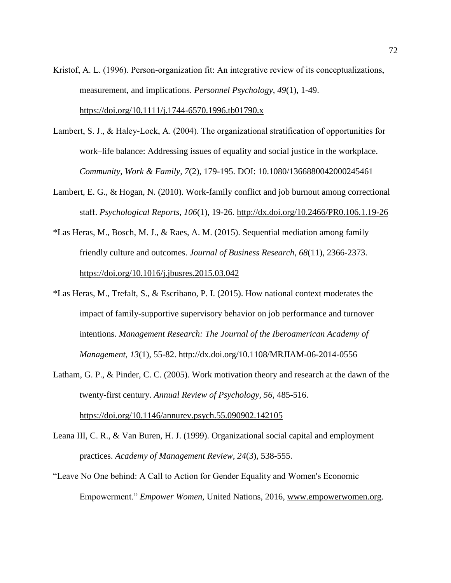Kristof, A. L. (1996). Person‐organization fit: An integrative review of its conceptualizations, measurement, and implications. *Personnel Psychology*, *49*(1), 1-49. <https://doi.org/10.1111/j.1744-6570.1996.tb01790.x>

- Lambert, S. J., & Haley-Lock, A. (2004). The organizational stratification of opportunities for work–life balance: Addressing issues of equality and social justice in the workplace. *Community, Work & Family, 7*(2), 179-195. DOI: 10.1080/1366880042000245461
- Lambert, E. G., & Hogan, N. (2010). Work-family conflict and job burnout among correctional staff. *Psychological Reports, 106*(1), 19-26.<http://dx.doi.org/10.2466/PR0.106.1.19-26>
- \*Las Heras, M., Bosch, M. J., & Raes, A. M. (2015). Sequential mediation among family friendly culture and outcomes. *Journal of Business Research*, *68*(11), 2366-2373. <https://doi.org/10.1016/j.jbusres.2015.03.042>
- \*Las Heras, M., Trefalt, S., & Escribano, P. I. (2015). How national context moderates the impact of family-supportive supervisory behavior on job performance and turnover intentions. *Management Research: The Journal of the Iberoamerican Academy of Management*, *13*(1), 55-82. http://dx.doi.org/10.1108/MRJIAM-06-2014-0556
- Latham, G. P., & Pinder, C. C. (2005). Work motivation theory and research at the dawn of the twenty-first century. *Annual Review of Psychology, 56*, 485-516. <https://doi.org/10.1146/annurev.psych.55.090902.142105>
- Leana III, C. R., & Van Buren, H. J. (1999). Organizational social capital and employment practices. *Academy of Management Review, 24*(3), 538-555.
- "Leave No One behind: A Call to Action for Gender Equality and Women's Economic Empowerment." *Empower Women,* United Nations, 2016, [www.empowerwomen.org.](http://www.empowerwomen.org/)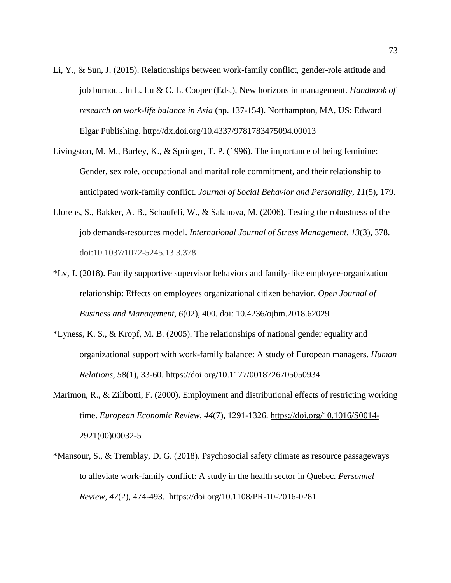- Li, Y., & Sun, J. (2015). Relationships between work-family conflict, gender-role attitude and job burnout. In L. Lu & C. L. Cooper (Eds.), New horizons in management. *Handbook of research on work-life balance in Asia* (pp. 137-154). Northampton, MA, US: Edward Elgar Publishing. http://dx.doi.org/10.4337/9781783475094.00013
- Livingston, M. M., Burley, K., & Springer, T. P. (1996). The importance of being feminine: Gender, sex role, occupational and marital role commitment, and their relationship to anticipated work-family conflict. *Journal of Social Behavior and Personality, 11*(5), 179.
- Llorens, S., Bakker, A. B., Schaufeli, W., & Salanova, M. (2006). Testing the robustness of the job demands-resources model. *International Journal of Stress Management*, *13*(3), 378. doi:10.1037/1072-5245.13.3.378
- \*Lv, J. (2018). Family supportive supervisor behaviors and family-like employee-organization relationship: Effects on employees organizational citizen behavior. *Open Journal of Business and Management, 6*(02), 400. doi: 10.4236/ojbm.2018.62029
- \*Lyness, K. S., & Kropf, M. B. (2005). The relationships of national gender equality and organizational support with work-family balance: A study of European managers. *Human Relations*, *58*(1), 33-60. [https://doi.org/10.1177/0018726705050934](https://doi.org/10.1177%2F0018726705050934)
- Marimon, R., & Zilibotti, F. (2000). Employment and distributional effects of restricting working time. *European Economic Review*, *44*(7), 1291-1326. [https://doi.org/10.1016/S0014-](https://doi.org/10.1016/S0014-2921(00)00032-5) [2921\(00\)00032-5](https://doi.org/10.1016/S0014-2921(00)00032-5)
- \*Mansour, S., & Tremblay, D. G. (2018). Psychosocial safety climate as resource passageways to alleviate work-family conflict: A study in the health sector in Quebec. *Personnel Review*, *47*(2), 474-493. <https://doi.org/10.1108/PR-10-2016-0281>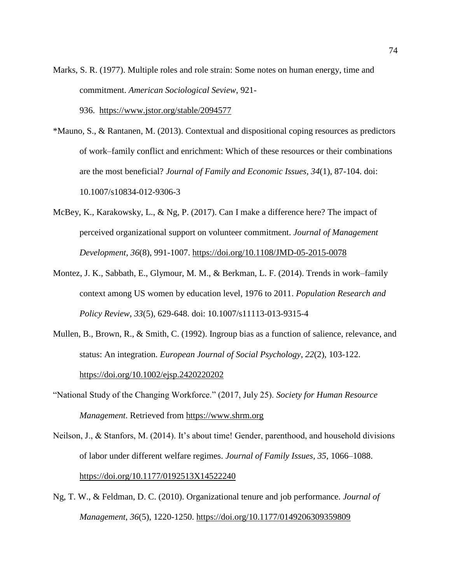- Marks, S. R. (1977). Multiple roles and role strain: Some notes on human energy, time and commitment. *American Sociological Seview*, 921- 936. <https://www.jstor.org/stable/2094577>
- \*Mauno, S., & Rantanen, M. (2013). Contextual and dispositional coping resources as predictors of work–family conflict and enrichment: Which of these resources or their combinations are the most beneficial? *Journal of Family and Economic Issues*, *34*(1), 87-104. doi: 10.1007/s10834-012-9306-3
- McBey, K., Karakowsky, L., & Ng, P. (2017). Can I make a difference here? The impact of perceived organizational support on volunteer commitment. *Journal of Management Development*, *36*(8), 991-1007.<https://doi.org/10.1108/JMD-05-2015-0078>
- Montez, J. K., Sabbath, E., Glymour, M. M., & Berkman, L. F. (2014). Trends in work–family context among US women by education level, 1976 to 2011. *Population Research and Policy Review*, *33*(5), 629-648. doi: 10.1007/s11113-013-9315-4
- Mullen, B., Brown, R., & Smith, C. (1992). Ingroup bias as a function of salience, relevance, and status: An integration. *European Journal of Social Psychology*, *22*(2), 103-122. <https://doi.org/10.1002/ejsp.2420220202>
- "National Study of the Changing Workforce." (2017, July 25). *Society for Human Resource Management*. Retrieved from [https://www.shrm.org](https://www.shrm.org/)
- Neilson, J., & Stanfors, M. (2014). It's about time! Gender, parenthood, and household divisions of labor under different welfare regimes. *Journal of Family Issues, 35*, 1066–1088. [https://doi.org/10.1177/0192513X14522240](https://doi.org/10.1177%2F0192513X14522240)
- Ng, T. W., & Feldman, D. C. (2010). Organizational tenure and job performance. *Journal of Management*, *36*(5), 1220-1250. [https://doi.org/10.1177/0149206309359809](https://doi.org/10.1177%2F0149206309359809)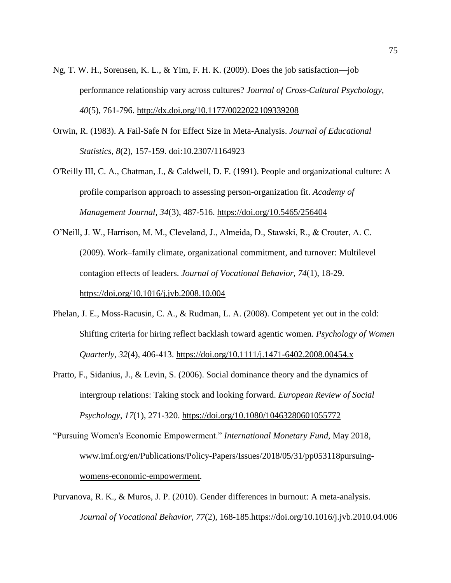- Ng, T. W. H., Sorensen, K. L., & Yim, F. H. K. (2009). Does the job satisfaction—job performance relationship vary across cultures? *Journal of Cross-Cultural Psychology, 40*(5), 761-796. [http://dx.doi.org/10.1177/0022022109339208](https://psycnet.apa.org/doi/10.1177/0022022109339208)
- Orwin, R. (1983). A Fail-Safe N for Effect Size in Meta-Analysis. *Journal of Educational Statistics, 8*(2), 157-159. doi:10.2307/1164923
- O'Reilly III, C. A., Chatman, J., & Caldwell, D. F. (1991). People and organizational culture: A profile comparison approach to assessing person-organization fit. *Academy of Management Journal, 34*(3), 487-516.<https://doi.org/10.5465/256404>
- O'Neill, J. W., Harrison, M. M., Cleveland, J., Almeida, D., Stawski, R., & Crouter, A. C. (2009). Work–family climate, organizational commitment, and turnover: Multilevel contagion effects of leaders. *Journal of Vocational Behavior, 74*(1), 18-29. <https://doi.org/10.1016/j.jvb.2008.10.004>
- Phelan, J. E., Moss-Racusin, C. A., & Rudman, L. A. (2008). Competent yet out in the cold: Shifting criteria for hiring reflect backlash toward agentic women. *Psychology of Women Quarterly*, *32*(4), 406-413. [https://doi.org/10.1111/j.1471-6402.2008.00454.x](https://doi.org/10.1111%2Fj.1471-6402.2008.00454.x)
- Pratto, F., Sidanius, J., & Levin, S. (2006). Social dominance theory and the dynamics of intergroup relations: Taking stock and looking forward. *European Review of Social Psychology*, *17*(1), 271-320.<https://doi.org/10.1080/10463280601055772>
- "Pursuing Women's Economic Empowerment." *International Monetary Fund*, May 2018, [www.imf.org/en/Publications/Policy-Papers/Issues/2018/05/31/pp053118pursuing](http://www.imf.org/en/Publications/Policy-Papers/Issues/2018/05/31/pp053118pursuing-womens-economic-empowerment)[womens-economic-empowerment.](http://www.imf.org/en/Publications/Policy-Papers/Issues/2018/05/31/pp053118pursuing-womens-economic-empowerment)
- Purvanova, R. K., & Muros, J. P. (2010). Gender differences in burnout: A meta-analysis. *Journal of Vocational Behavior, 77*(2), 168-185[.https://doi.org/10.1016/j.jvb.2010.04.006](https://doi.org/10.1016/j.jvb.2010.04.006)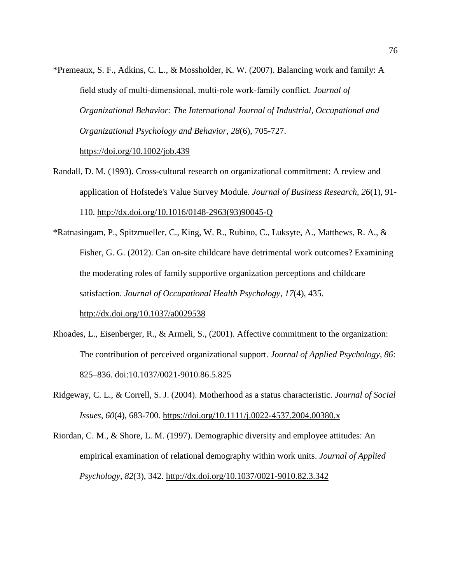\*Premeaux, S. F., Adkins, C. L., & Mossholder, K. W. (2007). Balancing work and family: A field study of multi‐dimensional, multi‐role work‐family conflict. *Journal of Organizational Behavior: The International Journal of Industrial, Occupational and Organizational Psychology and Behavior*, *28*(6), 705-727.

<https://doi.org/10.1002/job.439>

- Randall, D. M. (1993). Cross-cultural research on organizational commitment: A review and application of Hofstede's Value Survey Module. *Journal of Business Research, 26*(1), 91- 110. [http://dx.doi.org/10.1016/0148-2963\(93\)90045-Q](https://psycnet.apa.org/doi/10.1016/0148-2963(93)90045-Q)
- \*Ratnasingam, P., Spitzmueller, C., King, W. R., Rubino, C., Luksyte, A., Matthews, R. A., & Fisher, G. G. (2012). Can on-site childcare have detrimental work outcomes? Examining the moderating roles of family supportive organization perceptions and childcare satisfaction. *Journal of Occupational Health Psychology*, *17*(4), 435. [http://dx.doi.org/10.1037/a0029538](https://psycnet.apa.org/doi/10.1037/a0029538)
- Rhoades, L., Eisenberger, R., & Armeli, S., (2001). Affective commitment to the organization: The contribution of perceived organizational support. *Journal of Applied Psychology, 86*: 825–836. doi:10.1037/0021-9010.86.5.825
- Ridgeway, C. L., & Correll, S. J. (2004). Motherhood as a status characteristic. *Journal of Social Issues*, *60*(4), 683-700.<https://doi.org/10.1111/j.0022-4537.2004.00380.x>
- Riordan, C. M., & Shore, L. M. (1997). Demographic diversity and employee attitudes: An empirical examination of relational demography within work units. *Journal of Applied Psychology*, *82*(3), 342. [http://dx.doi.org/10.1037/0021-9010.82.3.342](https://psycnet.apa.org/doi/10.1037/0021-9010.82.3.342)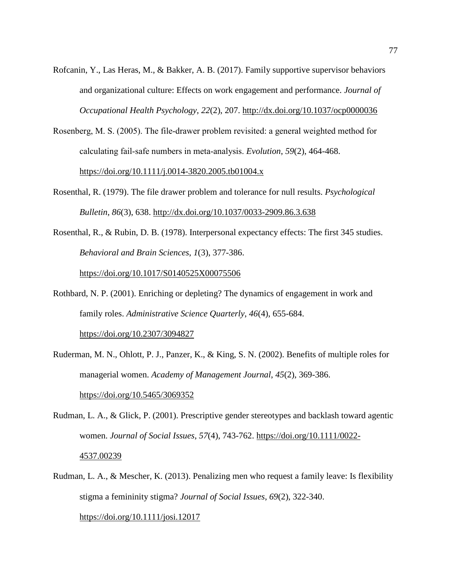- Rofcanin, Y., Las Heras, M., & Bakker, A. B. (2017). Family supportive supervisor behaviors and organizational culture: Effects on work engagement and performance. *Journal of Occupational Health Psychology*, *22*(2), 207.<http://dx.doi.org/10.1037/ocp0000036>
- Rosenberg, M. S. (2005). The file‐drawer problem revisited: a general weighted method for calculating fail‐safe numbers in meta‐analysis. *Evolution*, *59*(2), 464-468. <https://doi.org/10.1111/j.0014-3820.2005.tb01004.x>
- Rosenthal, R. (1979). The file drawer problem and tolerance for null results. *Psychological Bulletin*, *86*(3), 638.<http://dx.doi.org/10.1037/0033-2909.86.3.638>
- Rosenthal, R., & Rubin, D. B. (1978). Interpersonal expectancy effects: The first 345 studies. *Behavioral and Brain Sciences*, *1*(3), 377-386.

<https://doi.org/10.1017/S0140525X00075506>

Rothbard, N. P. (2001). Enriching or depleting? The dynamics of engagement in work and family roles. *Administrative Science Quarterly*, *46*(4), 655-684.

[https://doi.org/10.2307/3094827](https://doi.org/10.2307%2F3094827)

- Ruderman, M. N., Ohlott, P. J., Panzer, K., & King, S. N. (2002). Benefits of multiple roles for managerial women. *Academy of Management Journal*, *45*(2), 369-386. <https://doi.org/10.5465/3069352>
- Rudman, L. A., & Glick, P. (2001). Prescriptive gender stereotypes and backlash toward agentic women. *Journal of Social Issues*, *57*(4), 743-762. [https://doi.org/10.1111/0022-](https://doi.org/10.1111/0022-4537.00239) [4537.00239](https://doi.org/10.1111/0022-4537.00239)
- Rudman, L. A., & Mescher, K. (2013). Penalizing men who request a family leave: Is flexibility stigma a femininity stigma? *Journal of Social Issues*, *69*(2), 322-340. <https://doi.org/10.1111/josi.12017>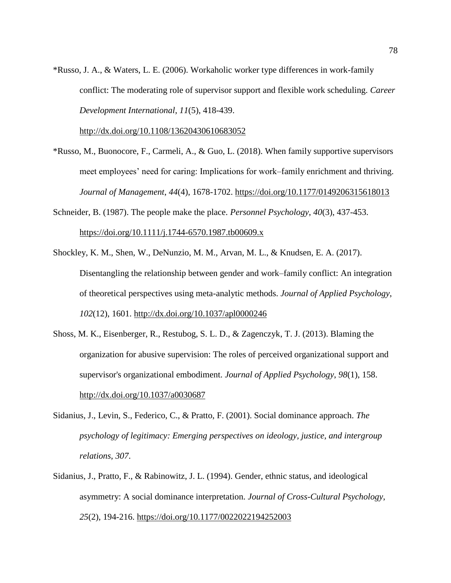\*Russo, J. A., & Waters, L. E. (2006). Workaholic worker type differences in work-family conflict: The moderating role of supervisor support and flexible work scheduling. *Career Development International*, *11*(5), 418-439.

<http://dx.doi.org/10.1108/13620430610683052>

- \*Russo, M., Buonocore, F., Carmeli, A., & Guo, L. (2018). When family supportive supervisors meet employees' need for caring: Implications for work–family enrichment and thriving. *Journal of Management*, *44*(4), 1678-1702. [https://doi.org/10.1177/0149206315618013](https://doi.org/10.1177%2F0149206315618013)
- Schneider, B. (1987). The people make the place. *Personnel Psychology*, *40*(3), 437-453. <https://doi.org/10.1111/j.1744-6570.1987.tb00609.x>
- Shockley, K. M., Shen, W., DeNunzio, M. M., Arvan, M. L., & Knudsen, E. A. (2017). Disentangling the relationship between gender and work–family conflict: An integration of theoretical perspectives using meta-analytic methods. *Journal of Applied Psychology*, *102*(12), 1601.<http://dx.doi.org/10.1037/apl0000246>
- Shoss, M. K., Eisenberger, R., Restubog, S. L. D., & Zagenczyk, T. J. (2013). Blaming the organization for abusive supervision: The roles of perceived organizational support and supervisor's organizational embodiment. *Journal of Applied Psychology*, *98*(1), 158. [http://dx.doi.org/10.1037/a0030687](https://psycnet.apa.org/doi/10.1037/a0030687)
- Sidanius, J., Levin, S., Federico, C., & Pratto, F. (2001). Social dominance approach. *The psychology of legitimacy: Emerging perspectives on ideology, justice, and intergroup relations*, *307*.
- Sidanius, J., Pratto, F., & Rabinowitz, J. L. (1994). Gender, ethnic status, and ideological asymmetry: A social dominance interpretation. *Journal of Cross-Cultural Psychology*, *25*(2), 194-216. [https://doi.org/10.1177/0022022194252003](https://doi.org/10.1177%2F0022022194252003)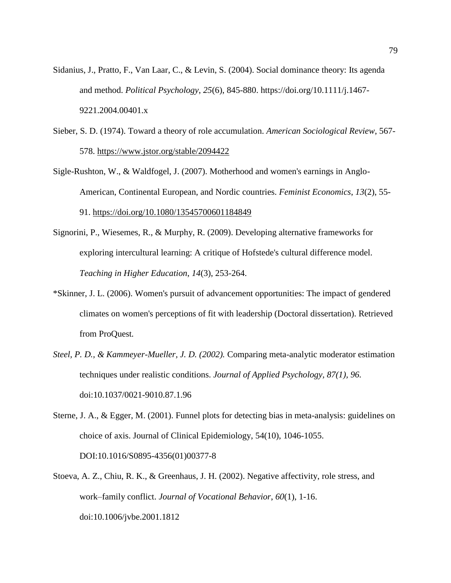- Sidanius, J., Pratto, F., Van Laar, C., & Levin, S. (2004). Social dominance theory: Its agenda and method. *Political Psychology*, *25*(6), 845-880. https://doi.org/10.1111/j.1467- 9221.2004.00401.x
- Sieber, S. D. (1974). Toward a theory of role accumulation. *American Sociological Review*, 567- 578.<https://www.jstor.org/stable/2094422>
- Sigle-Rushton, W., & Waldfogel, J. (2007). Motherhood and women's earnings in Anglo-American, Continental European, and Nordic countries. *Feminist Economics*, *13*(2), 55- 91.<https://doi.org/10.1080/13545700601184849>
- Signorini, P., Wiesemes, R., & Murphy, R. (2009). Developing alternative frameworks for exploring intercultural learning: A critique of Hofstede's cultural difference model. *Teaching in Higher Education*, *14*(3), 253-264.
- \*Skinner, J. L. (2006). Women's pursuit of advancement opportunities: The impact of gendered climates on women's perceptions of fit with leadership (Doctoral dissertation). Retrieved from ProQuest*.*
- *Steel, P. D., & Kammeyer-Mueller, J. D. (2002).* Comparing meta-analytic moderator estimation techniques under realistic conditions. *Journal of Applied Psychology, 87(1), 96.*  doi:10.1037/0021-9010.87.1.96
- Sterne, J. A., & Egger, M. (2001). Funnel plots for detecting bias in meta-analysis: guidelines on choice of axis. Journal of Clinical Epidemiology, 54(10), 1046-1055. DOI:10.1016/S0895-4356(01)00377-8
- Stoeva, A. Z., Chiu, R. K., & Greenhaus, J. H. (2002). Negative affectivity, role stress, and work–family conflict. *Journal of Vocational Behavior*, *60*(1), 1-16. doi:10.1006/jvbe.2001.1812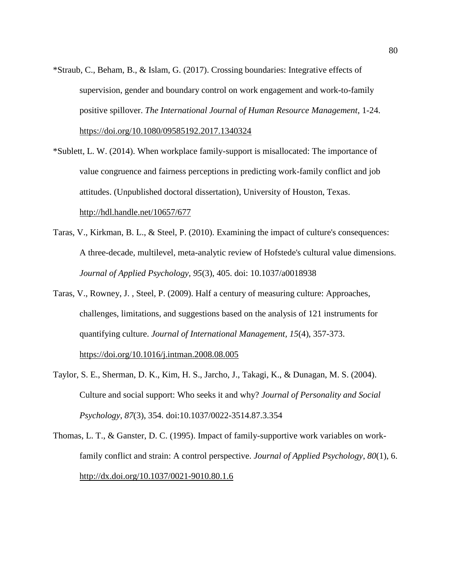- \*Straub, C., Beham, B., & Islam, G. (2017). Crossing boundaries: Integrative effects of supervision, gender and boundary control on work engagement and work-to-family positive spillover. *The International Journal of Human Resource Management*, 1-24. <https://doi.org/10.1080/09585192.2017.1340324>
- \*Sublett, L. W. (2014). When workplace family-support is misallocated: The importance of value congruence and fairness perceptions in predicting work-family conflict and job attitudes. (Unpublished doctoral dissertation), University of Houston, Texas. <http://hdl.handle.net/10657/677>
- Taras, V., Kirkman, B. L., & Steel, P. (2010). Examining the impact of culture's consequences: A three-decade, multilevel, meta-analytic review of Hofstede's cultural value dimensions. *Journal of Applied Psychology, 95*(3), 405. doi: 10.1037/a0018938
- Taras, V., Rowney, J. , Steel, P. (2009). Half a century of measuring culture: Approaches, challenges, limitations, and suggestions based on the analysis of 121 instruments for quantifying culture. *Journal of International Management, 15*(4), 357-373. <https://doi.org/10.1016/j.intman.2008.08.005>
- Taylor, S. E., Sherman, D. K., Kim, H. S., Jarcho, J., Takagi, K., & Dunagan, M. S. (2004). Culture and social support: Who seeks it and why? *Journal of Personality and Social Psychology*, *87*(3), 354. doi:10.1037/0022-3514.87.3.354
- Thomas, L. T., & Ganster, D. C. (1995). Impact of family-supportive work variables on workfamily conflict and strain: A control perspective. *Journal of Applied Psychology*, *80*(1), 6. <http://dx.doi.org/10.1037/0021-9010.80.1.6>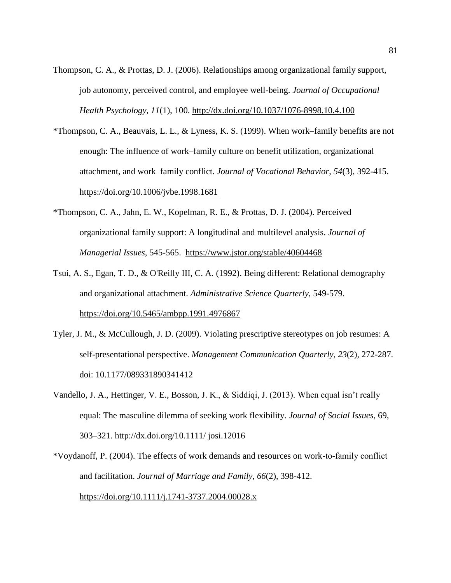- Thompson, C. A., & Prottas, D. J. (2006). Relationships among organizational family support, job autonomy, perceived control, and employee well-being. *Journal of Occupational Health Psychology*, *11*(1), 100.<http://dx.doi.org/10.1037/1076-8998.10.4.100>
- \*Thompson, C. A., Beauvais, L. L., & Lyness, K. S. (1999). When work–family benefits are not enough: The influence of work–family culture on benefit utilization, organizational attachment, and work–family conflict. *Journal of Vocational Behavior*, *54*(3), 392-415. <https://doi.org/10.1006/jvbe.1998.1681>
- \*Thompson, C. A., Jahn, E. W., Kopelman, R. E., & Prottas, D. J. (2004). Perceived organizational family support: A longitudinal and multilevel analysis. *Journal of Managerial Issues*, 545-565. <https://www.jstor.org/stable/40604468>
- Tsui, A. S., Egan, T. D., & O'Reilly III, C. A. (1992). Being different: Relational demography and organizational attachment. *Administrative Science Quarterly*, 549-579. <https://doi.org/10.5465/ambpp.1991.4976867>
- Tyler, J. M., & McCullough, J. D. (2009). Violating prescriptive stereotypes on job resumes: A self-presentational perspective. *Management Communication Quarterly*, *23*(2), 272-287. doi: 10.1177/089331890341412
- Vandello, J. A., Hettinger, V. E., Bosson, J. K., & Siddiqi, J. (2013). When equal isn't really equal: The masculine dilemma of seeking work flexibility. *Journal of Social Issues*, 69, 303–321. http://dx.doi.org/10.1111/ josi.12016
- \*Voydanoff, P. (2004). The effects of work demands and resources on work‐to‐family conflict and facilitation. *Journal of Marriage and Family*, *66*(2), 398-412. <https://doi.org/10.1111/j.1741-3737.2004.00028.x>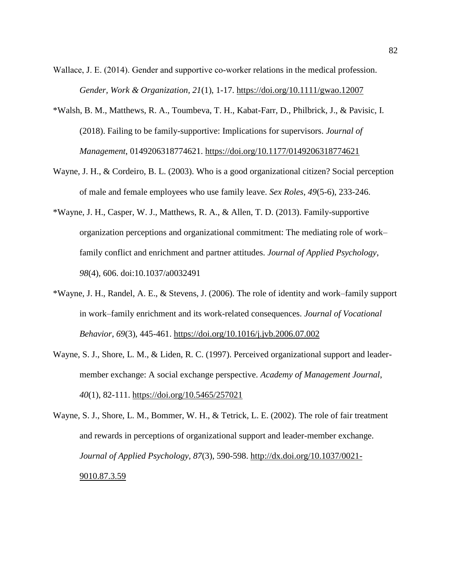Wallace, J. E. (2014). Gender and supportive co-worker relations in the medical profession. *Gender, Work & Organization, 21*(1), 1-17.<https://doi.org/10.1111/gwao.12007>

- \*Walsh, B. M., Matthews, R. A., Toumbeva, T. H., Kabat-Farr, D., Philbrick, J., & Pavisic, I. (2018). Failing to be family-supportive: Implications for supervisors. *Journal of Management*, 0149206318774621. [https://doi.org/10.1177/0149206318774621](https://doi.org/10.1177%2F0149206318774621)
- Wayne, J. H., & Cordeiro, B. L. (2003). Who is a good organizational citizen? Social perception of male and female employees who use family leave. *Sex Roles*, *49*(5-6), 233-246.
- \*Wayne, J. H., Casper, W. J., Matthews, R. A., & Allen, T. D. (2013). Family-supportive organization perceptions and organizational commitment: The mediating role of work– family conflict and enrichment and partner attitudes. *Journal of Applied Psychology*, *98*(4), 606. doi:10.1037/a0032491
- \*Wayne, J. H., Randel, A. E., & Stevens, J. (2006). The role of identity and work–family support in work–family enrichment and its work-related consequences. *Journal of Vocational Behavior*, *69*(3), 445-461.<https://doi.org/10.1016/j.jvb.2006.07.002>
- Wayne, S. J., Shore, L. M., & Liden, R. C. (1997). Perceived organizational support and leadermember exchange: A social exchange perspective. *Academy of Management Journal*, *40*(1), 82-111.<https://doi.org/10.5465/257021>
- Wayne, S. J., Shore, L. M., Bommer, W. H., & Tetrick, L. E. (2002). The role of fair treatment and rewards in perceptions of organizational support and leader-member exchange. *Journal of Applied Psychology, 87*(3), 590-598. [http://dx.doi.org/10.1037/0021-](http://dx.doi.org/10.1037/0021-9010.87.3.590) [9010.87.3.59](http://dx.doi.org/10.1037/0021-9010.87.3.590)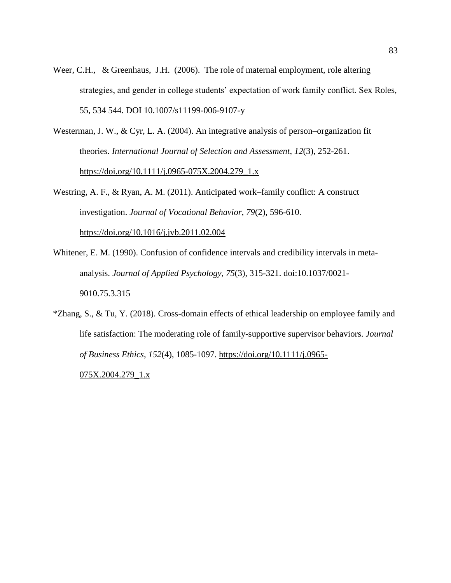- Weer, C.H., & Greenhaus, J.H. (2006). The role of maternal employment, role altering strategies, and gender in college students' expectation of work family conflict. Sex Roles, 55, 534 544. DOI 10.1007/s11199-006-9107-y
- Westerman, J. W., & Cyr, L. A. (2004). An integrative analysis of person–organization fit theories. *International Journal of Selection and Assessment*, *12*(3), 252-261. [https://doi.org/10.1111/j.0965-075X.2004.279\\_1.x](https://doi.org/10.1111/j.0965-075X.2004.279_1.x)
- Westring, A. F., & Ryan, A. M. (2011). Anticipated work–family conflict: A construct investigation. *Journal of Vocational Behavior, 79*(2), 596-610. <https://doi.org/10.1016/j.jvb.2011.02.004>
- Whitener, E. M. (1990). Confusion of confidence intervals and credibility intervals in metaanalysis. *Journal of Applied Psychology, 75*(3), 315-321. doi:10.1037/0021- 9010.75.3.315
- \*Zhang, S., & Tu, Y. (2018). Cross-domain effects of ethical leadership on employee family and life satisfaction: The moderating role of family-supportive supervisor behaviors. *Journal of Business Ethics*, *152*(4), 1085-1097. [https://doi.org/10.1111/j.0965-](https://doi.org/10.1111/j.0965-075X.2004.279_1.x) [075X.2004.279\\_1.x](https://doi.org/10.1111/j.0965-075X.2004.279_1.x)